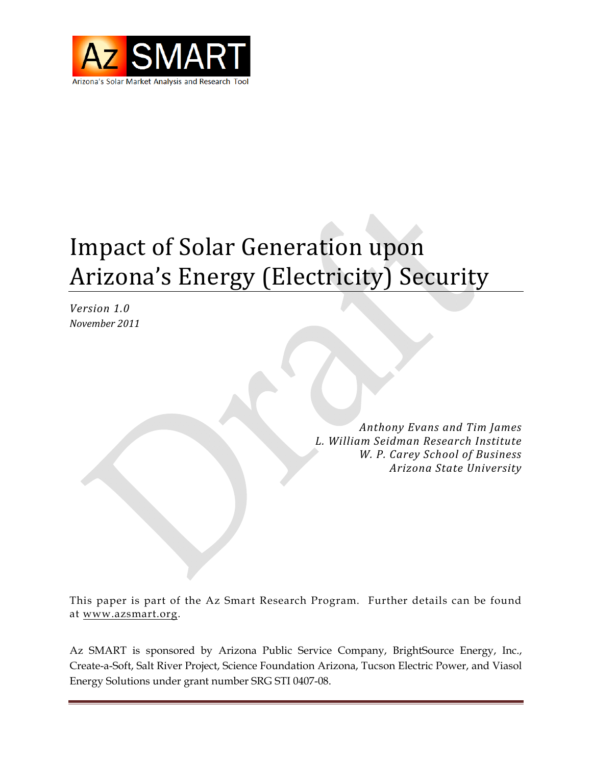

# **Impact of Solar Generation upon** Arizona's Energy (Electricity) Security

*Version 1.0 November 2011*

> *Anthony Evans and Tim James L. William Seidman Research Institute W. P. Carey School of Business Arizona State University*

This paper is part of the Az Smart Research Program. Further details can be found at www.azsmart.org.

Az SMART is sponsored by Arizona Public Service Company, BrightSource Energy, Inc., Create-a-Soft, Salt River Project, Science Foundation Arizona, Tucson Electric Power, and Viasol Energy Solutions under grant number SRG STI 0407-08.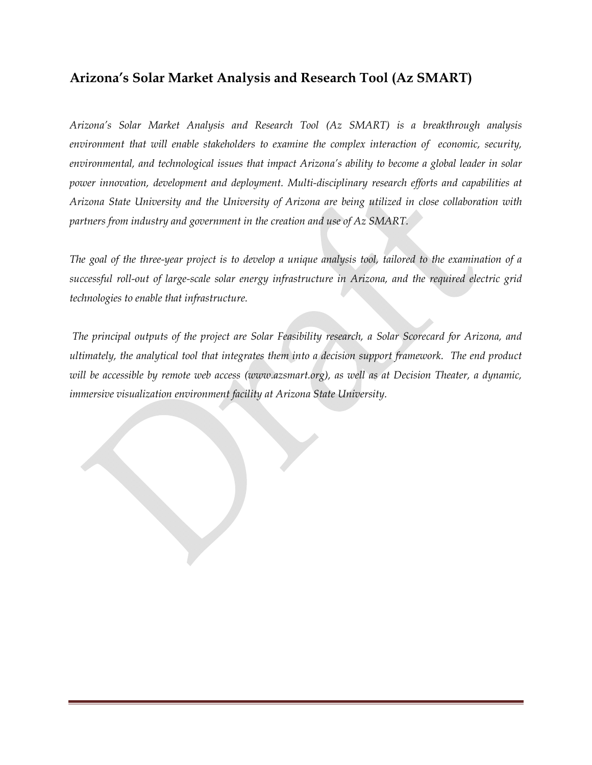## **Arizona's Solar Market Analysis and Research Tool (Az SMART)**

*Arizona's Solar Market Analysis and Research Tool (Az SMART) is a breakthrough analysis environment that will enable stakeholders to examine the complex interaction of economic, security, environmental, and technological issues that impact Arizona's ability to become a global leader in solar power innovation, development and deployment. Multi-disciplinary research efforts and capabilities at Arizona State University and the University of Arizona are being utilized in close collaboration with partners from industry and government in the creation and use of Az SMART.* 

*The goal of the three-year project is to develop a unique analysis tool, tailored to the examination of a successful roll-out of large-scale solar energy infrastructure in Arizona, and the required electric grid technologies to enable that infrastructure.* 

 *The principal outputs of the project are Solar Feasibility research, a Solar Scorecard for Arizona, and ultimately, the analytical tool that integrates them into a decision support framework. The end product will be accessible by remote web access (www.azsmart.org), as well as at Decision Theater, a dynamic, immersive visualization environment facility at Arizona State University.*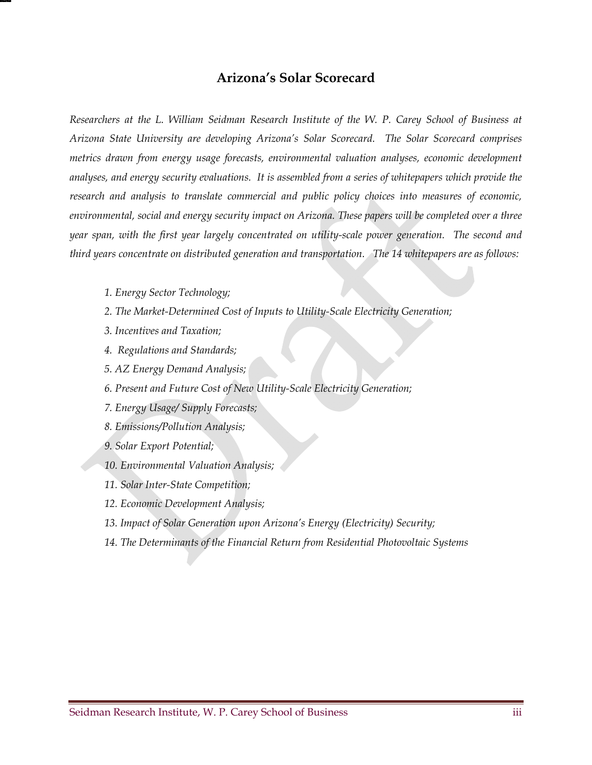#### **Arizona's Solar Scorecard**

*Researchers at the L. William Seidman Research Institute of the W. P. Carey School of Business at Arizona State University are developing Arizona's Solar Scorecard. The Solar Scorecard comprises metrics drawn from energy usage forecasts, environmental valuation analyses, economic development analyses, and energy security evaluations. It is assembled from a series of whitepapers which provide the research and analysis to translate commercial and public policy choices into measures of economic, environmental, social and energy security impact on Arizona. These papers will be completed over a three year span, with the first year largely concentrated on utility-scale power generation. The second and third years concentrate on distributed generation and transportation. The 14 whitepapers are as follows:* 

- *1. Energy Sector Technology;*
- *2. The Market-Determined Cost of Inputs to Utility-Scale Electricity Generation;*
- *3. Incentives and Taxation;*
- *4. Regulations and Standards;*
- *5. AZ Energy Demand Analysis;*
- *6. Present and Future Cost of New Utility-Scale Electricity Generation;*
- *7. Energy Usage/ Supply Forecasts;*
- *8. Emissions/Pollution Analysis;*
- *9. Solar Export Potential;*
- *10. Environmental Valuation Analysis;*
- *11. Solar Inter-State Competition;*
- *12. Economic Development Analysis;*
- *13. Impact of Solar Generation upon Arizona's Energy (Electricity) Security;*
- *14. The Determinants of the Financial Return from Residential Photovoltaic Systems*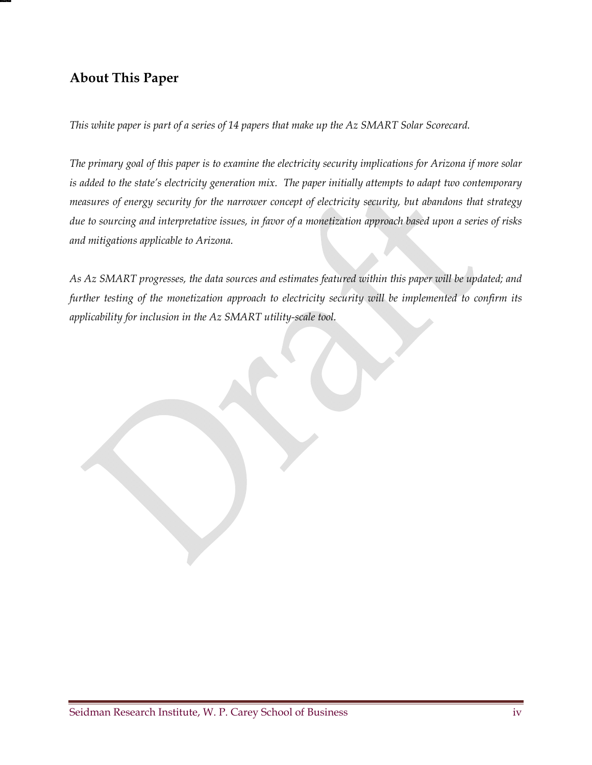## **About This Paper**

*This white paper is part of a series of 14 papers that make up the Az SMART Solar Scorecard.* 

*The primary goal of this paper is to examine the electricity security implications for Arizona if more solar is added to the state's electricity generation mix. The paper initially attempts to adapt two contemporary measures of energy security for the narrower concept of electricity security, but abandons that strategy due to sourcing and interpretative issues, in favor of a monetization approach based upon a series of risks and mitigations applicable to Arizona.* 

*As Az SMART progresses, the data sources and estimates featured within this paper will be updated; and further testing of the monetization approach to electricity security will be implemented to confirm its applicability for inclusion in the Az SMART utility-scale tool.*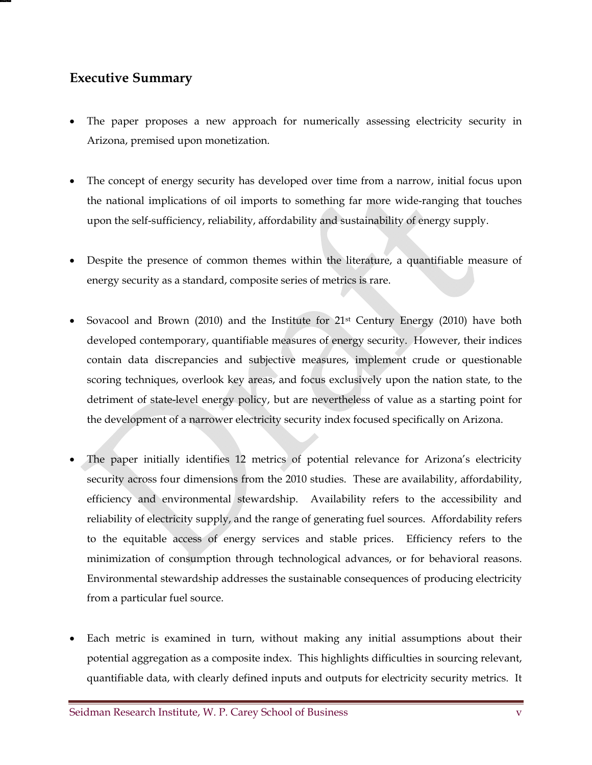## **Executive Summary**

- The paper proposes a new approach for numerically assessing electricity security in Arizona, premised upon monetization.
- The concept of energy security has developed over time from a narrow, initial focus upon the national implications of oil imports to something far more wide-ranging that touches upon the self-sufficiency, reliability, affordability and sustainability of energy supply.
- Despite the presence of common themes within the literature, a quantifiable measure of energy security as a standard, composite series of metrics is rare.
- Sovacool and Brown (2010) and the Institute for 21st Century Energy (2010) have both developed contemporary, quantifiable measures of energy security. However, their indices contain data discrepancies and subjective measures, implement crude or questionable scoring techniques, overlook key areas, and focus exclusively upon the nation state, to the detriment of state-level energy policy, but are nevertheless of value as a starting point for the development of a narrower electricity security index focused specifically on Arizona.
- The paper initially identifies 12 metrics of potential relevance for Arizona's electricity security across four dimensions from the 2010 studies. These are availability, affordability, efficiency and environmental stewardship. Availability refers to the accessibility and reliability of electricity supply, and the range of generating fuel sources. Affordability refers to the equitable access of energy services and stable prices. Efficiency refers to the minimization of consumption through technological advances, or for behavioral reasons. Environmental stewardship addresses the sustainable consequences of producing electricity from a particular fuel source.
- Each metric is examined in turn, without making any initial assumptions about their potential aggregation as a composite index. This highlights difficulties in sourcing relevant, quantifiable data, with clearly defined inputs and outputs for electricity security metrics. It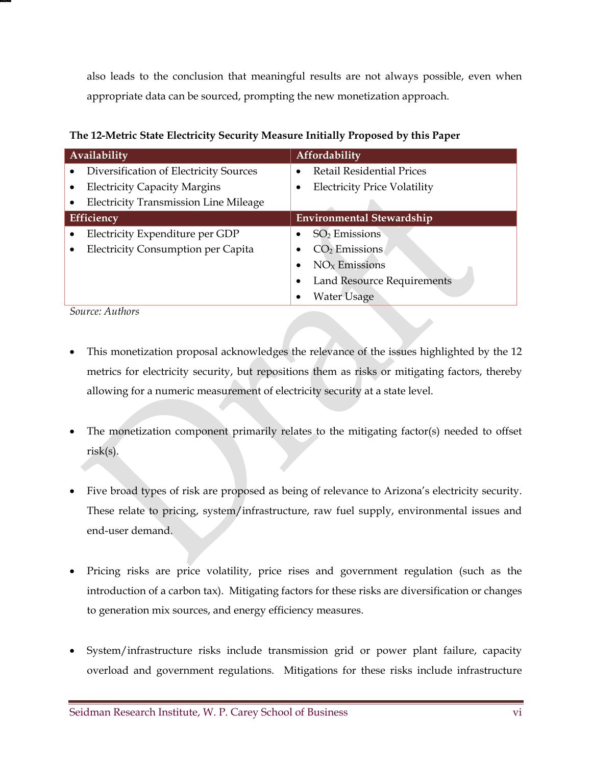also leads to the conclusion that meaningful results are not always possible, even when appropriate data can be sourced, prompting the new monetization approach.

**The 12-Metric State Electricity Security Measure Initially Proposed by this Paper** 

| <b>Availability</b>                          | <b>Affordability</b>                |
|----------------------------------------------|-------------------------------------|
| Diversification of Electricity Sources       | <b>Retail Residential Prices</b>    |
| <b>Electricity Capacity Margins</b>          | <b>Electricity Price Volatility</b> |
| <b>Electricity Transmission Line Mileage</b> |                                     |
| Efficiency                                   | <b>Environmental Stewardship</b>    |
| Electricity Expenditure per GDP              | $SO2$ Emissions                     |
| <b>Electricity Consumption per Capita</b>    | $CO2$ Emissions                     |
|                                              | $NOx$ Emissions                     |
|                                              | <b>Land Resource Requirements</b>   |
|                                              | Water Usage                         |

*Source: Authors* 

- This monetization proposal acknowledges the relevance of the issues highlighted by the 12 metrics for electricity security, but repositions them as risks or mitigating factors, thereby allowing for a numeric measurement of electricity security at a state level.
- The monetization component primarily relates to the mitigating factor(s) needed to offset risk(s).
- Five broad types of risk are proposed as being of relevance to Arizona's electricity security. These relate to pricing, system/infrastructure, raw fuel supply, environmental issues and end-user demand.
- Pricing risks are price volatility, price rises and government regulation (such as the introduction of a carbon tax). Mitigating factors for these risks are diversification or changes to generation mix sources, and energy efficiency measures.
- System/infrastructure risks include transmission grid or power plant failure, capacity overload and government regulations. Mitigations for these risks include infrastructure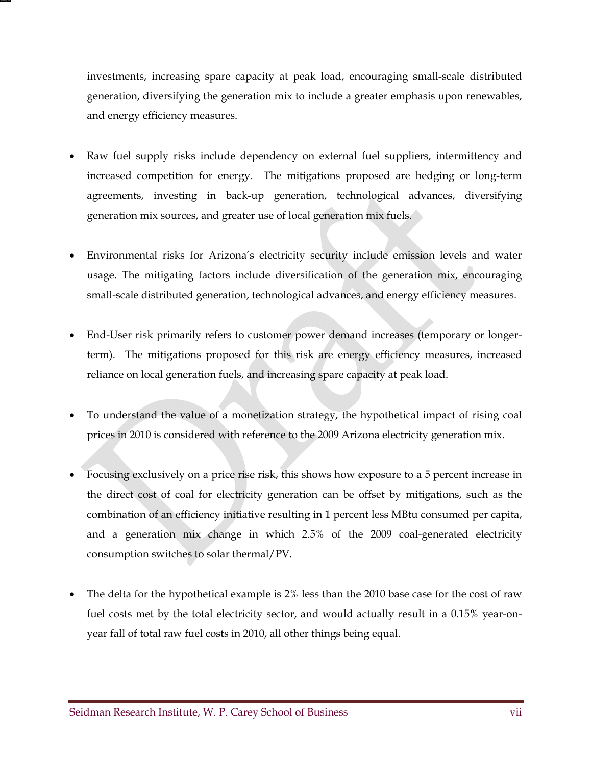investments, increasing spare capacity at peak load, encouraging small-scale distributed generation, diversifying the generation mix to include a greater emphasis upon renewables, and energy efficiency measures.

- Raw fuel supply risks include dependency on external fuel suppliers, intermittency and increased competition for energy. The mitigations proposed are hedging or long-term agreements, investing in back-up generation, technological advances, diversifying generation mix sources, and greater use of local generation mix fuels.
- Environmental risks for Arizona's electricity security include emission levels and water usage. The mitigating factors include diversification of the generation mix, encouraging small-scale distributed generation, technological advances, and energy efficiency measures.
- End-User risk primarily refers to customer power demand increases (temporary or longerterm). The mitigations proposed for this risk are energy efficiency measures, increased reliance on local generation fuels, and increasing spare capacity at peak load.
- To understand the value of a monetization strategy, the hypothetical impact of rising coal prices in 2010 is considered with reference to the 2009 Arizona electricity generation mix.
- Focusing exclusively on a price rise risk, this shows how exposure to a 5 percent increase in the direct cost of coal for electricity generation can be offset by mitigations, such as the combination of an efficiency initiative resulting in 1 percent less MBtu consumed per capita, and a generation mix change in which 2.5% of the 2009 coal-generated electricity consumption switches to solar thermal/PV.
- The delta for the hypothetical example is 2% less than the 2010 base case for the cost of raw fuel costs met by the total electricity sector, and would actually result in a 0.15% year-onyear fall of total raw fuel costs in 2010, all other things being equal.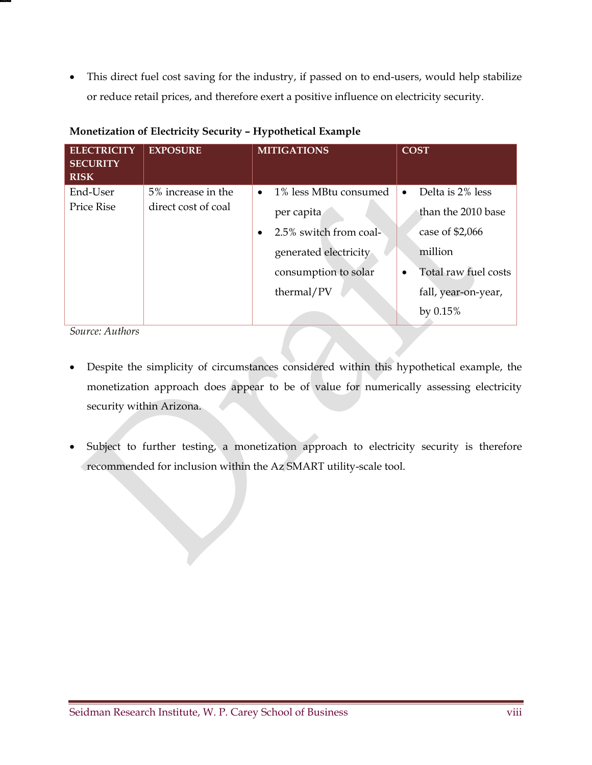This direct fuel cost saving for the industry, if passed on to end-users, would help stabilize or reduce retail prices, and therefore exert a positive influence on electricity security.

| <b>ELECTRICITY</b><br><b>SECURITY</b><br><b>RISK</b> | <b>EXPOSURE</b>     | <b>MITIGATIONS</b>                  | <b>COST</b>                       |
|------------------------------------------------------|---------------------|-------------------------------------|-----------------------------------|
| End-User                                             | 5% increase in the  | 1% less MBtu consumed<br>$\bullet$  | Delta is 2% less<br>$\bullet$     |
| <b>Price Rise</b>                                    | direct cost of coal | per capita                          | than the 2010 base                |
|                                                      |                     | 2.5% switch from coal-<br>$\bullet$ | case of $$2,066$                  |
|                                                      |                     | generated electricity               | million                           |
|                                                      |                     | consumption to solar                | Total raw fuel costs<br>$\bullet$ |
|                                                      |                     | thermal/PV                          | fall, year-on-year,               |
|                                                      |                     |                                     | by $0.15%$                        |

#### **Monetization of Electricity Security – Hypothetical Example**

*Source: Authors* 

- Despite the simplicity of circumstances considered within this hypothetical example, the monetization approach does appear to be of value for numerically assessing electricity security within Arizona.
- Subject to further testing, a monetization approach to electricity security is therefore recommended for inclusion within the Az SMART utility-scale tool.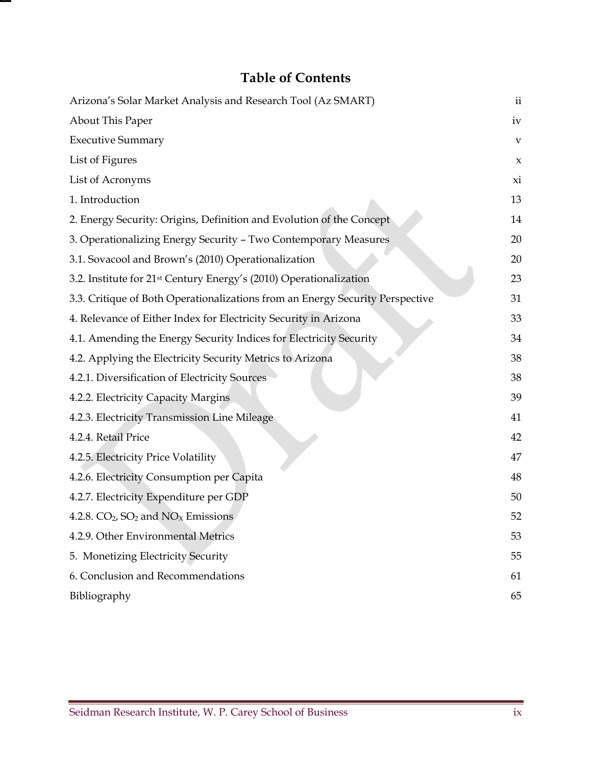## **Table of Contents**

| Arizona's Solar Market Analysis and Research Tool (Az SMART)                   | $\mathbf{ii}$ |
|--------------------------------------------------------------------------------|---------------|
| About This Paper                                                               | iv            |
| <b>Executive Summary</b>                                                       | $\mathbf{V}$  |
| List of Figures                                                                | $\mathsf X$   |
| List of Acronyms                                                               | xi            |
| 1. Introduction                                                                | 13            |
| 2. Energy Security: Origins, Definition and Evolution of the Concept           | 14            |
| 3. Operationalizing Energy Security - Two Contemporary Measures                | 20            |
| 3.1. Sovacool and Brown's (2010) Operationalization                            | 20            |
| 3.2. Institute for 21 <sup>st</sup> Century Energy's (2010) Operationalization | 23            |
| 3.3. Critique of Both Operationalizations from an Energy Security Perspective  | 31            |
| 4. Relevance of Either Index for Electricity Security in Arizona               | 33            |
| 4.1. Amending the Energy Security Indices for Electricity Security             | 34            |
| 4.2. Applying the Electricity Security Metrics to Arizona                      | 38            |
| 4.2.1. Diversification of Electricity Sources                                  | 38            |
| 4.2.2. Electricity Capacity Margins                                            | 39            |
| 4.2.3. Electricity Transmission Line Mileage                                   | 41            |
| 4.2.4. Retail Price                                                            | 42            |
| 4.2.5. Electricity Price Volatility                                            | 47            |
| 4.2.6. Electricity Consumption per Capita                                      | 48            |
| 4.2.7. Electricity Expenditure per GDP                                         | 50            |
| 4.2.8. $CO2$ , $SO2$ and $NOx$ Emissions                                       | 52            |
| 4.2.9. Other Environmental Metrics                                             | 53            |
| 5. Monetizing Electricity Security                                             | 55            |
| 6. Conclusion and Recommendations                                              | 61            |
| Bibliography                                                                   | 65            |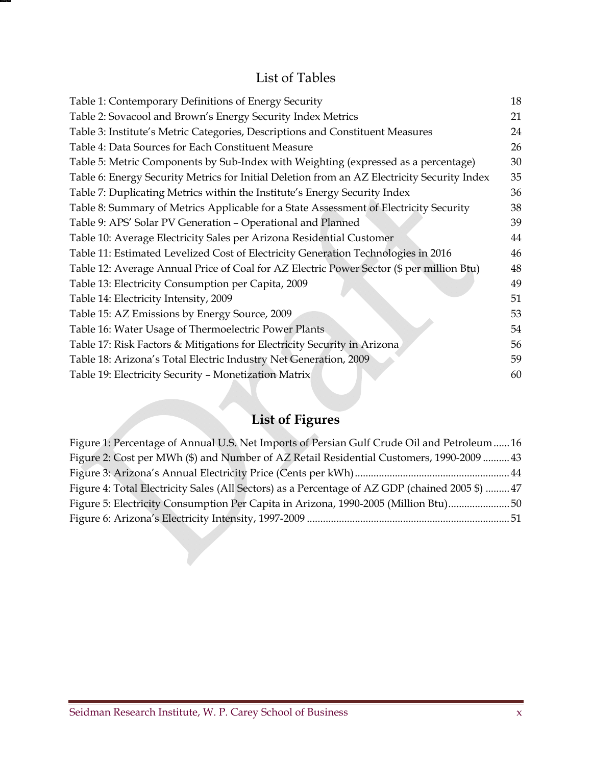## List of Tables

| Table 1: Contemporary Definitions of Energy Security                                        | 18 |
|---------------------------------------------------------------------------------------------|----|
| Table 2: Sovacool and Brown's Energy Security Index Metrics                                 | 21 |
| Table 3: Institute's Metric Categories, Descriptions and Constituent Measures               | 24 |
| Table 4: Data Sources for Each Constituent Measure                                          | 26 |
| Table 5: Metric Components by Sub-Index with Weighting (expressed as a percentage)          | 30 |
| Table 6: Energy Security Metrics for Initial Deletion from an AZ Electricity Security Index | 35 |
| Table 7: Duplicating Metrics within the Institute's Energy Security Index                   | 36 |
| Table 8: Summary of Metrics Applicable for a State Assessment of Electricity Security       | 38 |
| Table 9: APS' Solar PV Generation - Operational and Planned                                 | 39 |
| Table 10: Average Electricity Sales per Arizona Residential Customer                        | 44 |
| Table 11: Estimated Levelized Cost of Electricity Generation Technologies in 2016           | 46 |
| Table 12: Average Annual Price of Coal for AZ Electric Power Sector (\$ per million Btu)    | 48 |
| Table 13: Electricity Consumption per Capita, 2009                                          | 49 |
| Table 14: Electricity Intensity, 2009                                                       | 51 |
| Table 15: AZ Emissions by Energy Source, 2009                                               | 53 |
| Table 16: Water Usage of Thermoelectric Power Plants                                        | 54 |
| Table 17: Risk Factors & Mitigations for Electricity Security in Arizona                    | 56 |
| Table 18: Arizona's Total Electric Industry Net Generation, 2009                            | 59 |
| Table 19: Electricity Security - Monetization Matrix                                        | 60 |
|                                                                                             |    |

## **List of Figures**

| Figure 1: Percentage of Annual U.S. Net Imports of Persian Gulf Crude Oil and Petroleum 16     |
|------------------------------------------------------------------------------------------------|
| Figure 2: Cost per MWh (\$) and Number of AZ Retail Residential Customers, 1990-2009  43       |
|                                                                                                |
| Figure 4: Total Electricity Sales (All Sectors) as a Percentage of AZ GDP (chained 2005 \$) 47 |
| Figure 5: Electricity Consumption Per Capita in Arizona, 1990-2005 (Million Btu)50             |
|                                                                                                |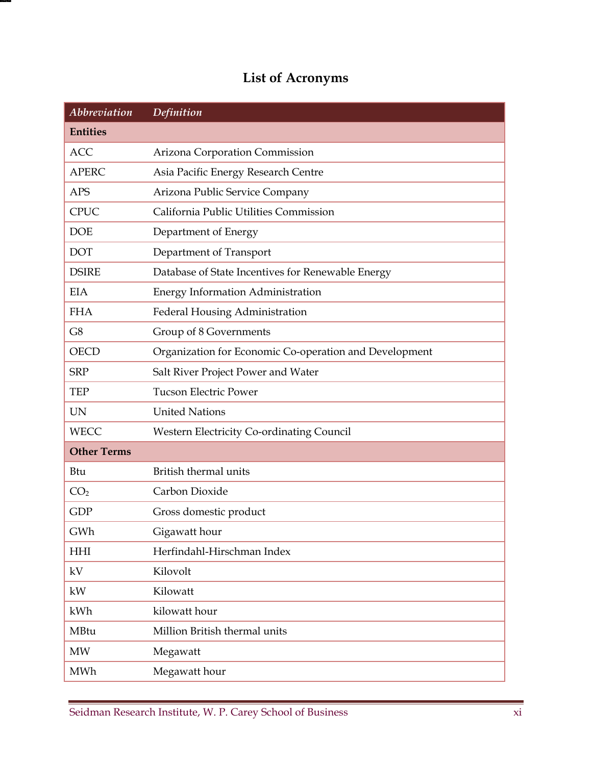## **List of Acronyms**

| <b>Abbreviation</b> | Definition                                             |
|---------------------|--------------------------------------------------------|
| <b>Entities</b>     |                                                        |
| <b>ACC</b>          | Arizona Corporation Commission                         |
| <b>APERC</b>        | Asia Pacific Energy Research Centre                    |
| <b>APS</b>          | Arizona Public Service Company                         |
| <b>CPUC</b>         | California Public Utilities Commission                 |
| <b>DOE</b>          | Department of Energy                                   |
| <b>DOT</b>          | Department of Transport                                |
| <b>DSIRE</b>        | Database of State Incentives for Renewable Energy      |
| <b>EIA</b>          | <b>Energy Information Administration</b>               |
| <b>FHA</b>          | Federal Housing Administration                         |
| G8                  | Group of 8 Governments                                 |
| <b>OECD</b>         | Organization for Economic Co-operation and Development |
| <b>SRP</b>          | Salt River Project Power and Water                     |
| <b>TEP</b>          | <b>Tucson Electric Power</b>                           |
| <b>UN</b>           | <b>United Nations</b>                                  |
| <b>WECC</b>         | <b>Western Electricity Co-ordinating Council</b>       |
| <b>Other Terms</b>  |                                                        |
| Btu                 | British thermal units                                  |
| CO <sub>2</sub>     | Carbon Dioxide                                         |
| <b>GDP</b>          | Gross domestic product                                 |
| GWh                 | Gigawatt hour                                          |
| <b>HHI</b>          | Herfindahl-Hirschman Index                             |
| kV                  | Kilovolt                                               |
| kW                  | Kilowatt                                               |
| kWh                 | kilowatt hour                                          |
| MBtu                | Million British thermal units                          |
| <b>MW</b>           | Megawatt                                               |
| MWh                 | Megawatt hour                                          |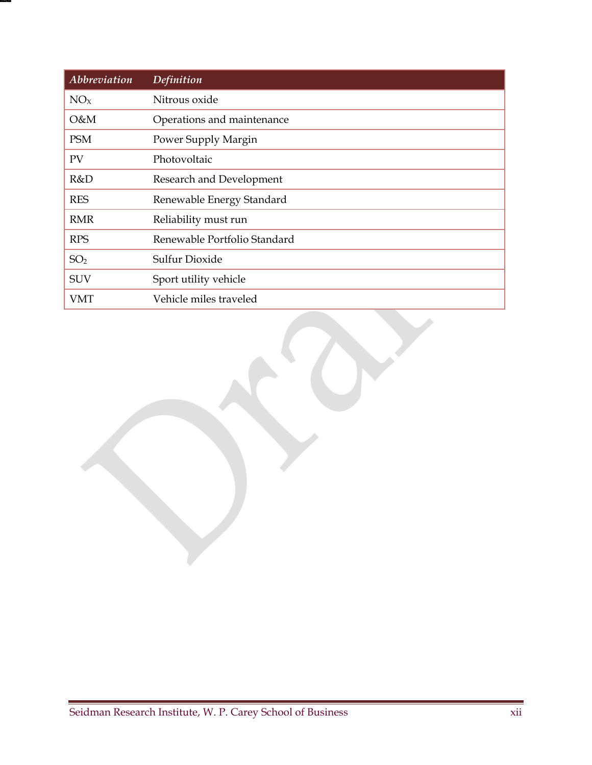| Abbreviation    | <b>Definition</b>            |
|-----------------|------------------------------|
| NO <sub>X</sub> | Nitrous oxide                |
| O&M             | Operations and maintenance   |
| <b>PSM</b>      | Power Supply Margin          |
| PV              | Photovoltaic                 |
| R&D             | Research and Development     |
| <b>RES</b>      | Renewable Energy Standard    |
| <b>RMR</b>      | Reliability must run         |
| <b>RPS</b>      | Renewable Portfolio Standard |
| SO <sub>2</sub> | Sulfur Dioxide               |
| <b>SUV</b>      | Sport utility vehicle        |
| VMT             | Vehicle miles traveled       |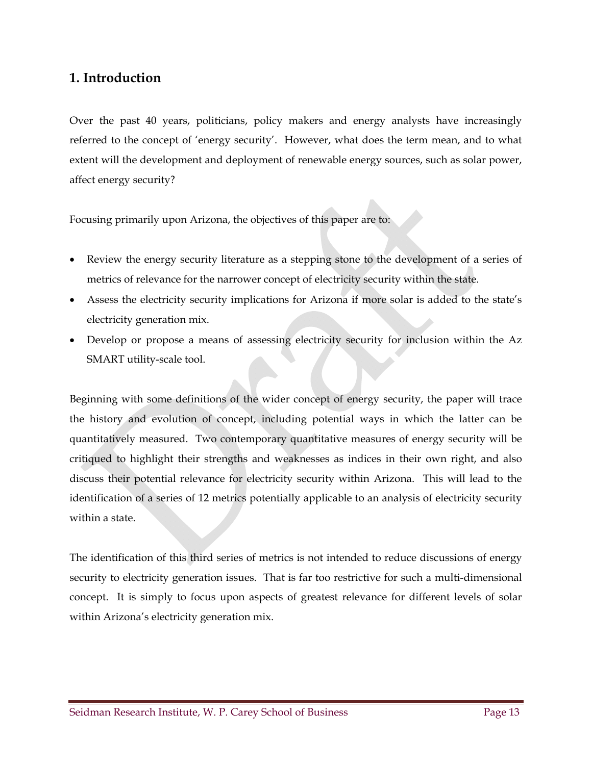## **1. Introduction**

Over the past 40 years, politicians, policy makers and energy analysts have increasingly referred to the concept of 'energy security'. However, what does the term mean, and to what extent will the development and deployment of renewable energy sources, such as solar power, affect energy security?

Focusing primarily upon Arizona, the objectives of this paper are to:

- Review the energy security literature as a stepping stone to the development of a series of metrics of relevance for the narrower concept of electricity security within the state.
- Assess the electricity security implications for Arizona if more solar is added to the state's electricity generation mix.
- Develop or propose a means of assessing electricity security for inclusion within the Az SMART utility-scale tool.

Beginning with some definitions of the wider concept of energy security, the paper will trace the history and evolution of concept, including potential ways in which the latter can be quantitatively measured. Two contemporary quantitative measures of energy security will be critiqued to highlight their strengths and weaknesses as indices in their own right, and also discuss their potential relevance for electricity security within Arizona. This will lead to the identification of a series of 12 metrics potentially applicable to an analysis of electricity security within a state.

The identification of this third series of metrics is not intended to reduce discussions of energy security to electricity generation issues. That is far too restrictive for such a multi-dimensional concept. It is simply to focus upon aspects of greatest relevance for different levels of solar within Arizona's electricity generation mix.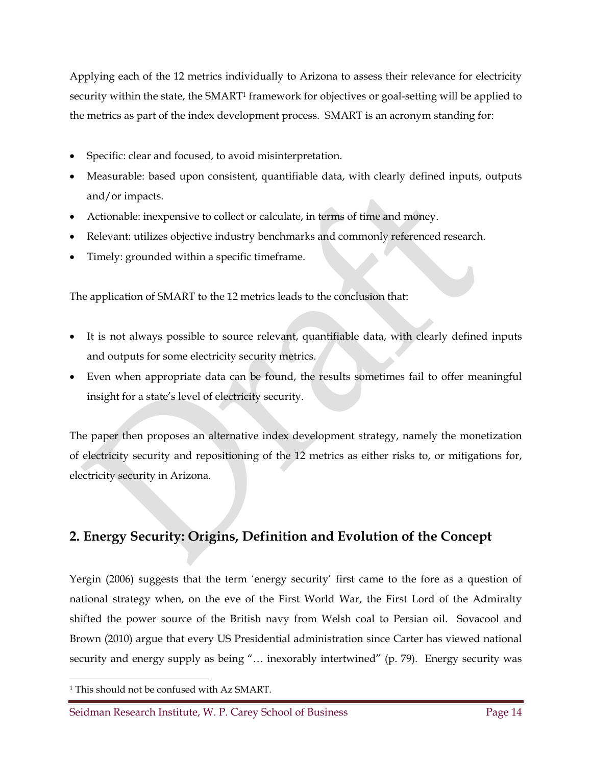Applying each of the 12 metrics individually to Arizona to assess their relevance for electricity security within the state, the SMART<sup>1</sup> framework for objectives or goal-setting will be applied to the metrics as part of the index development process. SMART is an acronym standing for:

- Specific: clear and focused, to avoid misinterpretation.
- Measurable: based upon consistent, quantifiable data, with clearly defined inputs, outputs and/or impacts.
- Actionable: inexpensive to collect or calculate, in terms of time and money.
- Relevant: utilizes objective industry benchmarks and commonly referenced research.
- Timely: grounded within a specific timeframe.

The application of SMART to the 12 metrics leads to the conclusion that:

- It is not always possible to source relevant, quantifiable data, with clearly defined inputs and outputs for some electricity security metrics.
- Even when appropriate data can be found, the results sometimes fail to offer meaningful insight for a state's level of electricity security.

The paper then proposes an alternative index development strategy, namely the monetization of electricity security and repositioning of the 12 metrics as either risks to, or mitigations for, electricity security in Arizona.

## **2. Energy Security: Origins, Definition and Evolution of the Concept**

Yergin (2006) suggests that the term 'energy security' first came to the fore as a question of national strategy when, on the eve of the First World War, the First Lord of the Admiralty shifted the power source of the British navy from Welsh coal to Persian oil. Sovacool and Brown (2010) argue that every US Presidential administration since Carter has viewed national security and energy supply as being "... inexorably intertwined" (p. 79). Energy security was

 $\overline{a}$ 

<sup>1</sup> This should not be confused with Az SMART.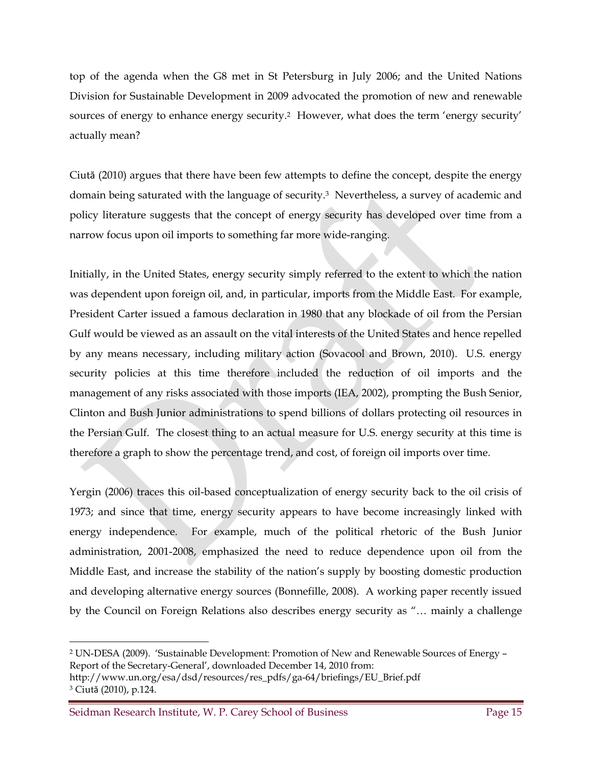top of the agenda when the G8 met in St Petersburg in July 2006; and the United Nations Division for Sustainable Development in 2009 advocated the promotion of new and renewable sources of energy to enhance energy security.<sup>2</sup> However, what does the term 'energy security' actually mean?

Ciută (2010) argues that there have been few attempts to define the concept, despite the energy domain being saturated with the language of security.3 Nevertheless, a survey of academic and policy literature suggests that the concept of energy security has developed over time from a narrow focus upon oil imports to something far more wide-ranging.

Initially, in the United States, energy security simply referred to the extent to which the nation was dependent upon foreign oil, and, in particular, imports from the Middle East. For example, President Carter issued a famous declaration in 1980 that any blockade of oil from the Persian Gulf would be viewed as an assault on the vital interests of the United States and hence repelled by any means necessary, including military action (Sovacool and Brown, 2010). U.S. energy security policies at this time therefore included the reduction of oil imports and the management of any risks associated with those imports (IEA, 2002), prompting the Bush Senior, Clinton and Bush Junior administrations to spend billions of dollars protecting oil resources in the Persian Gulf. The closest thing to an actual measure for U.S. energy security at this time is therefore a graph to show the percentage trend, and cost, of foreign oil imports over time.

Yergin (2006) traces this oil-based conceptualization of energy security back to the oil crisis of 1973; and since that time, energy security appears to have become increasingly linked with energy independence. For example, much of the political rhetoric of the Bush Junior administration, 2001-2008, emphasized the need to reduce dependence upon oil from the Middle East, and increase the stability of the nation's supply by boosting domestic production and developing alternative energy sources (Bonnefille, 2008). A working paper recently issued by the Council on Foreign Relations also describes energy security as "… mainly a challenge

 $\ddot{\phantom{a}}$ 

<sup>2</sup> UN-DESA (2009). 'Sustainable Development: Promotion of New and Renewable Sources of Energy – Report of the Secretary-General', downloaded December 14, 2010 from:

http://www.un.org/esa/dsd/resources/res\_pdfs/ga-64/briefings/EU\_Brief.pdf 3 Ciută (2010), p.124.

Seidman Research Institute, W. P. Carey School of Business Page 15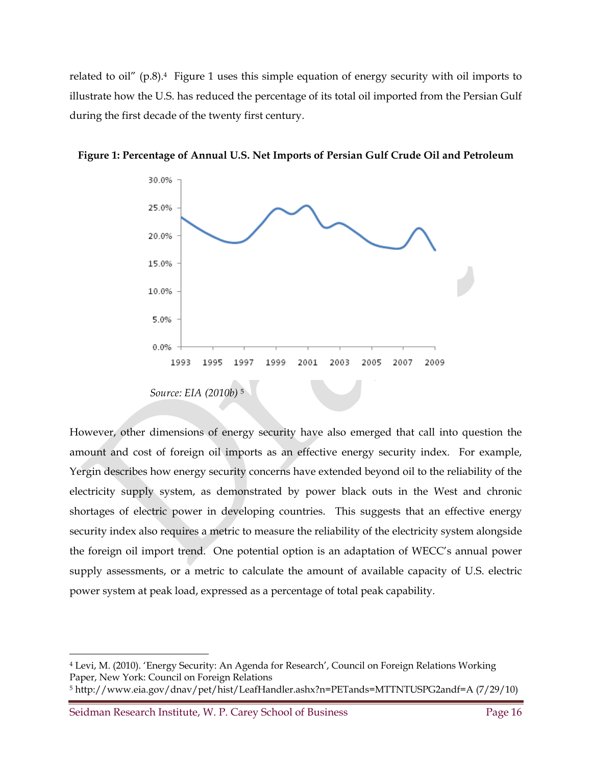related to oil"  $(p.8)$ .<sup>4</sup> Figure 1 uses this simple equation of energy security with oil imports to illustrate how the U.S. has reduced the percentage of its total oil imported from the Persian Gulf during the first decade of the twenty first century.



**Figure 1: Percentage of Annual U.S. Net Imports of Persian Gulf Crude Oil and Petroleum** 

However, other dimensions of energy security have also emerged that call into question the amount and cost of foreign oil imports as an effective energy security index. For example, Yergin describes how energy security concerns have extended beyond oil to the reliability of the electricity supply system, as demonstrated by power black outs in the West and chronic shortages of electric power in developing countries. This suggests that an effective energy security index also requires a metric to measure the reliability of the electricity system alongside the foreign oil import trend. One potential option is an adaptation of WECC's annual power supply assessments, or a metric to calculate the amount of available capacity of U.S. electric power system at peak load, expressed as a percentage of total peak capability.

Seidman Research Institute, W. P. Carey School of Business Page 16

 $\overline{a}$ 

<sup>4</sup> Levi, M. (2010). 'Energy Security: An Agenda for Research', Council on Foreign Relations Working Paper, New York: Council on Foreign Relations

<sup>5</sup> http://www.eia.gov/dnav/pet/hist/LeafHandler.ashx?n=PETands=MTTNTUSPG2andf=A (7/29/10)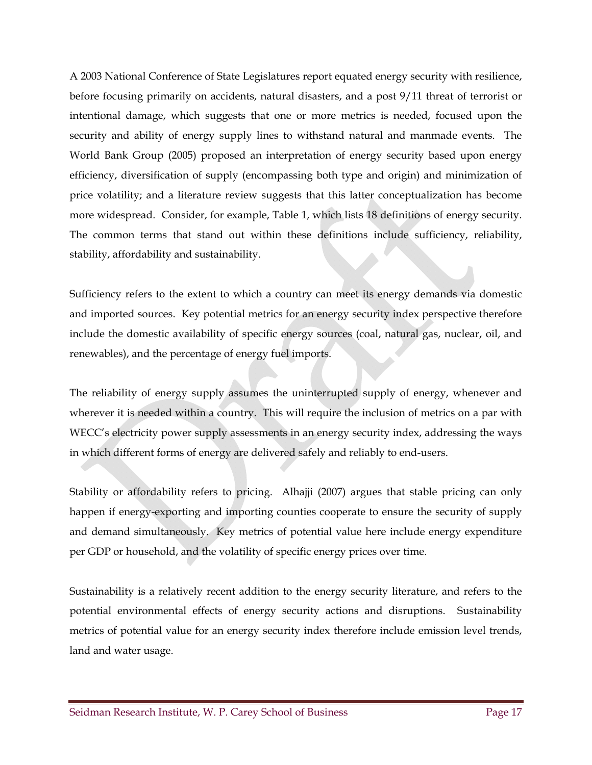A 2003 National Conference of State Legislatures report equated energy security with resilience, before focusing primarily on accidents, natural disasters, and a post 9/11 threat of terrorist or intentional damage, which suggests that one or more metrics is needed, focused upon the security and ability of energy supply lines to withstand natural and manmade events. The World Bank Group (2005) proposed an interpretation of energy security based upon energy efficiency, diversification of supply (encompassing both type and origin) and minimization of price volatility; and a literature review suggests that this latter conceptualization has become more widespread. Consider, for example, Table 1, which lists 18 definitions of energy security. The common terms that stand out within these definitions include sufficiency, reliability, stability, affordability and sustainability.

Sufficiency refers to the extent to which a country can meet its energy demands via domestic and imported sources. Key potential metrics for an energy security index perspective therefore include the domestic availability of specific energy sources (coal, natural gas, nuclear, oil, and renewables), and the percentage of energy fuel imports.

The reliability of energy supply assumes the uninterrupted supply of energy, whenever and wherever it is needed within a country. This will require the inclusion of metrics on a par with WECC's electricity power supply assessments in an energy security index, addressing the ways in which different forms of energy are delivered safely and reliably to end-users.

Stability or affordability refers to pricing. Alhajji (2007) argues that stable pricing can only happen if energy-exporting and importing counties cooperate to ensure the security of supply and demand simultaneously. Key metrics of potential value here include energy expenditure per GDP or household, and the volatility of specific energy prices over time.

Sustainability is a relatively recent addition to the energy security literature, and refers to the potential environmental effects of energy security actions and disruptions. Sustainability metrics of potential value for an energy security index therefore include emission level trends, land and water usage.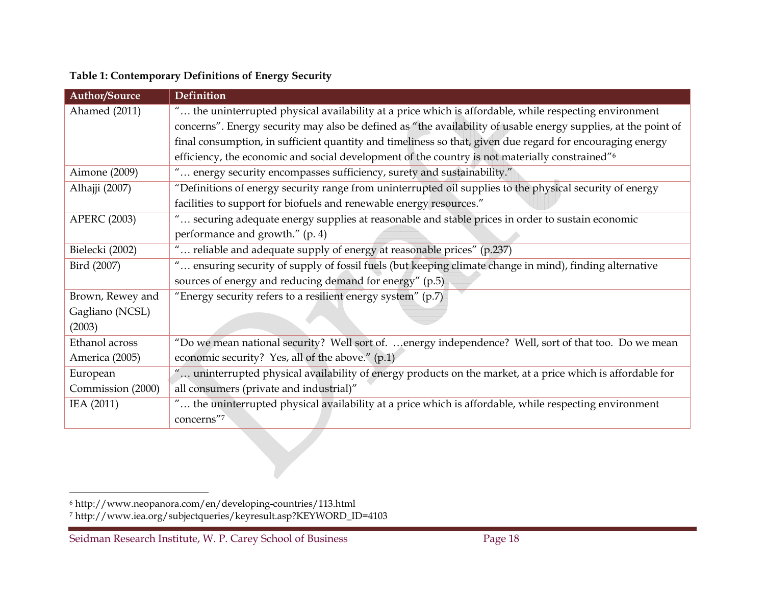| Table 1: Contemporary Definitions of Energy Security |  |  |
|------------------------------------------------------|--|--|
|                                                      |  |  |

| <b>Author/Source</b> | Definition                                                                                                     |
|----------------------|----------------------------------------------------------------------------------------------------------------|
| Ahamed (2011)        | " the uninterrupted physical availability at a price which is affordable, while respecting environment         |
|                      | concerns". Energy security may also be defined as "the availability of usable energy supplies, at the point of |
|                      | final consumption, in sufficient quantity and timeliness so that, given due regard for encouraging energy      |
|                      | efficiency, the economic and social development of the country is not materially constrained" <sup>6</sup>     |
| Aimone (2009)        | " energy security encompasses sufficiency, surety and sustainability."                                         |
| Alhajji (2007)       | "Definitions of energy security range from uninterrupted oil supplies to the physical security of energy       |
|                      | facilities to support for biofuels and renewable energy resources."                                            |
| <b>APERC (2003)</b>  | " securing adequate energy supplies at reasonable and stable prices in order to sustain economic               |
|                      | performance and growth." (p. 4)                                                                                |
| Bielecki (2002)      | " reliable and adequate supply of energy at reasonable prices" (p.237)                                         |
| Bird (2007)          | " ensuring security of supply of fossil fuels (but keeping climate change in mind), finding alternative        |
|                      | sources of energy and reducing demand for energy" (p.5)                                                        |
| Brown, Rewey and     | "Energy security refers to a resilient energy system" $(p.7)$                                                  |
| Gagliano (NCSL)      |                                                                                                                |
| (2003)               |                                                                                                                |
| Ethanol across       | "Do we mean national security? Well sort of. energy independence? Well, sort of that too. Do we mean           |
| America (2005)       | economic security? Yes, all of the above." (p.1)                                                               |
| European             | " uninterrupted physical availability of energy products on the market, at a price which is affordable for     |
| Commission (2000)    | all consumers (private and industrial)"                                                                        |
| IEA (2011)           | " the uninterrupted physical availability at a price which is affordable, while respecting environment         |
|                      | concerns"7                                                                                                     |

<sup>6</sup> http://www.neopanora.com/en/developing-countries/113.html

<sup>7</sup> http://www.iea.org/subjectqueries/keyresult.asp?KEYWORD\_ID=4103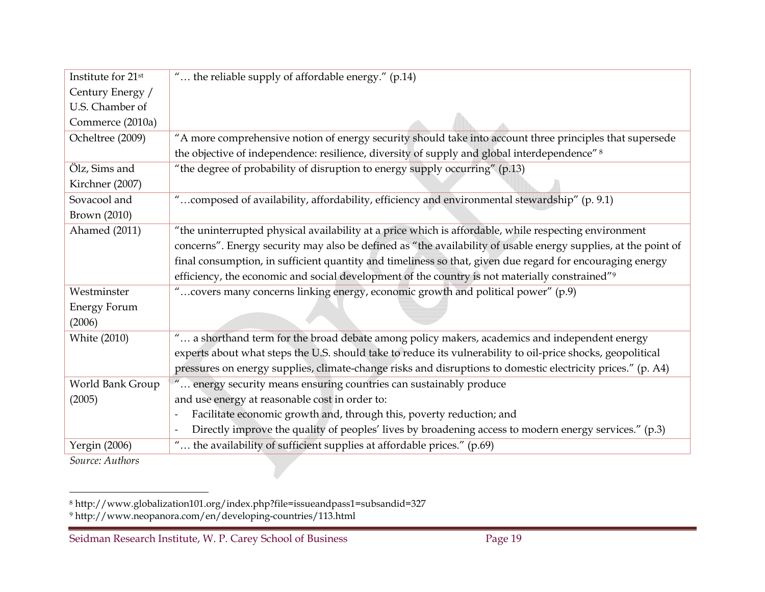| " the reliable supply of affordable energy." (p.14)                                                            |
|----------------------------------------------------------------------------------------------------------------|
|                                                                                                                |
|                                                                                                                |
|                                                                                                                |
| "A more comprehensive notion of energy security should take into account three principles that supersede       |
| the objective of independence: resilience, diversity of supply and global interdependence" 8                   |
| "the degree of probability of disruption to energy supply occurring" (p.13)                                    |
|                                                                                                                |
| composed of availability, affordability, efficiency and environmental stewardship" (p. 9.1)                    |
|                                                                                                                |
| "the uninterrupted physical availability at a price which is affordable, while respecting environment          |
| concerns". Energy security may also be defined as "the availability of usable energy supplies, at the point of |
| final consumption, in sufficient quantity and timeliness so that, given due regard for encouraging energy      |
| efficiency, the economic and social development of the country is not materially constrained" <sup>9</sup>     |
| " covers many concerns linking energy, economic growth and political power" (p.9)                              |
|                                                                                                                |
|                                                                                                                |
| " a shorthand term for the broad debate among policy makers, academics and independent energy                  |
| experts about what steps the U.S. should take to reduce its vulnerability to oil-price shocks, geopolitical    |
| pressures on energy supplies, climate-change risks and disruptions to domestic electricity prices." (p. A4)    |
| energy security means ensuring countries can sustainably produce                                               |
| and use energy at reasonable cost in order to:                                                                 |
| Facilitate economic growth and, through this, poverty reduction; and                                           |
| Directly improve the quality of peoples' lives by broadening access to modern energy services." (p.3)          |
| " the availability of sufficient supplies at affordable prices." (p.69)                                        |
|                                                                                                                |

*Source: Authors*

8 http://www.globalization101.org/index.php?file=issueandpass1=subsandid=327 9 http://www.neopanora.com/en/developing-countries/113.html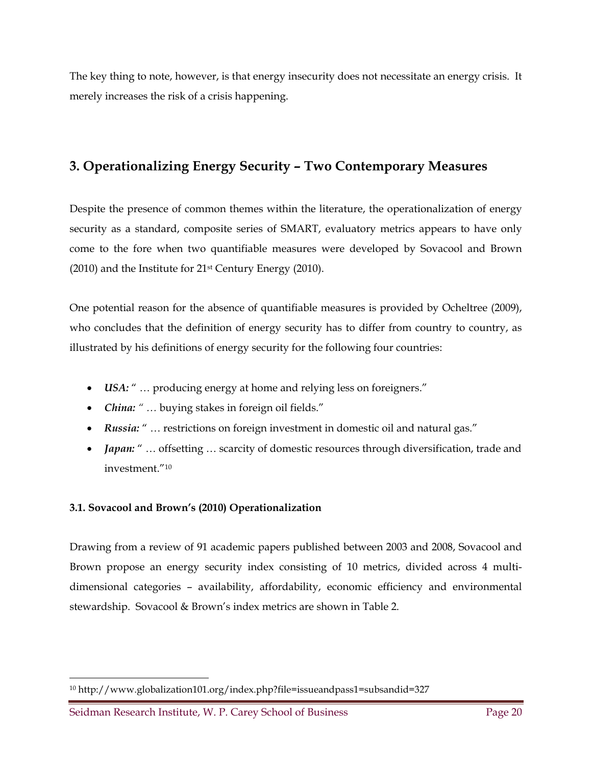The key thing to note, however, is that energy insecurity does not necessitate an energy crisis. It merely increases the risk of a crisis happening.

## **3. Operationalizing Energy Security – Two Contemporary Measures**

Despite the presence of common themes within the literature, the operationalization of energy security as a standard, composite series of SMART, evaluatory metrics appears to have only come to the fore when two quantifiable measures were developed by Sovacool and Brown  $(2010)$  and the Institute for  $21$ <sup>st</sup> Century Energy  $(2010)$ .

One potential reason for the absence of quantifiable measures is provided by Ocheltree (2009), who concludes that the definition of energy security has to differ from country to country, as illustrated by his definitions of energy security for the following four countries:

- *USA:* " … producing energy at home and relying less on foreigners."
- *China: " …* buying stakes in foreign oil fields."
- *Russia:* " … restrictions on foreign investment in domestic oil and natural gas."
- *Japan:* " ... offsetting ... scarcity of domestic resources through diversification, trade and investment."10

#### **3.1. Sovacool and Brown's (2010) Operationalization**

Drawing from a review of 91 academic papers published between 2003 and 2008, Sovacool and Brown propose an energy security index consisting of 10 metrics, divided across 4 multidimensional categories – availability, affordability, economic efficiency and environmental stewardship. Sovacool & Brown's index metrics are shown in Table 2.

 $\overline{a}$ 

<sup>10</sup> http://www.globalization101.org/index.php?file=issueandpass1=subsandid=327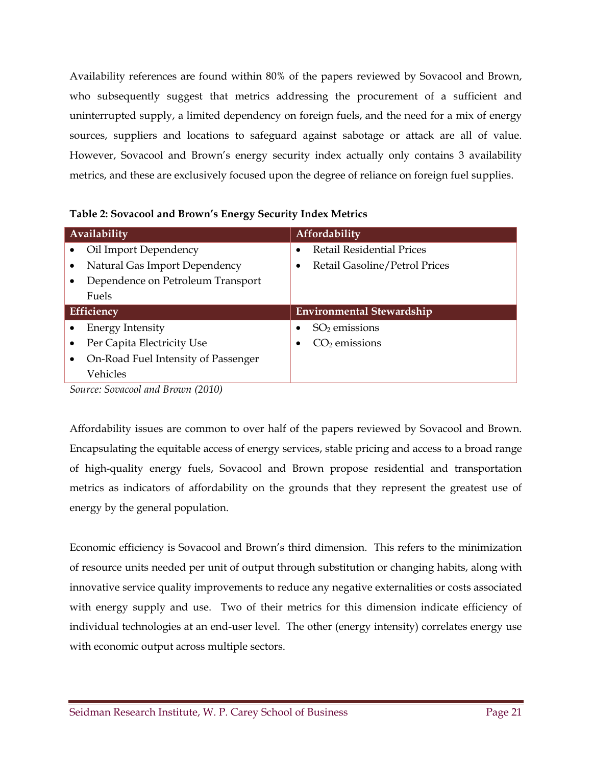Availability references are found within 80% of the papers reviewed by Sovacool and Brown, who subsequently suggest that metrics addressing the procurement of a sufficient and uninterrupted supply, a limited dependency on foreign fuels, and the need for a mix of energy sources, suppliers and locations to safeguard against sabotage or attack are all of value. However, Sovacool and Brown's energy security index actually only contains 3 availability metrics, and these are exclusively focused upon the degree of reliance on foreign fuel supplies.

|  | Table 2: Sovacool and Brown's Energy Security Index Metrics |
|--|-------------------------------------------------------------|
|  |                                                             |

| Availability                        | <b>Affordability</b>                          |
|-------------------------------------|-----------------------------------------------|
| Oil Import Dependency               | <b>Retail Residential Prices</b><br>$\bullet$ |
| Natural Gas Import Dependency       | Retail Gasoline/Petrol Prices                 |
| Dependence on Petroleum Transport   |                                               |
| Fuels                               |                                               |
|                                     |                                               |
| Efficiency                          | <b>Environmental Stewardship</b>              |
| <b>Energy Intensity</b>             | $SO2$ emissions                               |
| Per Capita Electricity Use          | $CO2$ emissions                               |
| On-Road Fuel Intensity of Passenger |                                               |
| Vehicles                            |                                               |

*Source: Sovacool and Brown (2010)* 

Affordability issues are common to over half of the papers reviewed by Sovacool and Brown. Encapsulating the equitable access of energy services, stable pricing and access to a broad range of high-quality energy fuels, Sovacool and Brown propose residential and transportation metrics as indicators of affordability on the grounds that they represent the greatest use of energy by the general population.

Economic efficiency is Sovacool and Brown's third dimension. This refers to the minimization of resource units needed per unit of output through substitution or changing habits, along with innovative service quality improvements to reduce any negative externalities or costs associated with energy supply and use. Two of their metrics for this dimension indicate efficiency of individual technologies at an end-user level. The other (energy intensity) correlates energy use with economic output across multiple sectors.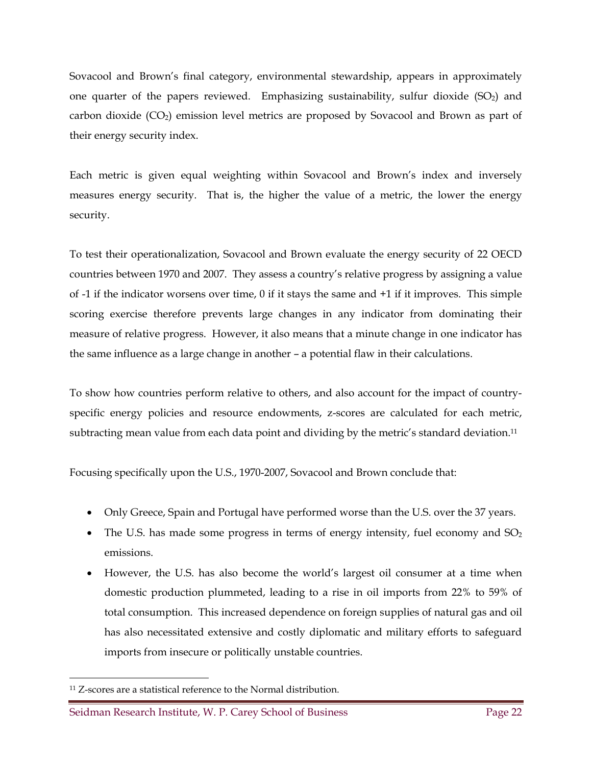Sovacool and Brown's final category, environmental stewardship, appears in approximately one quarter of the papers reviewed. Emphasizing sustainability, sulfur dioxide  $(SO<sub>2</sub>)$  and carbon dioxide  $(CO_2)$  emission level metrics are proposed by Sovacool and Brown as part of their energy security index.

Each metric is given equal weighting within Sovacool and Brown's index and inversely measures energy security. That is, the higher the value of a metric, the lower the energy security.

To test their operationalization, Sovacool and Brown evaluate the energy security of 22 OECD countries between 1970 and 2007. They assess a country's relative progress by assigning a value of -1 if the indicator worsens over time, 0 if it stays the same and +1 if it improves. This simple scoring exercise therefore prevents large changes in any indicator from dominating their measure of relative progress. However, it also means that a minute change in one indicator has the same influence as a large change in another – a potential flaw in their calculations.

To show how countries perform relative to others, and also account for the impact of countryspecific energy policies and resource endowments, z-scores are calculated for each metric, subtracting mean value from each data point and dividing by the metric's standard deviation.<sup>11</sup>

Focusing specifically upon the U.S., 1970-2007, Sovacool and Brown conclude that:

- Only Greece, Spain and Portugal have performed worse than the U.S. over the 37 years.
- The U.S. has made some progress in terms of energy intensity, fuel economy and  $SO<sub>2</sub>$ emissions.
- However, the U.S. has also become the world's largest oil consumer at a time when domestic production plummeted, leading to a rise in oil imports from 22% to 59% of total consumption. This increased dependence on foreign supplies of natural gas and oil has also necessitated extensive and costly diplomatic and military efforts to safeguard imports from insecure or politically unstable countries.

<sup>&</sup>lt;u>.</u> 11 Z-scores are a statistical reference to the Normal distribution.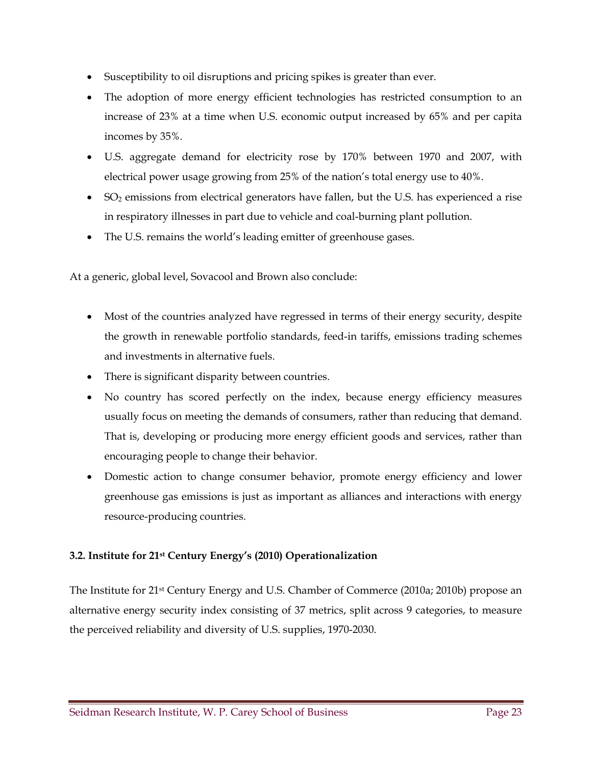- Susceptibility to oil disruptions and pricing spikes is greater than ever.
- The adoption of more energy efficient technologies has restricted consumption to an increase of 23% at a time when U.S. economic output increased by 65% and per capita incomes by 35%.
- U.S. aggregate demand for electricity rose by 170% between 1970 and 2007, with electrical power usage growing from 25% of the nation's total energy use to 40%.
- SO2 emissions from electrical generators have fallen, but the U.S. has experienced a rise in respiratory illnesses in part due to vehicle and coal-burning plant pollution.
- The U.S. remains the world's leading emitter of greenhouse gases.

At a generic, global level, Sovacool and Brown also conclude:

- Most of the countries analyzed have regressed in terms of their energy security, despite the growth in renewable portfolio standards, feed-in tariffs, emissions trading schemes and investments in alternative fuels.
- There is significant disparity between countries.
- No country has scored perfectly on the index, because energy efficiency measures usually focus on meeting the demands of consumers, rather than reducing that demand. That is, developing or producing more energy efficient goods and services, rather than encouraging people to change their behavior.
- Domestic action to change consumer behavior, promote energy efficiency and lower greenhouse gas emissions is just as important as alliances and interactions with energy resource-producing countries.

#### **3.2. Institute for 21st Century Energy's (2010) Operationalization**

The Institute for 21st Century Energy and U.S. Chamber of Commerce (2010a; 2010b) propose an alternative energy security index consisting of 37 metrics, split across 9 categories, to measure the perceived reliability and diversity of U.S. supplies, 1970-2030.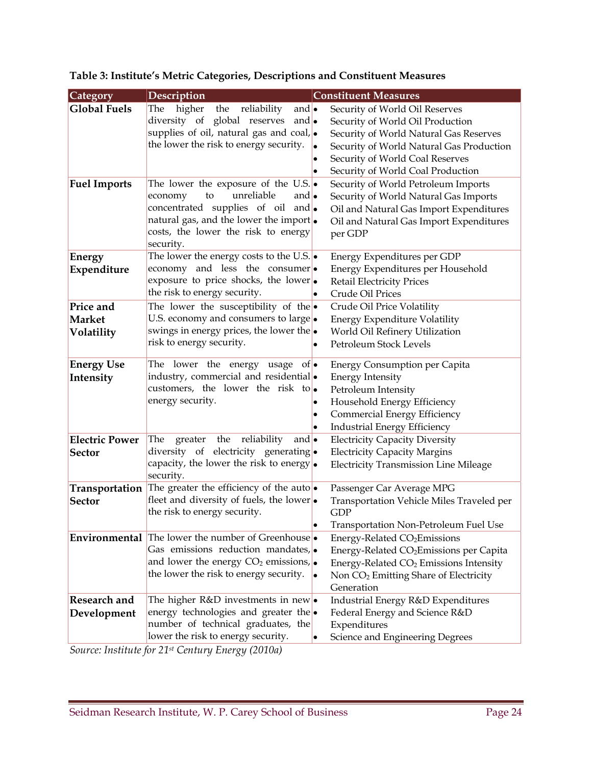| Category                                   | Description                                                                                                                                                                                                                                 |                                     | <b>Constituent Measures</b>                                                                                                                                                                                                                                             |
|--------------------------------------------|---------------------------------------------------------------------------------------------------------------------------------------------------------------------------------------------------------------------------------------------|-------------------------------------|-------------------------------------------------------------------------------------------------------------------------------------------------------------------------------------------------------------------------------------------------------------------------|
| <b>Global Fuels</b><br><b>Fuel Imports</b> | higher<br>reliability<br>The<br>the<br>and $\bullet$<br>diversity of global reserves<br>and $\bullet$<br>supplies of oil, natural gas and coal,<br>the lower the risk to energy security.<br>The lower the exposure of the U.S. $ \bullet $ | $\bullet$<br>$\bullet$<br>$\bullet$ | Security of World Oil Reserves<br>Security of World Oil Production<br>Security of World Natural Gas Reserves<br>Security of World Natural Gas Production<br>Security of World Coal Reserves<br>Security of World Coal Production<br>Security of World Petroleum Imports |
|                                            | unreliable<br>and $\bullet$<br>economy<br>to<br>concentrated supplies of oil and<br>natural gas, and the lower the import.<br>costs, the lower the risk to energy<br>security.                                                              |                                     | Security of World Natural Gas Imports<br>Oil and Natural Gas Import Expenditures<br>Oil and Natural Gas Import Expenditures<br>per GDP                                                                                                                                  |
| <b>Energy</b><br>Expenditure               | The lower the energy costs to the U.S. $\sim$<br>economy and less the consumer<br>exposure to price shocks, the lower<br>the risk to energy security.                                                                                       |                                     | Energy Expenditures per GDP<br>Energy Expenditures per Household<br><b>Retail Electricity Prices</b><br>Crude Oil Prices                                                                                                                                                |
| Price and<br><b>Market</b><br>Volatility   | The lower the susceptibility of the $\bullet$<br>U.S. economy and consumers to large<br>swings in energy prices, the lower the<br>risk to energy security.                                                                                  | $\bullet$                           | Crude Oil Price Volatility<br><b>Energy Expenditure Volatility</b><br>World Oil Refinery Utilization<br>Petroleum Stock Levels                                                                                                                                          |
| <b>Energy Use</b><br>Intensity             | The lower the energy usage of $\bullet$<br>industry, commercial and residential.<br>customers, the lower the risk to<br>energy security.                                                                                                    | $\bullet$<br>$\bullet$<br>$\bullet$ | <b>Energy Consumption per Capita</b><br><b>Energy Intensity</b><br>Petroleum Intensity<br>Household Energy Efficiency<br>Commercial Energy Efficiency<br><b>Industrial Energy Efficiency</b>                                                                            |
| <b>Electric Power</b><br><b>Sector</b>     | reliability<br>The<br>greater<br>the<br>and $\bullet$<br>diversity of electricity generating.<br>capacity, the lower the risk to energy $\bullet$<br>security.                                                                              |                                     | <b>Electricity Capacity Diversity</b><br><b>Electricity Capacity Margins</b><br><b>Electricity Transmission Line Mileage</b>                                                                                                                                            |
| Transportation<br><b>Sector</b>            | The greater the efficiency of the auto $\bullet$<br>fleet and diversity of fuels, the lower<br>the risk to energy security.                                                                                                                 | $\bullet$                           | Passenger Car Average MPG<br>Transportation Vehicle Miles Traveled per<br><b>GDP</b><br>Transportation Non-Petroleum Fuel Use                                                                                                                                           |
|                                            | <b>Environmental</b> The lower the number of Greenhouse •<br>Gas emissions reduction mandates,<br>and lower the energy $CO2$ emissions,<br>the lower the risk to energy security.                                                           | $\bullet$                           | Energy-Related CO <sub>2</sub> Emissions<br>Energy-Related CO <sub>2</sub> Emissions per Capita<br>Energy-Related CO <sub>2</sub> Emissions Intensity<br>Non CO <sub>2</sub> Emitting Share of Electricity<br>Generation                                                |
| <b>Research and</b><br>Development         | The higher $R&D$ investments in new $\bullet$<br>energy technologies and greater the<br>number of technical graduates, the<br>lower the risk to energy security.                                                                            | $\bullet$                           | Industrial Energy R&D Expenditures<br>Federal Energy and Science R&D<br>Expenditures<br>Science and Engineering Degrees                                                                                                                                                 |

### **Table 3: Institute's Metric Categories, Descriptions and Constituent Measures**

*Source: Institute for 21st Century Energy (2010a)*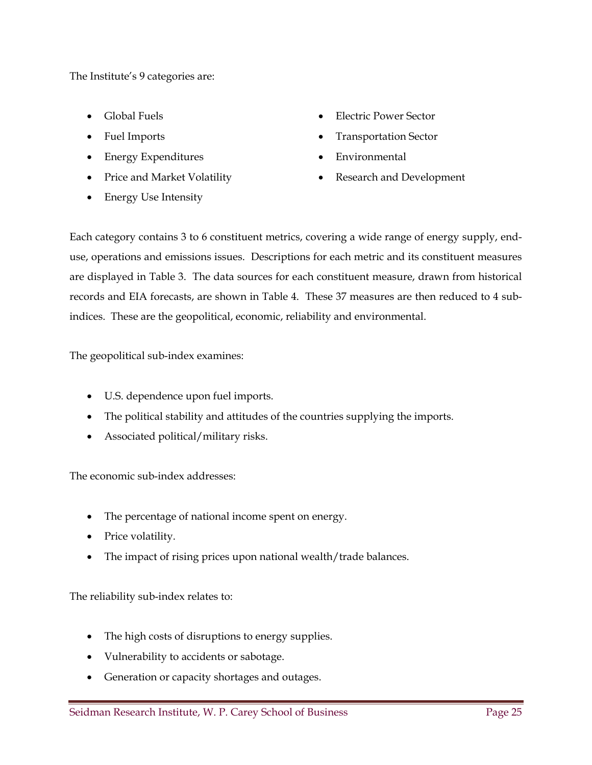The Institute's 9 categories are:

- 
- 
- Energy Expenditures **Environmental**
- 
- Energy Use Intensity
- Global Fuels **Electric Power Sector**
- Fuel Imports **Transportation Sector** 
	-
- Price and Market Volatility **Conserverse Conserverse Conserverse Conserverse Conserverse Conserverse Conserverse**

Each category contains 3 to 6 constituent metrics, covering a wide range of energy supply, enduse, operations and emissions issues. Descriptions for each metric and its constituent measures are displayed in Table 3. The data sources for each constituent measure, drawn from historical records and EIA forecasts, are shown in Table 4. These 37 measures are then reduced to 4 subindices. These are the geopolitical, economic, reliability and environmental.

The geopolitical sub-index examines:

- U.S. dependence upon fuel imports.
- The political stability and attitudes of the countries supplying the imports.
- Associated political/military risks.

The economic sub-index addresses:

- The percentage of national income spent on energy.
- Price volatility.
- The impact of rising prices upon national wealth/trade balances.

The reliability sub-index relates to:

- The high costs of disruptions to energy supplies.
- Vulnerability to accidents or sabotage.
- Generation or capacity shortages and outages.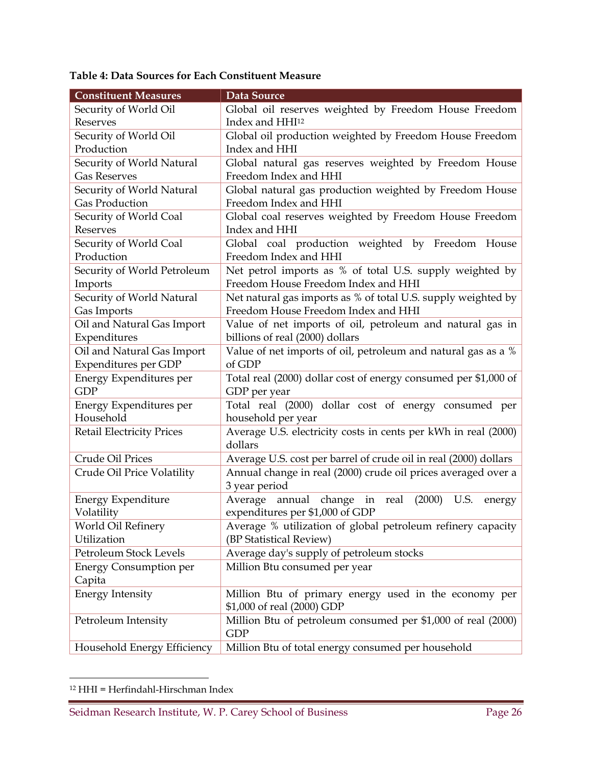| Table 4: Data Sources for Each Constituent Measure |  |  |  |
|----------------------------------------------------|--|--|--|
|----------------------------------------------------|--|--|--|

| <b>Constituent Measures</b>      | Data Source                                                      |
|----------------------------------|------------------------------------------------------------------|
| Security of World Oil            | Global oil reserves weighted by Freedom House Freedom            |
| Reserves                         | Index and HHI <sup>12</sup>                                      |
| Security of World Oil            | Global oil production weighted by Freedom House Freedom          |
| Production                       | Index and HHI                                                    |
| Security of World Natural        | Global natural gas reserves weighted by Freedom House            |
| <b>Gas Reserves</b>              | Freedom Index and HHI                                            |
| Security of World Natural        | Global natural gas production weighted by Freedom House          |
| <b>Gas Production</b>            | Freedom Index and HHI                                            |
| Security of World Coal           | Global coal reserves weighted by Freedom House Freedom           |
| Reserves                         | Index and HHI                                                    |
| Security of World Coal           | Global coal production weighted by Freedom House                 |
| Production                       | Freedom Index and HHI                                            |
| Security of World Petroleum      | Net petrol imports as % of total U.S. supply weighted by         |
| Imports                          | Freedom House Freedom Index and HHI                              |
| Security of World Natural        | Net natural gas imports as % of total U.S. supply weighted by    |
| Gas Imports                      | Freedom House Freedom Index and HHI                              |
| Oil and Natural Gas Import       | Value of net imports of oil, petroleum and natural gas in        |
| Expenditures                     | billions of real (2000) dollars                                  |
| Oil and Natural Gas Import       | Value of net imports of oil, petroleum and natural gas as a %    |
| <b>Expenditures per GDP</b>      | of GDP                                                           |
| Energy Expenditures per          | Total real (2000) dollar cost of energy consumed per \$1,000 of  |
| <b>GDP</b>                       | GDP per year                                                     |
| Energy Expenditures per          | Total real (2000) dollar cost of energy consumed per             |
| Household                        | household per year                                               |
| <b>Retail Electricity Prices</b> | Average U.S. electricity costs in cents per kWh in real (2000)   |
|                                  | dollars                                                          |
| Crude Oil Prices                 | Average U.S. cost per barrel of crude oil in real (2000) dollars |
| Crude Oil Price Volatility       | Annual change in real (2000) crude oil prices averaged over a    |
|                                  | 3 year period                                                    |
| <b>Energy Expenditure</b>        | annual change in<br>(2000)<br>real<br>U.S.<br>Average<br>energy  |
| Volatility                       | expenditures per \$1,000 of GDP                                  |
| World Oil Refinery               | Average % utilization of global petroleum refinery capacity      |
| Utilization                      | (BP Statistical Review)                                          |
| Petroleum Stock Levels           | Average day's supply of petroleum stocks                         |
| <b>Energy Consumption per</b>    | Million Btu consumed per year                                    |
| Capita                           |                                                                  |
| <b>Energy Intensity</b>          | Million Btu of primary energy used in the economy per            |
|                                  | \$1,000 of real (2000) GDP                                       |
| Petroleum Intensity              | Million Btu of petroleum consumed per \$1,000 of real (2000)     |
|                                  | <b>GDP</b>                                                       |
| Household Energy Efficiency      | Million Btu of total energy consumed per household               |

<sup>12</sup> HHI = Herfindahl-Hirschman Index

<u>.</u>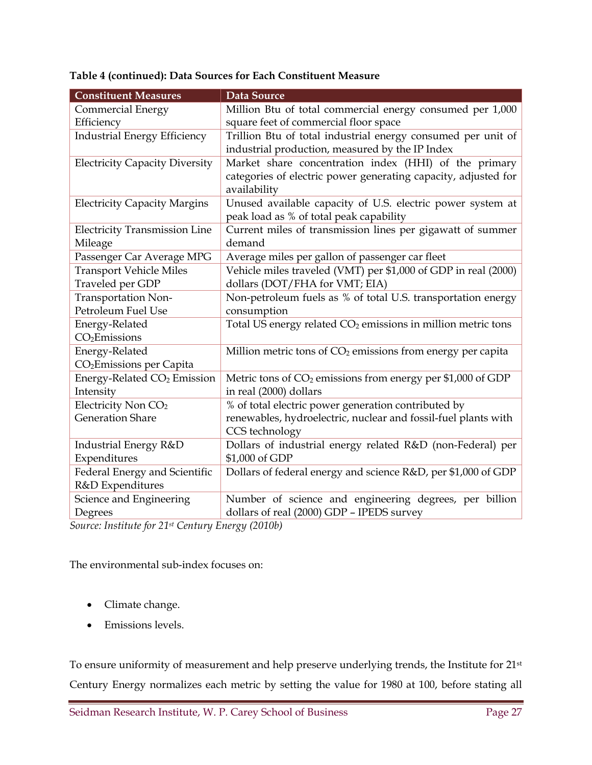| <b>Constituent Measures</b>             | Data Source                                                              |
|-----------------------------------------|--------------------------------------------------------------------------|
| <b>Commercial Energy</b>                | Million Btu of total commercial energy consumed per 1,000                |
| Efficiency                              | square feet of commercial floor space                                    |
| <b>Industrial Energy Efficiency</b>     | Trillion Btu of total industrial energy consumed per unit of             |
|                                         | industrial production, measured by the IP Index                          |
| <b>Electricity Capacity Diversity</b>   | Market share concentration index (HHI) of the primary                    |
|                                         | categories of electric power generating capacity, adjusted for           |
|                                         | availability                                                             |
| <b>Electricity Capacity Margins</b>     | Unused available capacity of U.S. electric power system at               |
|                                         | peak load as % of total peak capability                                  |
| <b>Electricity Transmission Line</b>    | Current miles of transmission lines per gigawatt of summer               |
| Mileage                                 | demand                                                                   |
| Passenger Car Average MPG               | Average miles per gallon of passenger car fleet                          |
| <b>Transport Vehicle Miles</b>          | Vehicle miles traveled (VMT) per \$1,000 of GDP in real (2000)           |
| Traveled per GDP                        | dollars (DOT/FHA for VMT; EIA)                                           |
| Transportation Non-                     | Non-petroleum fuels as % of total U.S. transportation energy             |
| Petroleum Fuel Use                      | consumption                                                              |
| Energy-Related                          | Total US energy related CO <sub>2</sub> emissions in million metric tons |
| CO <sub>2</sub> Emissions               |                                                                          |
| Energy-Related                          | Million metric tons of CO <sub>2</sub> emissions from energy per capita  |
| CO <sub>2</sub> Emissions per Capita    |                                                                          |
| Energy-Related CO <sub>2</sub> Emission | Metric tons of $CO2$ emissions from energy per \$1,000 of GDP            |
| Intensity                               | in real (2000) dollars                                                   |
| Electricity Non CO <sub>2</sub>         | % of total electric power generation contributed by                      |
| <b>Generation Share</b>                 | renewables, hydroelectric, nuclear and fossil-fuel plants with           |
|                                         | CCS technology                                                           |
| Industrial Energy R&D                   | Dollars of industrial energy related R&D (non-Federal) per               |
| Expenditures                            | \$1,000 of GDP                                                           |
| Federal Energy and Scientific           | Dollars of federal energy and science R&D, per \$1,000 of GDP            |
| R&D Expenditures                        |                                                                          |
| Science and Engineering                 | Number of science and engineering degrees, per billion                   |
| Degrees                                 | dollars of real (2000) GDP - IPEDS survey                                |

#### **Table 4 (continued): Data Sources for Each Constituent Measure**

*Source: Institute for 21st Century Energy (2010b)* 

The environmental sub-index focuses on:

- Climate change.
- Emissions levels.

To ensure uniformity of measurement and help preserve underlying trends, the Institute for 21st Century Energy normalizes each metric by setting the value for 1980 at 100, before stating all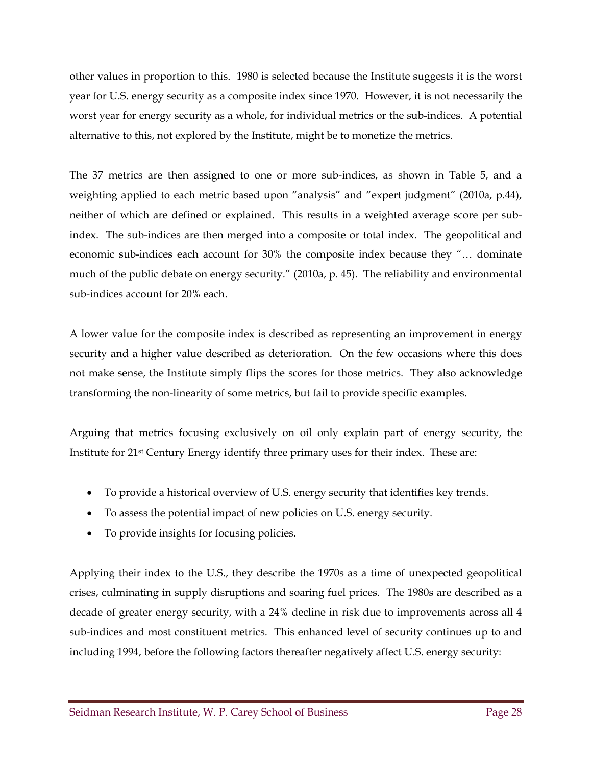other values in proportion to this. 1980 is selected because the Institute suggests it is the worst year for U.S. energy security as a composite index since 1970. However, it is not necessarily the worst year for energy security as a whole, for individual metrics or the sub-indices. A potential alternative to this, not explored by the Institute, might be to monetize the metrics.

The 37 metrics are then assigned to one or more sub-indices, as shown in Table 5, and a weighting applied to each metric based upon "analysis" and "expert judgment" (2010a, p.44), neither of which are defined or explained. This results in a weighted average score per subindex. The sub-indices are then merged into a composite or total index. The geopolitical and economic sub-indices each account for 30% the composite index because they "… dominate much of the public debate on energy security." (2010a, p. 45). The reliability and environmental sub-indices account for 20% each.

A lower value for the composite index is described as representing an improvement in energy security and a higher value described as deterioration. On the few occasions where this does not make sense, the Institute simply flips the scores for those metrics. They also acknowledge transforming the non-linearity of some metrics, but fail to provide specific examples.

Arguing that metrics focusing exclusively on oil only explain part of energy security, the Institute for 21st Century Energy identify three primary uses for their index. These are:

- To provide a historical overview of U.S. energy security that identifies key trends.
- To assess the potential impact of new policies on U.S. energy security.
- To provide insights for focusing policies.

Applying their index to the U.S., they describe the 1970s as a time of unexpected geopolitical crises, culminating in supply disruptions and soaring fuel prices. The 1980s are described as a decade of greater energy security, with a 24% decline in risk due to improvements across all 4 sub-indices and most constituent metrics. This enhanced level of security continues up to and including 1994, before the following factors thereafter negatively affect U.S. energy security: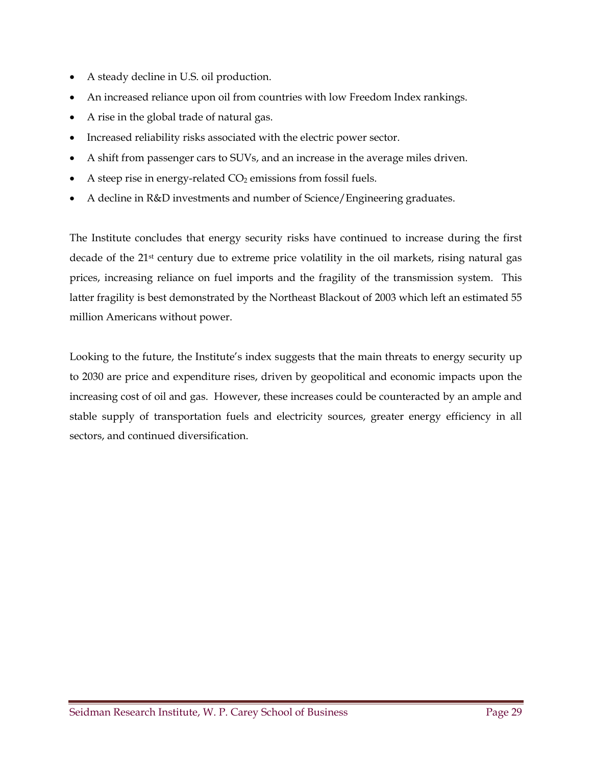- A steady decline in U.S. oil production.
- An increased reliance upon oil from countries with low Freedom Index rankings.
- A rise in the global trade of natural gas.
- Increased reliability risks associated with the electric power sector.
- A shift from passenger cars to SUVs, and an increase in the average miles driven.
- A steep rise in energy-related  $CO<sub>2</sub>$  emissions from fossil fuels.
- A decline in R&D investments and number of Science/Engineering graduates.

The Institute concludes that energy security risks have continued to increase during the first decade of the 21st century due to extreme price volatility in the oil markets, rising natural gas prices, increasing reliance on fuel imports and the fragility of the transmission system. This latter fragility is best demonstrated by the Northeast Blackout of 2003 which left an estimated 55 million Americans without power.

Looking to the future, the Institute's index suggests that the main threats to energy security up to 2030 are price and expenditure rises, driven by geopolitical and economic impacts upon the increasing cost of oil and gas. However, these increases could be counteracted by an ample and stable supply of transportation fuels and electricity sources, greater energy efficiency in all sectors, and continued diversification.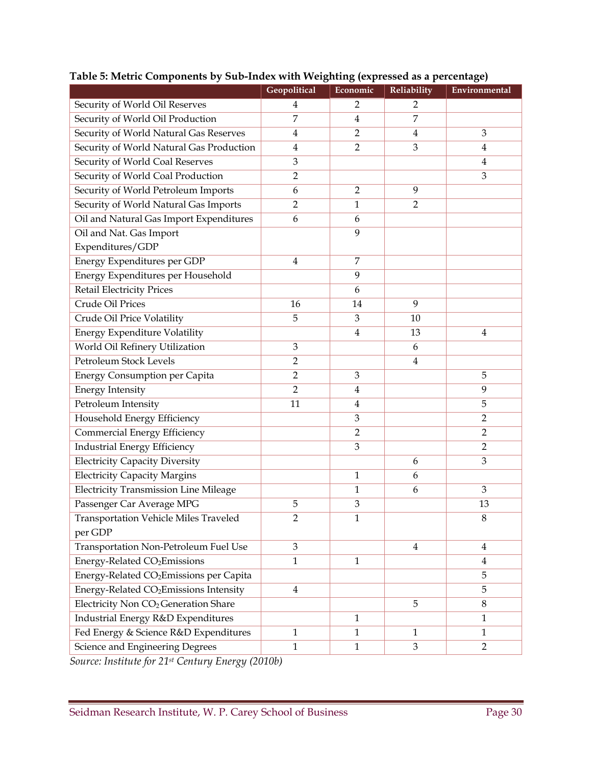|                                                     | Geopolitical   | Economic       | Reliability    | Environmental  |
|-----------------------------------------------------|----------------|----------------|----------------|----------------|
| Security of World Oil Reserves                      | 4              | $\overline{2}$ | $\overline{2}$ |                |
| Security of World Oil Production                    | 7              | $\overline{4}$ | $\overline{7}$ |                |
| Security of World Natural Gas Reserves              | 4              | $\overline{2}$ | $\overline{4}$ | 3              |
| Security of World Natural Gas Production            | $\overline{4}$ | $\overline{2}$ | 3              | 4              |
| Security of World Coal Reserves                     | 3              |                |                | 4              |
| Security of World Coal Production                   | $\overline{2}$ |                |                | 3              |
| Security of World Petroleum Imports                 | 6              | $\overline{2}$ | 9              |                |
| Security of World Natural Gas Imports               | $\overline{2}$ | $\mathbf{1}$   | $\overline{2}$ |                |
| Oil and Natural Gas Import Expenditures             | 6              | 6              |                |                |
| Oil and Nat. Gas Import                             |                | 9              |                |                |
| Expenditures/GDP                                    |                |                |                |                |
| Energy Expenditures per GDP                         | 4              | 7              |                |                |
| Energy Expenditures per Household                   |                | 9              |                |                |
| <b>Retail Electricity Prices</b>                    |                | 6              |                |                |
| Crude Oil Prices                                    | 16             | 14             | 9              |                |
| Crude Oil Price Volatility                          | 5              | 3              | 10             |                |
| Energy Expenditure Volatility                       |                | $\overline{4}$ | 13             | $\overline{4}$ |
| World Oil Refinery Utilization                      | 3              |                | 6              |                |
| Petroleum Stock Levels                              | $\overline{2}$ |                | $\bf 4$        |                |
| <b>Energy Consumption per Capita</b>                | $\overline{2}$ | 3              |                | 5              |
| <b>Energy Intensity</b>                             | $\overline{2}$ | $\overline{4}$ |                | 9              |
| Petroleum Intensity                                 | 11             | $\overline{4}$ |                | 5              |
| Household Energy Efficiency                         |                | $\mathfrak{Z}$ |                | $\overline{2}$ |
| Commercial Energy Efficiency                        |                | $\overline{2}$ |                | $\overline{2}$ |
| Industrial Energy Efficiency                        |                | 3              |                | $\overline{2}$ |
| <b>Electricity Capacity Diversity</b>               |                |                | 6              | 3              |
| <b>Electricity Capacity Margins</b>                 |                | 1              | 6              |                |
| <b>Electricity Transmission Line Mileage</b>        |                | $1\,$          | 6              | 3              |
| Passenger Car Average MPG                           | 5              | 3              |                | 13             |
| <b>Transportation Vehicle Miles Traveled</b>        | $\overline{c}$ | $\mathbf{1}$   |                | $\,8\,$        |
| per GDP                                             |                |                |                |                |
| Transportation Non-Petroleum Fuel Use               | 3              |                | $\overline{4}$ | $\overline{4}$ |
| Energy-Related CO <sub>2</sub> Emissions            | $\mathbf{1}$   | $\mathbf{1}$   |                | 4              |
| Energy-Related CO <sub>2</sub> Emissions per Capita |                |                |                | 5              |
| Energy-Related CO <sub>2</sub> Emissions Intensity  | $\overline{4}$ |                |                | 5              |
| Electricity Non CO <sub>2</sub> Generation Share    |                |                | 5              | $\,8\,$        |
| Industrial Energy R&D Expenditures                  |                | $\mathbf{1}$   |                | $\mathbf{1}$   |
| Fed Energy & Science R&D Expenditures               | 1              | $\mathbf{1}$   | $\mathbf{1}$   | $\mathbf{1}$   |
| Science and Engineering Degrees                     | 1<br>(0.0101)  | $\mathbf{1}$   | $\mathfrak{Z}$ | $\overline{2}$ |

### **Table 5: Metric Components by Sub-Index with Weighting (expressed as a percentage)**

*Source: Institute for 21st Century Energy (2010b)*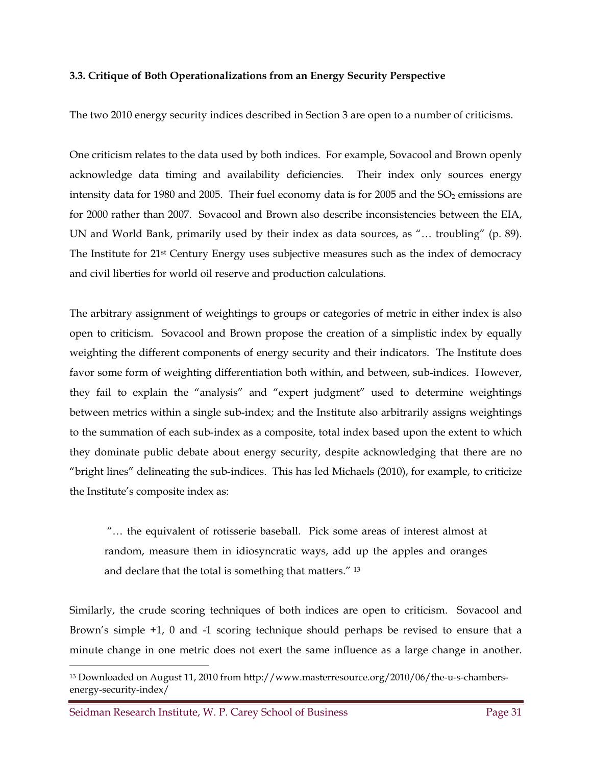#### **3.3. Critique of Both Operationalizations from an Energy Security Perspective**

The two 2010 energy security indices described in Section 3 are open to a number of criticisms.

One criticism relates to the data used by both indices. For example, Sovacool and Brown openly acknowledge data timing and availability deficiencies. Their index only sources energy intensity data for 1980 and 2005. Their fuel economy data is for 2005 and the  $SO<sub>2</sub>$  emissions are for 2000 rather than 2007. Sovacool and Brown also describe inconsistencies between the EIA, UN and World Bank, primarily used by their index as data sources, as "… troubling" (p. 89). The Institute for 21<sup>st</sup> Century Energy uses subjective measures such as the index of democracy and civil liberties for world oil reserve and production calculations.

The arbitrary assignment of weightings to groups or categories of metric in either index is also open to criticism. Sovacool and Brown propose the creation of a simplistic index by equally weighting the different components of energy security and their indicators. The Institute does favor some form of weighting differentiation both within, and between, sub-indices. However, they fail to explain the "analysis" and "expert judgment" used to determine weightings between metrics within a single sub-index; and the Institute also arbitrarily assigns weightings to the summation of each sub-index as a composite, total index based upon the extent to which they dominate public debate about energy security, despite acknowledging that there are no "bright lines" delineating the sub-indices. This has led Michaels (2010), for example, to criticize the Institute's composite index as:

 "… the equivalent of rotisserie baseball. Pick some areas of interest almost at random, measure them in idiosyncratic ways, add up the apples and oranges and declare that the total is something that matters." 13

Similarly, the crude scoring techniques of both indices are open to criticism. Sovacool and Brown's simple +1, 0 and -1 scoring technique should perhaps be revised to ensure that a minute change in one metric does not exert the same influence as a large change in another.

Seidman Research Institute, W. P. Carey School of Business **Page 31** Page 31

 $\overline{a}$ 

<sup>13</sup> Downloaded on August 11, 2010 from http://www.masterresource.org/2010/06/the-u-s-chambersenergy-security-index/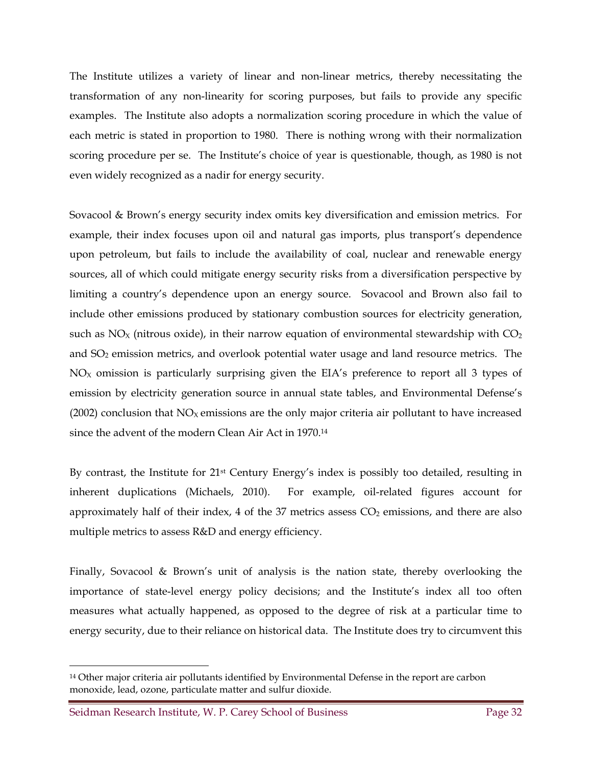The Institute utilizes a variety of linear and non-linear metrics, thereby necessitating the transformation of any non-linearity for scoring purposes, but fails to provide any specific examples. The Institute also adopts a normalization scoring procedure in which the value of each metric is stated in proportion to 1980. There is nothing wrong with their normalization scoring procedure per se. The Institute's choice of year is questionable, though, as 1980 is not even widely recognized as a nadir for energy security.

Sovacool & Brown's energy security index omits key diversification and emission metrics. For example, their index focuses upon oil and natural gas imports, plus transport's dependence upon petroleum, but fails to include the availability of coal, nuclear and renewable energy sources, all of which could mitigate energy security risks from a diversification perspective by limiting a country's dependence upon an energy source. Sovacool and Brown also fail to include other emissions produced by stationary combustion sources for electricity generation, such as  $NO<sub>X</sub>$  (nitrous oxide), in their narrow equation of environmental stewardship with  $CO<sub>2</sub>$ and SO2 emission metrics, and overlook potential water usage and land resource metrics. The  $NO<sub>X</sub>$  omission is particularly surprising given the EIA's preference to report all 3 types of emission by electricity generation source in annual state tables, and Environmental Defense's (2002) conclusion that  $NO<sub>X</sub>$  emissions are the only major criteria air pollutant to have increased since the advent of the modern Clean Air Act in 1970.14

By contrast, the Institute for 21st Century Energy's index is possibly too detailed, resulting in inherent duplications (Michaels, 2010). For example, oil-related figures account for approximately half of their index, 4 of the 37 metrics assess  $CO<sub>2</sub>$  emissions, and there are also multiple metrics to assess R&D and energy efficiency.

Finally, Sovacool & Brown's unit of analysis is the nation state, thereby overlooking the importance of state-level energy policy decisions; and the Institute's index all too often measures what actually happened, as opposed to the degree of risk at a particular time to energy security, due to their reliance on historical data. The Institute does try to circumvent this

 $\overline{a}$ 

<sup>14</sup> Other major criteria air pollutants identified by Environmental Defense in the report are carbon monoxide, lead, ozone, particulate matter and sulfur dioxide.

Seidman Research Institute, W. P. Carey School of Business **Page 32** Page 32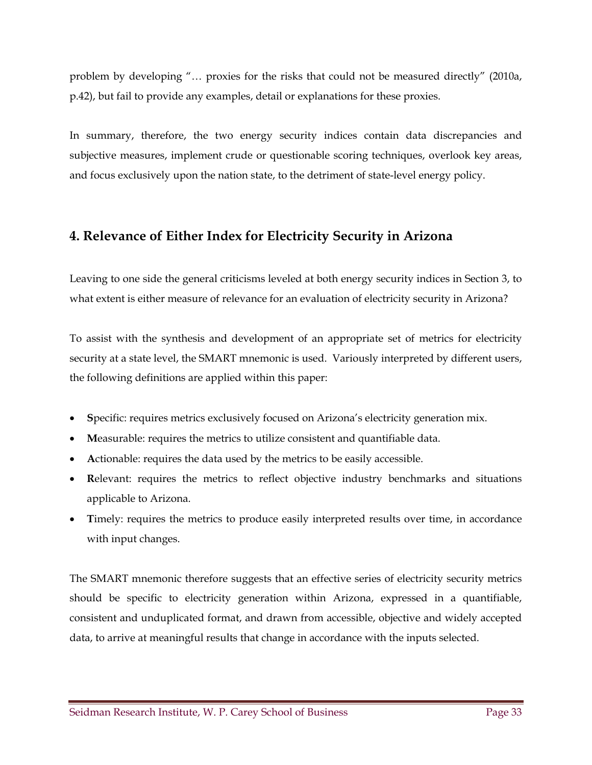problem by developing "… proxies for the risks that could not be measured directly" (2010a, p.42), but fail to provide any examples, detail or explanations for these proxies.

In summary, therefore, the two energy security indices contain data discrepancies and subjective measures, implement crude or questionable scoring techniques, overlook key areas, and focus exclusively upon the nation state, to the detriment of state-level energy policy.

## **4. Relevance of Either Index for Electricity Security in Arizona**

Leaving to one side the general criticisms leveled at both energy security indices in Section 3, to what extent is either measure of relevance for an evaluation of electricity security in Arizona?

To assist with the synthesis and development of an appropriate set of metrics for electricity security at a state level, the SMART mnemonic is used. Variously interpreted by different users, the following definitions are applied within this paper:

- **S**pecific: requires metrics exclusively focused on Arizona's electricity generation mix.
- **M**easurable: requires the metrics to utilize consistent and quantifiable data.
- **A**ctionable: requires the data used by the metrics to be easily accessible.
- **R**elevant: requires the metrics to reflect objective industry benchmarks and situations applicable to Arizona.
- Timely: requires the metrics to produce easily interpreted results over time, in accordance with input changes.

The SMART mnemonic therefore suggests that an effective series of electricity security metrics should be specific to electricity generation within Arizona, expressed in a quantifiable, consistent and unduplicated format, and drawn from accessible, objective and widely accepted data, to arrive at meaningful results that change in accordance with the inputs selected.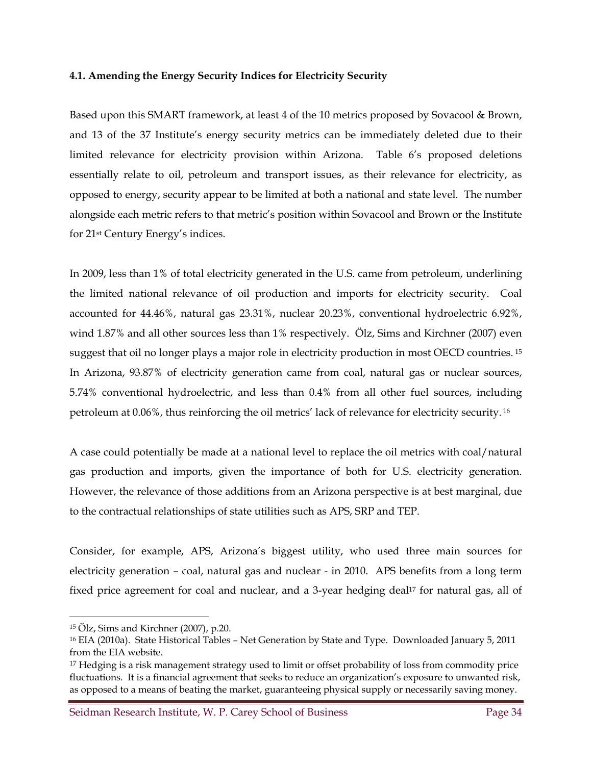#### **4.1. Amending the Energy Security Indices for Electricity Security**

Based upon this SMART framework, at least 4 of the 10 metrics proposed by Sovacool & Brown, and 13 of the 37 Institute's energy security metrics can be immediately deleted due to their limited relevance for electricity provision within Arizona. Table 6's proposed deletions essentially relate to oil, petroleum and transport issues, as their relevance for electricity, as opposed to energy, security appear to be limited at both a national and state level. The number alongside each metric refers to that metric's position within Sovacool and Brown or the Institute for 21st Century Energy's indices.

In 2009, less than 1% of total electricity generated in the U.S. came from petroleum, underlining the limited national relevance of oil production and imports for electricity security. Coal accounted for 44.46%, natural gas 23.31%, nuclear 20.23%, conventional hydroelectric 6.92%, wind 1.87% and all other sources less than 1% respectively. Ölz, Sims and Kirchner (2007) even suggest that oil no longer plays a major role in electricity production in most OECD countries. 15 In Arizona, 93.87% of electricity generation came from coal, natural gas or nuclear sources, 5.74% conventional hydroelectric, and less than 0.4% from all other fuel sources, including petroleum at 0.06%, thus reinforcing the oil metrics' lack of relevance for electricity security. 16

A case could potentially be made at a national level to replace the oil metrics with coal/natural gas production and imports, given the importance of both for U.S. electricity generation. However, the relevance of those additions from an Arizona perspective is at best marginal, due to the contractual relationships of state utilities such as APS, SRP and TEP.

Consider, for example, APS, Arizona's biggest utility, who used three main sources for electricity generation – coal, natural gas and nuclear - in 2010. APS benefits from a long term fixed price agreement for coal and nuclear, and a 3-year hedging deal<sup>17</sup> for natural gas, all of

 $\overline{a}$ 

Seidman Research Institute, W. P. Carey School of Business **Page 34** Page 34

<sup>15</sup> Ölz, Sims and Kirchner (2007), p.20.

<sup>16</sup> EIA (2010a). State Historical Tables – Net Generation by State and Type. Downloaded January 5, 2011 from the EIA website.

<sup>&</sup>lt;sup>17</sup> Hedging is a risk management strategy used to limit or offset probability of loss from commodity price fluctuations. It is a financial agreement that seeks to reduce an organization's exposure to unwanted risk, as opposed to a means of beating the market, guaranteeing physical supply or necessarily saving money.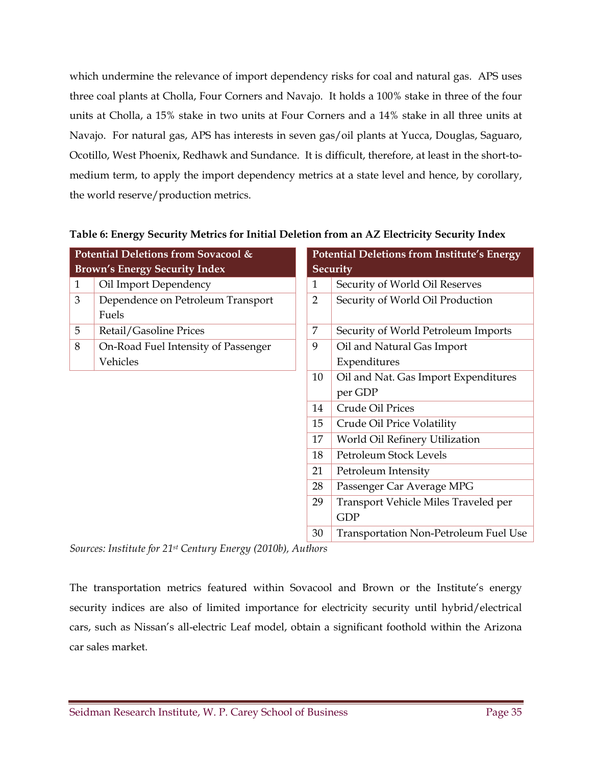which undermine the relevance of import dependency risks for coal and natural gas. APS uses three coal plants at Cholla, Four Corners and Navajo. It holds a 100% stake in three of the four units at Cholla, a 15% stake in two units at Four Corners and a 14% stake in all three units at Navajo. For natural gas, APS has interests in seven gas/oil plants at Yucca, Douglas, Saguaro, Ocotillo, West Phoenix, Redhawk and Sundance. It is difficult, therefore, at least in the short-tomedium term, to apply the import dependency metrics at a state level and hence, by corollary, the world reserve/production metrics.

|              | Potential Deletions from Sovacool &  | <b>Potential Deletions from Institute's Energy</b> |                                              |  |  |
|--------------|--------------------------------------|----------------------------------------------------|----------------------------------------------|--|--|
|              | <b>Brown's Energy Security Index</b> |                                                    | Security                                     |  |  |
| $\mathbf{1}$ | Oil Import Dependency                | $\mathbf{1}$                                       | Security of World Oil Reserves               |  |  |
| 3            | Dependence on Petroleum Transport    | $\overline{2}$                                     | Security of World Oil Production             |  |  |
|              | Fuels                                |                                                    |                                              |  |  |
| 5            | Retail/Gasoline Prices               | 7                                                  | Security of World Petroleum Imports          |  |  |
| 8            | On-Road Fuel Intensity of Passenger  | 9                                                  | Oil and Natural Gas Import                   |  |  |
|              | Vehicles                             |                                                    | Expenditures                                 |  |  |
|              |                                      | 10                                                 | Oil and Nat. Gas Import Expenditures         |  |  |
|              |                                      |                                                    | per GDP                                      |  |  |
|              |                                      | 14                                                 | Crude Oil Prices                             |  |  |
|              |                                      | 15                                                 | Crude Oil Price Volatility                   |  |  |
|              |                                      | 17                                                 | World Oil Refinery Utilization               |  |  |
|              |                                      | 18                                                 | Petroleum Stock Levels                       |  |  |
|              |                                      | 21                                                 | Petroleum Intensity                          |  |  |
|              |                                      | 28                                                 | Passenger Car Average MPG                    |  |  |
|              |                                      | 29                                                 | Transport Vehicle Miles Traveled per         |  |  |
|              |                                      |                                                    | <b>GDP</b>                                   |  |  |
|              |                                      | 30                                                 | <b>Transportation Non-Petroleum Fuel Use</b> |  |  |

#### **Table 6: Energy Security Metrics for Initial Deletion from an AZ Electricity Security Index**

*Sources: Institute for 21st Century Energy (2010b), Authors* 

The transportation metrics featured within Sovacool and Brown or the Institute's energy security indices are also of limited importance for electricity security until hybrid/electrical cars, such as Nissan's all-electric Leaf model, obtain a significant foothold within the Arizona car sales market.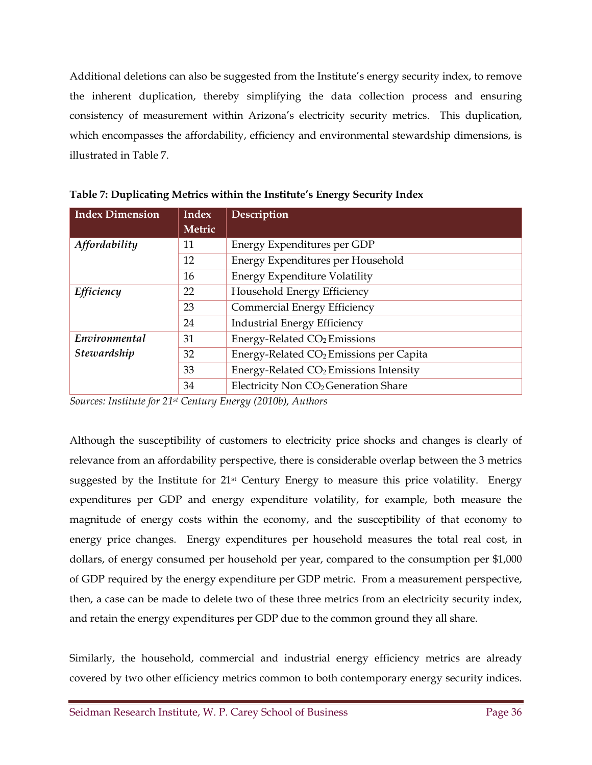Additional deletions can also be suggested from the Institute's energy security index, to remove the inherent duplication, thereby simplifying the data collection process and ensuring consistency of measurement within Arizona's electricity security metrics. This duplication, which encompasses the affordability, efficiency and environmental stewardship dimensions, is illustrated in Table 7.

| <b>Index Dimension</b> | <b>Index</b> | Description                                         |  |  |  |
|------------------------|--------------|-----------------------------------------------------|--|--|--|
|                        | Metric       |                                                     |  |  |  |
| Affordability          | 11           | Energy Expenditures per GDP                         |  |  |  |
|                        | 12           | Energy Expenditures per Household                   |  |  |  |
|                        | 16           | <b>Energy Expenditure Volatility</b>                |  |  |  |
| Efficiency             | 22           | Household Energy Efficiency                         |  |  |  |
|                        | 23           | Commercial Energy Efficiency                        |  |  |  |
|                        | 24           | <b>Industrial Energy Efficiency</b>                 |  |  |  |
| Environmental          | 31           | Energy-Related CO <sub>2</sub> Emissions            |  |  |  |
| Stewardship            | 32           | Energy-Related CO <sub>2</sub> Emissions per Capita |  |  |  |
|                        | 33           | Energy-Related CO <sub>2</sub> Emissions Intensity  |  |  |  |
|                        | 34           | Electricity Non CO <sub>2</sub> Generation Share    |  |  |  |

**Table 7: Duplicating Metrics within the Institute's Energy Security Index** 

*Sources: Institute for 21st Century Energy (2010b), Authors* 

Although the susceptibility of customers to electricity price shocks and changes is clearly of relevance from an affordability perspective, there is considerable overlap between the 3 metrics suggested by the Institute for  $21<sup>st</sup>$  Century Energy to measure this price volatility. Energy expenditures per GDP and energy expenditure volatility, for example, both measure the magnitude of energy costs within the economy, and the susceptibility of that economy to energy price changes. Energy expenditures per household measures the total real cost, in dollars, of energy consumed per household per year, compared to the consumption per \$1,000 of GDP required by the energy expenditure per GDP metric. From a measurement perspective, then, a case can be made to delete two of these three metrics from an electricity security index, and retain the energy expenditures per GDP due to the common ground they all share.

Similarly, the household, commercial and industrial energy efficiency metrics are already covered by two other efficiency metrics common to both contemporary energy security indices.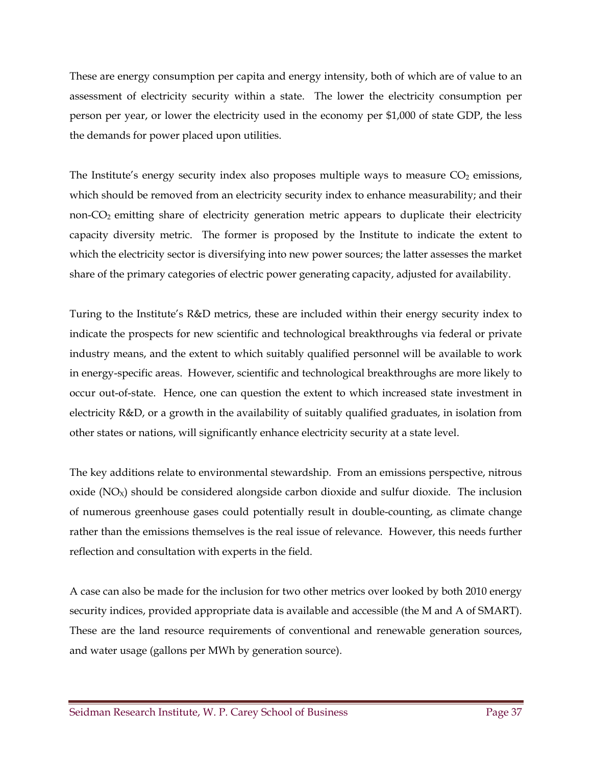These are energy consumption per capita and energy intensity, both of which are of value to an assessment of electricity security within a state. The lower the electricity consumption per person per year, or lower the electricity used in the economy per \$1,000 of state GDP, the less the demands for power placed upon utilities.

The Institute's energy security index also proposes multiple ways to measure  $CO<sub>2</sub>$  emissions, which should be removed from an electricity security index to enhance measurability; and their non-CO<sub>2</sub> emitting share of electricity generation metric appears to duplicate their electricity capacity diversity metric. The former is proposed by the Institute to indicate the extent to which the electricity sector is diversifying into new power sources; the latter assesses the market share of the primary categories of electric power generating capacity, adjusted for availability.

Turing to the Institute's R&D metrics, these are included within their energy security index to indicate the prospects for new scientific and technological breakthroughs via federal or private industry means, and the extent to which suitably qualified personnel will be available to work in energy-specific areas. However, scientific and technological breakthroughs are more likely to occur out-of-state. Hence, one can question the extent to which increased state investment in electricity R&D, or a growth in the availability of suitably qualified graduates, in isolation from other states or nations, will significantly enhance electricity security at a state level.

The key additions relate to environmental stewardship. From an emissions perspective, nitrous oxide  $(NO<sub>x</sub>)$  should be considered alongside carbon dioxide and sulfur dioxide. The inclusion of numerous greenhouse gases could potentially result in double-counting, as climate change rather than the emissions themselves is the real issue of relevance. However, this needs further reflection and consultation with experts in the field.

A case can also be made for the inclusion for two other metrics over looked by both 2010 energy security indices, provided appropriate data is available and accessible (the M and A of SMART). These are the land resource requirements of conventional and renewable generation sources, and water usage (gallons per MWh by generation source).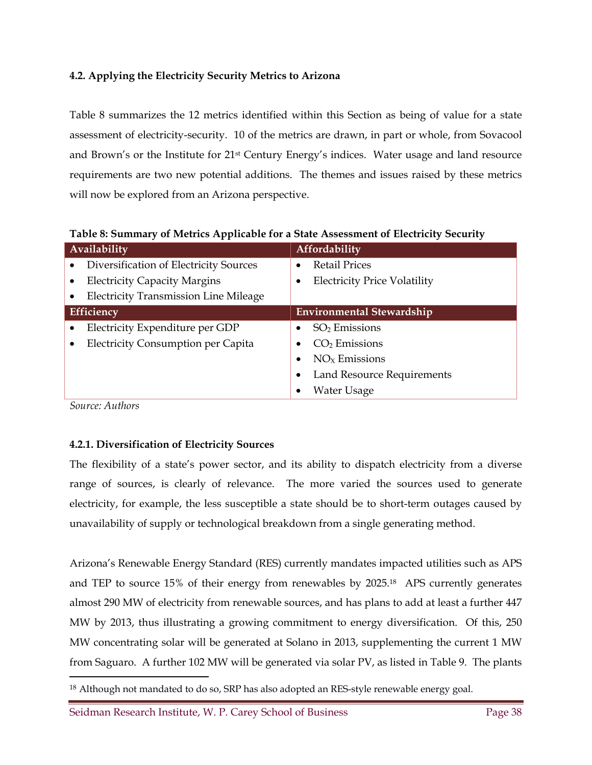#### **4.2. Applying the Electricity Security Metrics to Arizona**

Table 8 summarizes the 12 metrics identified within this Section as being of value for a state assessment of electricity-security. 10 of the metrics are drawn, in part or whole, from Sovacool and Brown's or the Institute for 21st Century Energy's indices. Water usage and land resource requirements are two new potential additions. The themes and issues raised by these metrics will now be explored from an Arizona perspective.

Availability **Automatic Section Affordability**  Diversification of Electricity Sources Electricity Capacity Margins Electricity Transmission Line Mileage Retail Prices Electricity Price Volatility **Efficiency Environmental Stewardship Environmental Stewardship**  Electricity Expenditure per GDP Electricity Consumption per Capita  $\bullet$  SO<sub>2</sub> Emissions  $\bullet$  CO<sub>2</sub> Emissions  $\bullet$  NO<sub>x</sub> Emissions Land Resource Requirements Water Usage

**Table 8: Summary of Metrics Applicable for a State Assessment of Electricity Security** 

*Source: Authors* 

 $\ddot{\phantom{a}}$ 

#### **4.2.1. Diversification of Electricity Sources**

The flexibility of a state's power sector, and its ability to dispatch electricity from a diverse range of sources, is clearly of relevance. The more varied the sources used to generate electricity, for example, the less susceptible a state should be to short-term outages caused by unavailability of supply or technological breakdown from a single generating method.

Arizona's Renewable Energy Standard (RES) currently mandates impacted utilities such as APS and TEP to source 15% of their energy from renewables by 2025.18 APS currently generates almost 290 MW of electricity from renewable sources, and has plans to add at least a further 447 MW by 2013, thus illustrating a growing commitment to energy diversification. Of this, 250 MW concentrating solar will be generated at Solano in 2013, supplementing the current 1 MW from Saguaro. A further 102 MW will be generated via solar PV, as listed in Table 9. The plants

<sup>&</sup>lt;sup>18</sup> Although not mandated to do so, SRP has also adopted an RES-style renewable energy goal.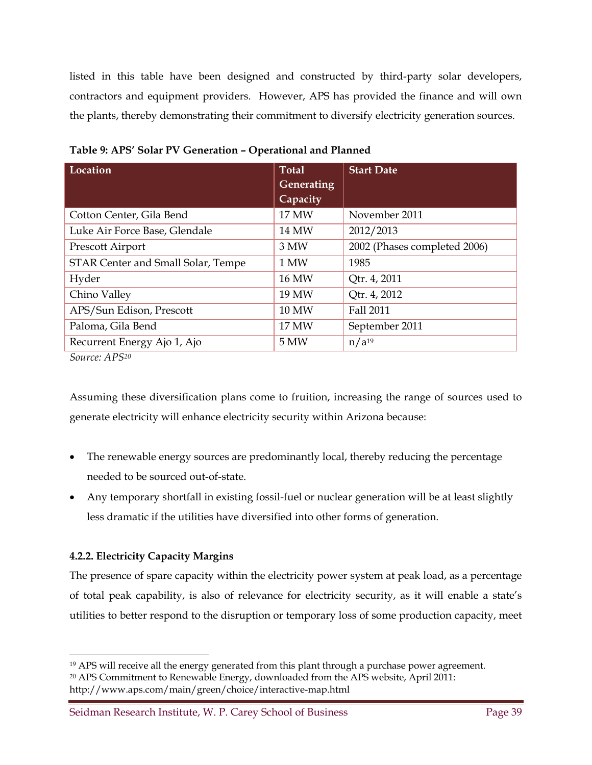listed in this table have been designed and constructed by third-party solar developers, contractors and equipment providers. However, APS has provided the finance and will own the plants, thereby demonstrating their commitment to diversify electricity generation sources.

| Location                           | <b>Total</b><br>Generating | <b>Start Date</b>            |
|------------------------------------|----------------------------|------------------------------|
|                                    | Capacity                   |                              |
| Cotton Center, Gila Bend           | 17 MW                      | November 2011                |
| Luke Air Force Base, Glendale      | <b>14 MW</b>               | 2012/2013                    |
| Prescott Airport                   | 3 MW                       | 2002 (Phases completed 2006) |
| STAR Center and Small Solar, Tempe | 1 MW                       | 1985                         |
| Hyder                              | 16 MW                      | Qtr. 4, 2011                 |
| Chino Valley                       | 19 MW                      | Qtr. 4, 2012                 |
| APS/Sun Edison, Prescott           | <b>10 MW</b>               | Fall 2011                    |
| Paloma, Gila Bend                  | 17 MW                      | September 2011               |
| Recurrent Energy Ajo 1, Ajo        | 5 MW                       | $n/a^{19}$                   |

**Table 9: APS' Solar PV Generation – Operational and Planned** 

*Source: APS20*

Assuming these diversification plans come to fruition, increasing the range of sources used to generate electricity will enhance electricity security within Arizona because:

- The renewable energy sources are predominantly local, thereby reducing the percentage needed to be sourced out-of-state.
- Any temporary shortfall in existing fossil-fuel or nuclear generation will be at least slightly less dramatic if the utilities have diversified into other forms of generation.

#### **4.2.2. Electricity Capacity Margins**

The presence of spare capacity within the electricity power system at peak load, as a percentage of total peak capability, is also of relevance for electricity security, as it will enable a state's utilities to better respond to the disruption or temporary loss of some production capacity, meet

<sup>-</sup><sup>19</sup> APS will receive all the energy generated from this plant through a purchase power agreement.

<sup>20</sup> APS Commitment to Renewable Energy, downloaded from the APS website, April 2011: http://www.aps.com/main/green/choice/interactive-map.html

Seidman Research Institute, W. P. Carey School of Business Page 39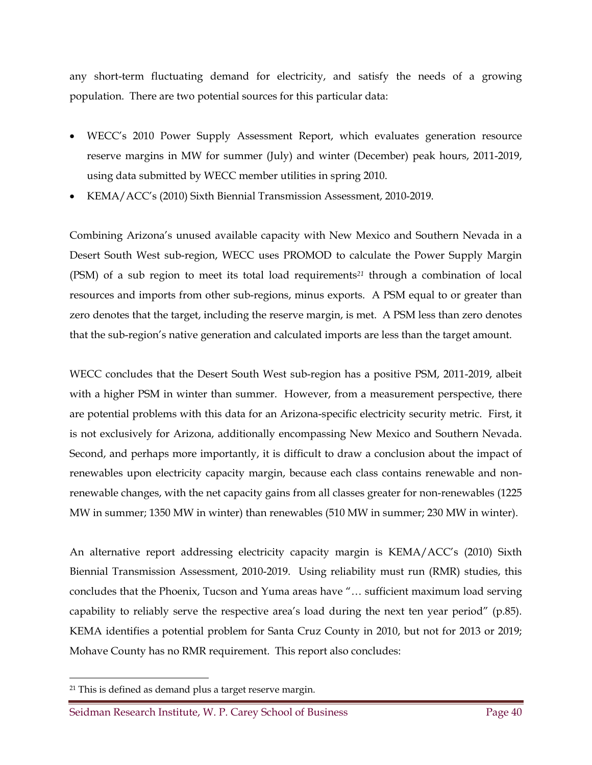any short-term fluctuating demand for electricity, and satisfy the needs of a growing population. There are two potential sources for this particular data:

- WECC's 2010 Power Supply Assessment Report, which evaluates generation resource reserve margins in MW for summer (July) and winter (December) peak hours, 2011-2019, using data submitted by WECC member utilities in spring 2010.
- KEMA/ACC's (2010) Sixth Biennial Transmission Assessment, 2010-2019.

Combining Arizona's unused available capacity with New Mexico and Southern Nevada in a Desert South West sub-region, WECC uses PROMOD to calculate the Power Supply Margin (PSM) of a sub region to meet its total load requirements*21* through a combination of local resources and imports from other sub-regions, minus exports. A PSM equal to or greater than zero denotes that the target, including the reserve margin, is met. A PSM less than zero denotes that the sub-region's native generation and calculated imports are less than the target amount.

WECC concludes that the Desert South West sub-region has a positive PSM, 2011-2019, albeit with a higher PSM in winter than summer. However, from a measurement perspective, there are potential problems with this data for an Arizona-specific electricity security metric. First, it is not exclusively for Arizona, additionally encompassing New Mexico and Southern Nevada. Second, and perhaps more importantly, it is difficult to draw a conclusion about the impact of renewables upon electricity capacity margin, because each class contains renewable and nonrenewable changes, with the net capacity gains from all classes greater for non-renewables (1225 MW in summer; 1350 MW in winter) than renewables (510 MW in summer; 230 MW in winter).

An alternative report addressing electricity capacity margin is KEMA/ACC's (2010) Sixth Biennial Transmission Assessment, 2010-2019. Using reliability must run (RMR) studies, this concludes that the Phoenix, Tucson and Yuma areas have "… sufficient maximum load serving capability to reliably serve the respective area's load during the next ten year period" (p.85). KEMA identifies a potential problem for Santa Cruz County in 2010, but not for 2013 or 2019; Mohave County has no RMR requirement. This report also concludes:

 $\overline{a}$ 

<sup>21</sup> This is defined as demand plus a target reserve margin.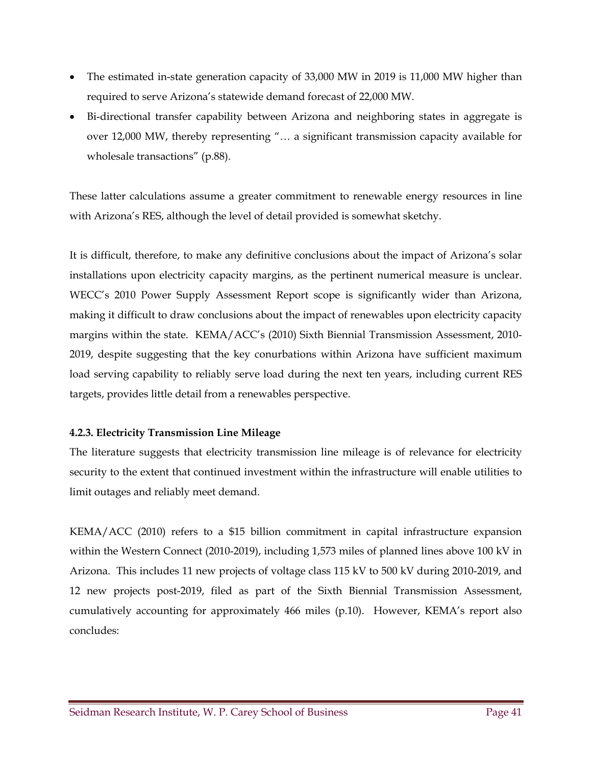- The estimated in-state generation capacity of 33,000 MW in 2019 is 11,000 MW higher than required to serve Arizona's statewide demand forecast of 22,000 MW.
- Bi-directional transfer capability between Arizona and neighboring states in aggregate is over 12,000 MW, thereby representing "… a significant transmission capacity available for wholesale transactions" (p.88).

These latter calculations assume a greater commitment to renewable energy resources in line with Arizona's RES, although the level of detail provided is somewhat sketchy.

It is difficult, therefore, to make any definitive conclusions about the impact of Arizona's solar installations upon electricity capacity margins, as the pertinent numerical measure is unclear. WECC's 2010 Power Supply Assessment Report scope is significantly wider than Arizona, making it difficult to draw conclusions about the impact of renewables upon electricity capacity margins within the state. KEMA/ACC's (2010) Sixth Biennial Transmission Assessment, 2010- 2019, despite suggesting that the key conurbations within Arizona have sufficient maximum load serving capability to reliably serve load during the next ten years, including current RES targets, provides little detail from a renewables perspective.

#### **4.2.3. Electricity Transmission Line Mileage**

The literature suggests that electricity transmission line mileage is of relevance for electricity security to the extent that continued investment within the infrastructure will enable utilities to limit outages and reliably meet demand.

KEMA/ACC (2010) refers to a \$15 billion commitment in capital infrastructure expansion within the Western Connect (2010-2019), including 1,573 miles of planned lines above 100 kV in Arizona. This includes 11 new projects of voltage class 115 kV to 500 kV during 2010-2019, and 12 new projects post-2019, filed as part of the Sixth Biennial Transmission Assessment, cumulatively accounting for approximately 466 miles (p.10). However, KEMA's report also concludes: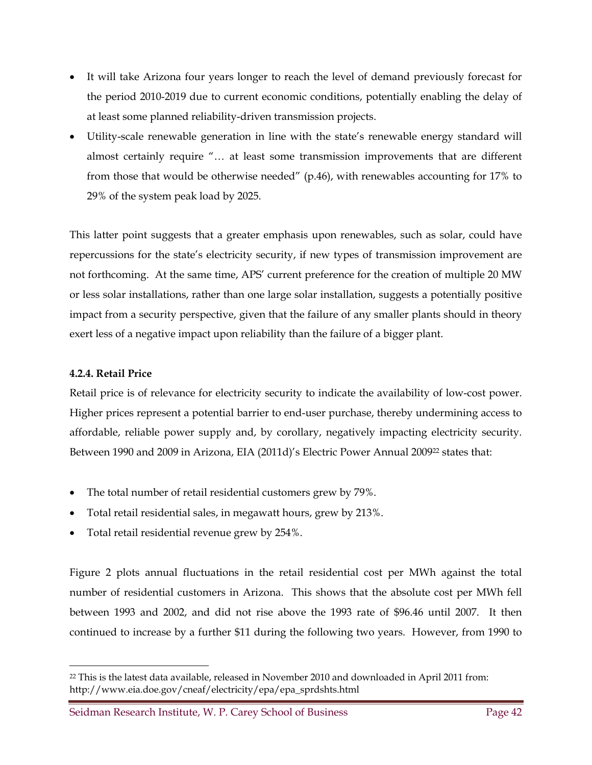- It will take Arizona four years longer to reach the level of demand previously forecast for the period 2010-2019 due to current economic conditions, potentially enabling the delay of at least some planned reliability-driven transmission projects.
- Utility-scale renewable generation in line with the state's renewable energy standard will almost certainly require "… at least some transmission improvements that are different from those that would be otherwise needed" (p.46), with renewables accounting for 17% to 29% of the system peak load by 2025.

This latter point suggests that a greater emphasis upon renewables, such as solar, could have repercussions for the state's electricity security, if new types of transmission improvement are not forthcoming. At the same time, APS' current preference for the creation of multiple 20 MW or less solar installations, rather than one large solar installation, suggests a potentially positive impact from a security perspective, given that the failure of any smaller plants should in theory exert less of a negative impact upon reliability than the failure of a bigger plant.

#### **4.2.4. Retail Price**

 $\overline{a}$ 

Retail price is of relevance for electricity security to indicate the availability of low-cost power. Higher prices represent a potential barrier to end-user purchase, thereby undermining access to affordable, reliable power supply and, by corollary, negatively impacting electricity security. Between 1990 and 2009 in Arizona, EIA (2011d)'s Electric Power Annual 200922 states that:

- The total number of retail residential customers grew by 79%.
- Total retail residential sales, in megawatt hours, grew by 213%.
- Total retail residential revenue grew by 254%.

Figure 2 plots annual fluctuations in the retail residential cost per MWh against the total number of residential customers in Arizona. This shows that the absolute cost per MWh fell between 1993 and 2002, and did not rise above the 1993 rate of \$96.46 until 2007. It then continued to increase by a further \$11 during the following two years. However, from 1990 to

<sup>22</sup> This is the latest data available, released in November 2010 and downloaded in April 2011 from: http://www.eia.doe.gov/cneaf/electricity/epa/epa\_sprdshts.html

Seidman Research Institute, W. P. Carey School of Business Page 42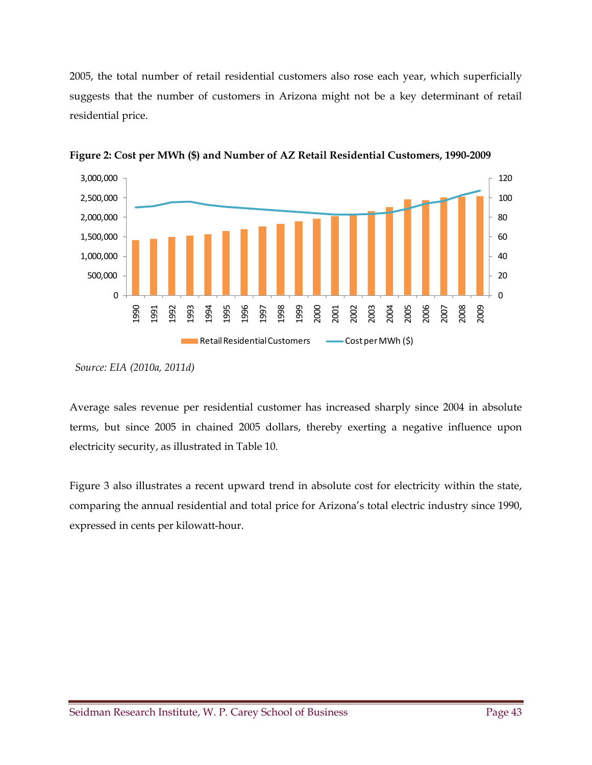2005, the total number of retail residential customers also rose each year, which superficially suggests that the number of customers in Arizona might not be a key determinant of retail residential price.



**Figure 2: Cost per MWh (\$) and Number of AZ Retail Residential Customers, 1990-2009** 

Average sales revenue per residential customer has increased sharply since 2004 in absolute terms, but since 2005 in chained 2005 dollars, thereby exerting a negative influence upon electricity security, as illustrated in Table 10.

Figure 3 also illustrates a recent upward trend in absolute cost for electricity within the state, comparing the annual residential and total price for Arizona's total electric industry since 1990, expressed in cents per kilowatt-hour.

*Source: EIA (2010a, 2011d)*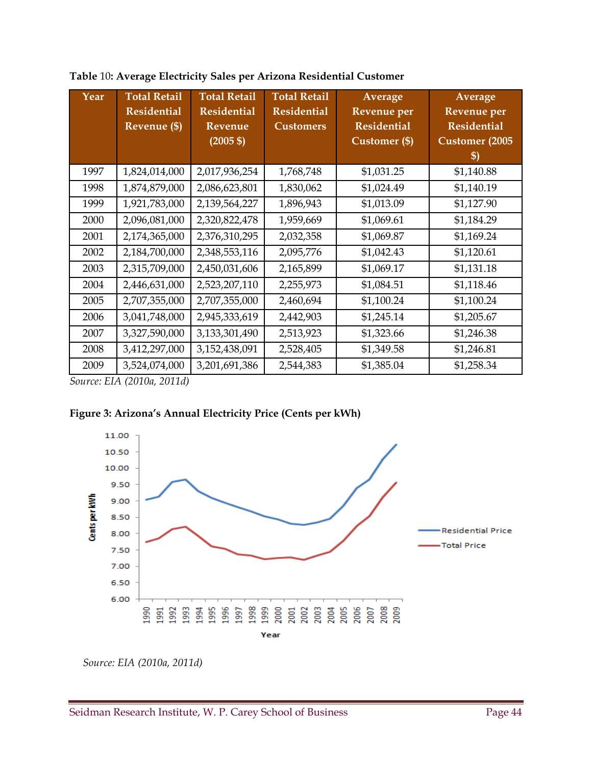| Year | <b>Total Retail</b><br><b>Residential</b><br>Revenue (\$) | <b>Total Retail</b><br><b>Residential</b><br>Revenue<br>$(2005 \text{ } $)$ | <b>Total Retail</b><br><b>Residential</b><br><b>Customers</b> | Average<br>Revenue per<br><b>Residential</b><br>Customer (\$) | Average<br>Revenue per<br><b>Residential</b><br><b>Customer</b> (2005<br>$\boldsymbol{\mathsf{S}}$ |
|------|-----------------------------------------------------------|-----------------------------------------------------------------------------|---------------------------------------------------------------|---------------------------------------------------------------|----------------------------------------------------------------------------------------------------|
| 1997 | 1,824,014,000                                             | 2,017,936,254                                                               | 1,768,748                                                     | \$1,031.25                                                    | \$1,140.88                                                                                         |
| 1998 | 1,874,879,000                                             | 2,086,623,801                                                               | 1,830,062                                                     | \$1,024.49                                                    | \$1,140.19                                                                                         |
| 1999 | 1,921,783,000                                             | 2,139,564,227                                                               | 1,896,943                                                     | \$1,013.09                                                    | \$1,127.90                                                                                         |
| 2000 | 2,096,081,000                                             | 2,320,822,478                                                               | 1,959,669                                                     | \$1,069.61                                                    | \$1,184.29                                                                                         |
| 2001 | 2,174,365,000                                             | 2,376,310,295                                                               | 2,032,358                                                     | \$1,069.87                                                    | \$1,169.24                                                                                         |
| 2002 | 2,184,700,000                                             | 2,348,553,116                                                               | 2,095,776                                                     | \$1,042.43                                                    | \$1,120.61                                                                                         |
| 2003 | 2,315,709,000                                             | 2,450,031,606                                                               | 2,165,899                                                     | \$1,069.17                                                    | \$1,131.18                                                                                         |
| 2004 | 2,446,631,000                                             | 2,523,207,110                                                               | 2,255,973                                                     | \$1,084.51                                                    | \$1,118.46                                                                                         |
| 2005 | 2,707,355,000                                             | 2,707,355,000                                                               | 2,460,694                                                     | \$1,100.24                                                    | \$1,100.24                                                                                         |
| 2006 | 3,041,748,000                                             | 2,945,333,619                                                               | 2,442,903                                                     | \$1,245.14                                                    | \$1,205.67                                                                                         |
| 2007 | 3,327,590,000                                             | 3,133,301,490                                                               | 2,513,923                                                     | \$1,323.66                                                    | \$1,246.38                                                                                         |
| 2008 | 3,412,297,000                                             | 3,152,438,091                                                               | 2,528,405                                                     | \$1,349.58                                                    | \$1,246.81                                                                                         |
| 2009 | 3,524,074,000                                             | 3,201,691,386                                                               | 2,544,383                                                     | \$1,385.04                                                    | \$1,258.34                                                                                         |

**Table** 10**: Average Electricity Sales per Arizona Residential Customer** 

*Source: EIA (2010a, 2011d)* 





 *Source: EIA (2010a, 2011d)*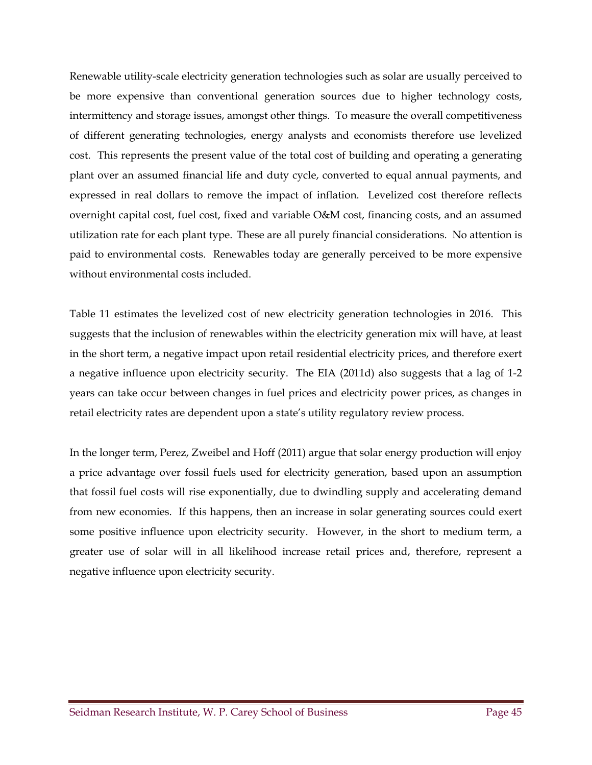Renewable utility-scale electricity generation technologies such as solar are usually perceived to be more expensive than conventional generation sources due to higher technology costs, intermittency and storage issues, amongst other things. To measure the overall competitiveness of different generating technologies, energy analysts and economists therefore use levelized cost. This represents the present value of the total cost of building and operating a generating plant over an assumed financial life and duty cycle, converted to equal annual payments, and expressed in real dollars to remove the impact of inflation. Levelized cost therefore reflects overnight capital cost, fuel cost, fixed and variable O&M cost, financing costs, and an assumed utilization rate for each plant type. These are all purely financial considerations. No attention is paid to environmental costs. Renewables today are generally perceived to be more expensive without environmental costs included.

Table 11 estimates the levelized cost of new electricity generation technologies in 2016. This suggests that the inclusion of renewables within the electricity generation mix will have, at least in the short term, a negative impact upon retail residential electricity prices, and therefore exert a negative influence upon electricity security. The EIA (2011d) also suggests that a lag of 1-2 years can take occur between changes in fuel prices and electricity power prices, as changes in retail electricity rates are dependent upon a state's utility regulatory review process.

In the longer term, Perez, Zweibel and Hoff (2011) argue that solar energy production will enjoy a price advantage over fossil fuels used for electricity generation, based upon an assumption that fossil fuel costs will rise exponentially, due to dwindling supply and accelerating demand from new economies. If this happens, then an increase in solar generating sources could exert some positive influence upon electricity security. However, in the short to medium term, a greater use of solar will in all likelihood increase retail prices and, therefore, represent a negative influence upon electricity security.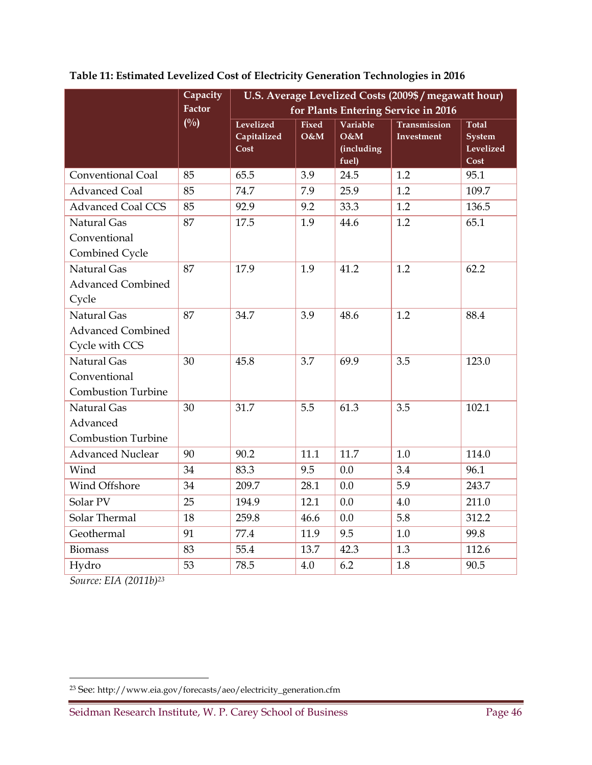|                           | Capacity      | U.S. Average Levelized Costs (2009\$ / megawatt hour) |              |                   |                     |                            |  |  |
|---------------------------|---------------|-------------------------------------------------------|--------------|-------------------|---------------------|----------------------------|--|--|
|                           | <b>Factor</b> | for Plants Entering Service in 2016                   |              |                   |                     |                            |  |  |
|                           | $(^{0}/_{0})$ | Levelized                                             | <b>Fixed</b> | Variable          | <b>Transmission</b> | <b>Total</b>               |  |  |
|                           |               | Capitalized<br>Cost                                   | O&M          | O&M<br>(including | <b>Investment</b>   | <b>System</b><br>Levelized |  |  |
|                           |               |                                                       |              | fuel)             |                     | Cost                       |  |  |
| Conventional Coal         | 85            | 65.5                                                  | 3.9          | 24.5              | 1.2                 | 95.1                       |  |  |
| <b>Advanced Coal</b>      | 85            | 74.7                                                  | 7.9          | 25.9              | 1.2                 | 109.7                      |  |  |
| <b>Advanced Coal CCS</b>  | 85            | 92.9                                                  | 9.2          | 33.3              | 1.2                 | 136.5                      |  |  |
| Natural Gas               | 87            | 17.5                                                  | 1.9          | 44.6              | 1.2                 | 65.1                       |  |  |
| Conventional              |               |                                                       |              |                   |                     |                            |  |  |
| Combined Cycle            |               |                                                       |              |                   |                     |                            |  |  |
| Natural Gas               | 87            | 17.9                                                  | 1.9          | 41.2              | 1.2                 | 62.2                       |  |  |
| <b>Advanced Combined</b>  |               |                                                       |              |                   |                     |                            |  |  |
| Cycle                     |               |                                                       |              |                   |                     |                            |  |  |
| Natural Gas               | 87            | 34.7                                                  | 3.9          | 48.6              | 1.2                 | 88.4                       |  |  |
| <b>Advanced Combined</b>  |               |                                                       |              |                   |                     |                            |  |  |
| Cycle with CCS            |               |                                                       |              |                   |                     |                            |  |  |
| Natural Gas               | 30            | 45.8                                                  | 3.7          | 69.9              | 3.5                 | 123.0                      |  |  |
| Conventional              |               |                                                       |              |                   |                     |                            |  |  |
| <b>Combustion Turbine</b> |               |                                                       |              |                   |                     |                            |  |  |
| Natural Gas               | 30            | 31.7                                                  | 5.5          | 61.3              | 3.5                 | 102.1                      |  |  |
| Advanced                  |               |                                                       |              |                   |                     |                            |  |  |
| <b>Combustion Turbine</b> |               |                                                       |              |                   |                     |                            |  |  |
| <b>Advanced Nuclear</b>   | 90            | 90.2                                                  | 11.1         | 11.7              | 1.0                 | 114.0                      |  |  |
| Wind                      | 34            | 83.3                                                  | 9.5          | 0.0               | 3.4                 | 96.1                       |  |  |
| Wind Offshore             | 34            | 209.7                                                 | 28.1         | 0.0               | 5.9                 | 243.7                      |  |  |
| Solar PV                  | 25            | 194.9                                                 | 12.1         | 0.0               | 4.0                 | 211.0                      |  |  |
| Solar Thermal             | 18            | 259.8                                                 | 46.6         | 0.0               | 5.8                 | 312.2                      |  |  |
| Geothermal                | 91            | 77.4                                                  | 11.9         | 9.5               | 1.0                 | 99.8                       |  |  |
| <b>Biomass</b>            | 83            | 55.4                                                  | 13.7         | 42.3              | 1.3                 | 112.6                      |  |  |
| Hydro                     | 53            | 78.5                                                  | 4.0          | 6.2               | 1.8                 | 90.5                       |  |  |

**Table 11: Estimated Levelized Cost of Electricity Generation Technologies in 2016** 

*Source: EIA (2011b)23*

 $\overline{a}$ 

<sup>23</sup> See: http://www.eia.gov/forecasts/aeo/electricity\_generation.cfm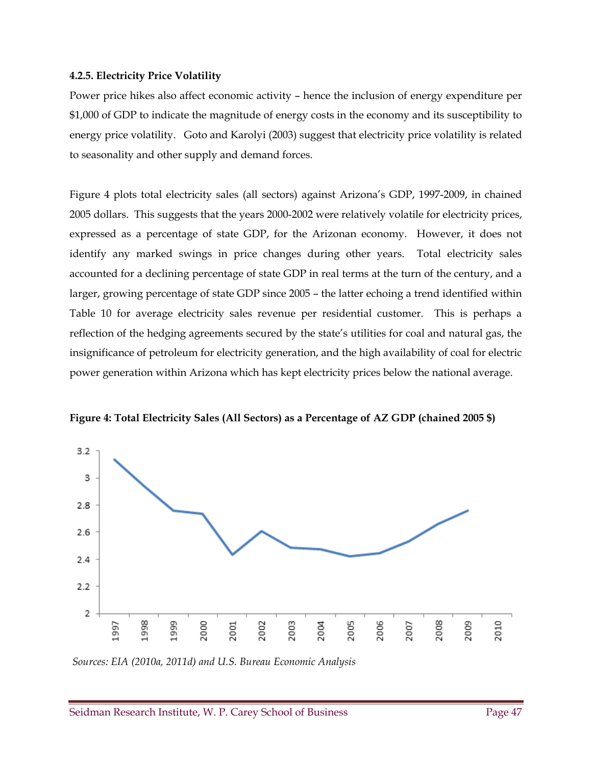#### **4.2.5. Electricity Price Volatility**

Power price hikes also affect economic activity – hence the inclusion of energy expenditure per \$1,000 of GDP to indicate the magnitude of energy costs in the economy and its susceptibility to energy price volatility. Goto and Karolyi (2003) suggest that electricity price volatility is related to seasonality and other supply and demand forces.

Figure 4 plots total electricity sales (all sectors) against Arizona's GDP, 1997-2009, in chained 2005 dollars. This suggests that the years 2000-2002 were relatively volatile for electricity prices, expressed as a percentage of state GDP, for the Arizonan economy. However, it does not identify any marked swings in price changes during other years. Total electricity sales accounted for a declining percentage of state GDP in real terms at the turn of the century, and a larger, growing percentage of state GDP since 2005 – the latter echoing a trend identified within Table 10 for average electricity sales revenue per residential customer. This is perhaps a reflection of the hedging agreements secured by the state's utilities for coal and natural gas, the insignificance of petroleum for electricity generation, and the high availability of coal for electric power generation within Arizona which has kept electricity prices below the national average.



**Figure 4: Total Electricity Sales (All Sectors) as a Percentage of AZ GDP (chained 2005 \$)** 

 *Sources: EIA (2010a, 2011d) and U.S. Bureau Economic Analysis*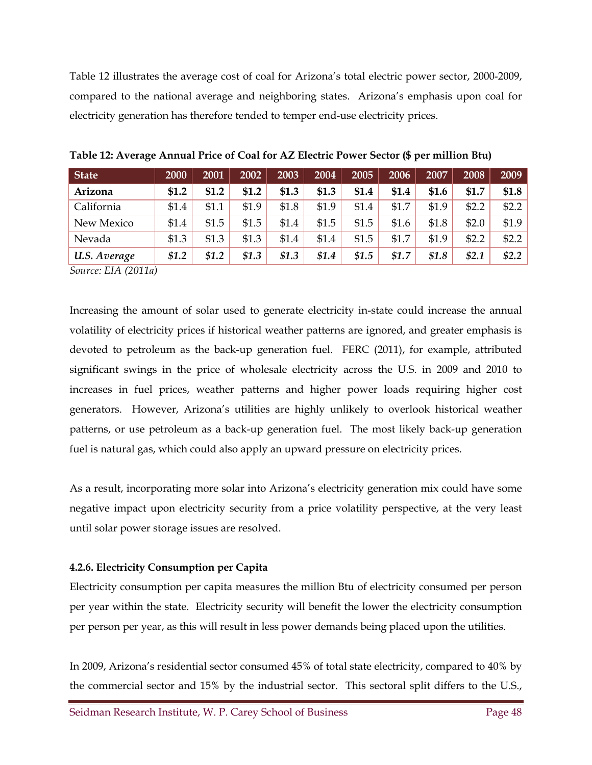Table 12 illustrates the average cost of coal for Arizona's total electric power sector, 2000-2009, compared to the national average and neighboring states. Arizona's emphasis upon coal for electricity generation has therefore tended to temper end-use electricity prices.

| <b>State</b> | 2000    | 2001    | 2002    | 2003    | 2004    | 2005  | 2006  | 2007    | 2008  | 2009    |
|--------------|---------|---------|---------|---------|---------|-------|-------|---------|-------|---------|
| Arizona      | \$1.2   | \$1.2   | \$1.2   | \$1.3   | \$1.3   | \$1.4 | \$1.4 | \$1.6   | \$1.7 | \$1.8   |
| California   | \$1.4   | \$1.1   | \$1.9   | \$1.8   | \$1.9   | \$1.4 | \$1.7 | \$1.9   | \$2.2 | \$2.2   |
| New Mexico   | \$1.4   | \$1.5   | \$1.5   | \$1.4   | \$1.5   | \$1.5 | \$1.6 | \$1.8   | \$2.0 | \$1.9   |
| Nevada       | \$1.3   | \$1.3   | \$1.3   | \$1.4   | \$1.4   | \$1.5 | \$1.7 | \$1.9   | \$2.2 | \$2.2   |
| U.S. Average | \$1.2\$ | \$1.2\$ | \$1.3\$ | \$1.3\$ | \$1.4\$ | \$1.5 | \$1.7 | \$1.8\$ | \$2.1 | \$2.2\$ |

**Table 12: Average Annual Price of Coal for AZ Electric Power Sector (\$ per million Btu)** 

*Source: EIA (2011a)* 

Increasing the amount of solar used to generate electricity in-state could increase the annual volatility of electricity prices if historical weather patterns are ignored, and greater emphasis is devoted to petroleum as the back-up generation fuel. FERC (2011), for example, attributed significant swings in the price of wholesale electricity across the U.S. in 2009 and 2010 to increases in fuel prices, weather patterns and higher power loads requiring higher cost generators. However, Arizona's utilities are highly unlikely to overlook historical weather patterns, or use petroleum as a back-up generation fuel. The most likely back-up generation fuel is natural gas, which could also apply an upward pressure on electricity prices.

As a result, incorporating more solar into Arizona's electricity generation mix could have some negative impact upon electricity security from a price volatility perspective, at the very least until solar power storage issues are resolved.

#### **4.2.6. Electricity Consumption per Capita**

Electricity consumption per capita measures the million Btu of electricity consumed per person per year within the state. Electricity security will benefit the lower the electricity consumption per person per year, as this will result in less power demands being placed upon the utilities.

In 2009, Arizona's residential sector consumed 45% of total state electricity, compared to 40% by the commercial sector and 15% by the industrial sector. This sectoral split differs to the U.S.,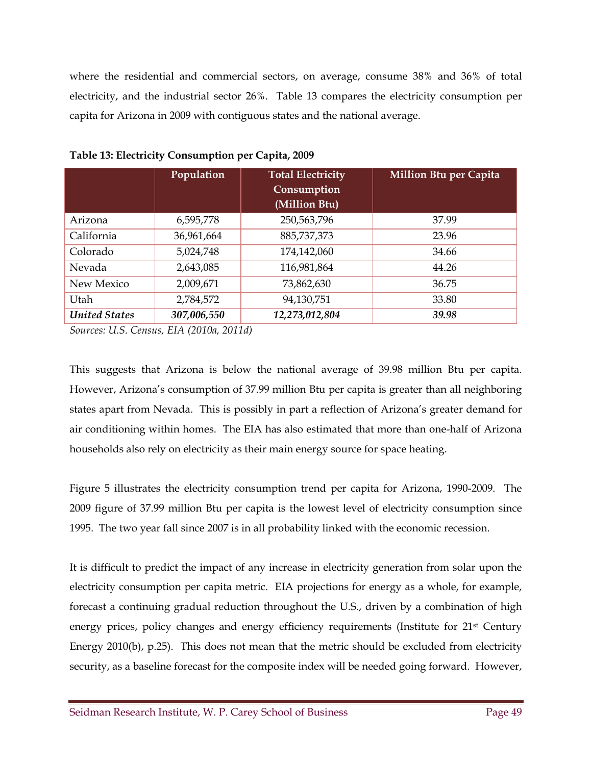where the residential and commercial sectors, on average, consume 38% and 36% of total electricity, and the industrial sector 26%. Table 13 compares the electricity consumption per capita for Arizona in 2009 with contiguous states and the national average.

|                      | Population  | <b>Total Electricity</b><br>Consumption<br>(Million Btu) | <b>Million Btu per Capita</b> |
|----------------------|-------------|----------------------------------------------------------|-------------------------------|
| Arizona              | 6,595,778   | 250,563,796                                              | 37.99                         |
| California           | 36,961,664  | 885,737,373                                              | 23.96                         |
| Colorado             | 5,024,748   | 174,142,060                                              | 34.66                         |
| Nevada               | 2,643,085   | 116,981,864                                              | 44.26                         |
| New Mexico           | 2,009,671   | 73,862,630                                               | 36.75                         |
| Utah                 | 2,784,572   | 94,130,751                                               | 33.80                         |
| <b>United States</b> | 307,006,550 | 12,273,012,804                                           | 39.98                         |

**Table 13: Electricity Consumption per Capita, 2009** 

*Sources: U.S. Census, EIA (2010a, 2011d)* 

This suggests that Arizona is below the national average of 39.98 million Btu per capita. However, Arizona's consumption of 37.99 million Btu per capita is greater than all neighboring states apart from Nevada. This is possibly in part a reflection of Arizona's greater demand for air conditioning within homes. The EIA has also estimated that more than one-half of Arizona households also rely on electricity as their main energy source for space heating.

Figure 5 illustrates the electricity consumption trend per capita for Arizona, 1990-2009. The 2009 figure of 37.99 million Btu per capita is the lowest level of electricity consumption since 1995. The two year fall since 2007 is in all probability linked with the economic recession.

It is difficult to predict the impact of any increase in electricity generation from solar upon the electricity consumption per capita metric. EIA projections for energy as a whole, for example, forecast a continuing gradual reduction throughout the U.S., driven by a combination of high energy prices, policy changes and energy efficiency requirements (Institute for 21<sup>st</sup> Century Energy 2010(b), p.25). This does not mean that the metric should be excluded from electricity security, as a baseline forecast for the composite index will be needed going forward. However,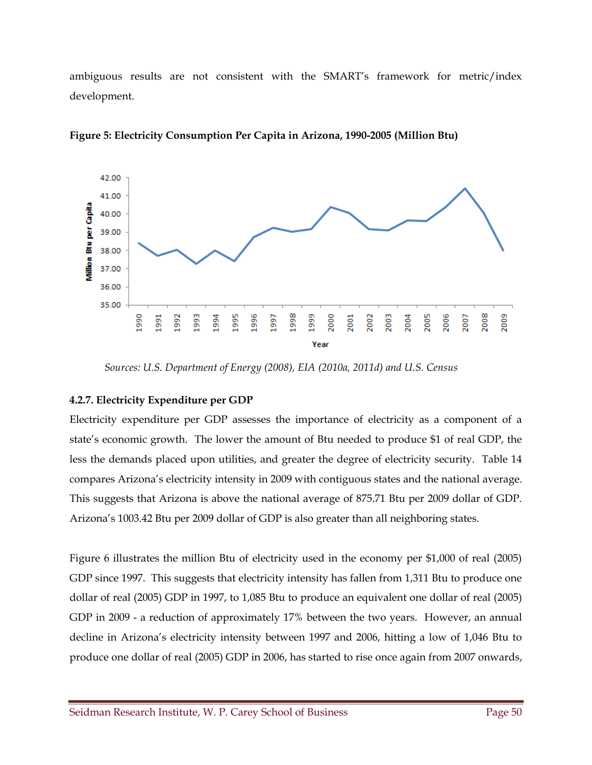ambiguous results are not consistent with the SMART's framework for metric/index development.



**Figure 5: Electricity Consumption Per Capita in Arizona, 1990-2005 (Million Btu)** 

*Sources: U.S. Department of Energy (2008), EIA (2010a, 2011d) and U.S. Census* 

#### **4.2.7. Electricity Expenditure per GDP**

Electricity expenditure per GDP assesses the importance of electricity as a component of a state's economic growth. The lower the amount of Btu needed to produce \$1 of real GDP, the less the demands placed upon utilities, and greater the degree of electricity security. Table 14 compares Arizona's electricity intensity in 2009 with contiguous states and the national average. This suggests that Arizona is above the national average of 875.71 Btu per 2009 dollar of GDP. Arizona's 1003.42 Btu per 2009 dollar of GDP is also greater than all neighboring states.

Figure 6 illustrates the million Btu of electricity used in the economy per \$1,000 of real (2005) GDP since 1997. This suggests that electricity intensity has fallen from 1,311 Btu to produce one dollar of real (2005) GDP in 1997, to 1,085 Btu to produce an equivalent one dollar of real (2005) GDP in 2009 - a reduction of approximately 17% between the two years. However, an annual decline in Arizona's electricity intensity between 1997 and 2006, hitting a low of 1,046 Btu to produce one dollar of real (2005) GDP in 2006, has started to rise once again from 2007 onwards,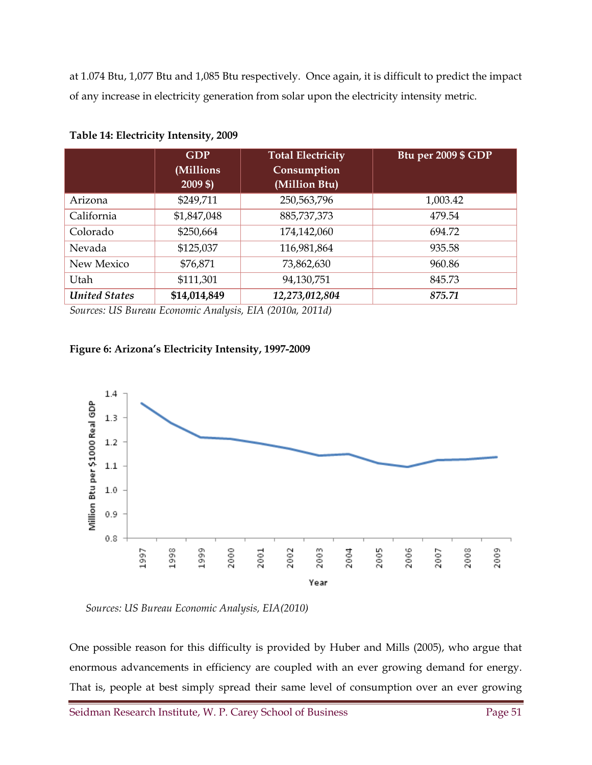at 1.074 Btu, 1,077 Btu and 1,085 Btu respectively. Once again, it is difficult to predict the impact of any increase in electricity generation from solar upon the electricity intensity metric.

|                      | <b>GDP</b><br>(Millions<br>$2009$ \$) | <b>Total Electricity</b><br>Consumption<br>(Million Btu) | Btu per 2009 \$ GDP |
|----------------------|---------------------------------------|----------------------------------------------------------|---------------------|
| Arizona              | \$249,711                             | 250,563,796                                              | 1,003.42            |
| California           | \$1,847,048                           | 885,737,373                                              | 479.54              |
| Colorado             | \$250,664                             | 174,142,060                                              | 694.72              |
| Nevada               | \$125,037                             | 116,981,864                                              | 935.58              |
| New Mexico           | \$76,871                              | 73,862,630                                               | 960.86              |
| Utah                 | \$111,301                             | 94,130,751                                               | 845.73              |
| <b>United States</b> | \$14,014,849                          | 12,273,012,804                                           | 875.71              |

**Table 14: Electricity Intensity, 2009** 

*Sources: US Bureau Economic Analysis, EIA (2010a, 2011d)* 

#### **Figure 6: Arizona's Electricity Intensity, 1997-2009**



 *Sources: US Bureau Economic Analysis, EIA(2010)* 

One possible reason for this difficulty is provided by Huber and Mills (2005), who argue that enormous advancements in efficiency are coupled with an ever growing demand for energy. That is, people at best simply spread their same level of consumption over an ever growing

Seidman Research Institute, W. P. Carey School of Business Page 51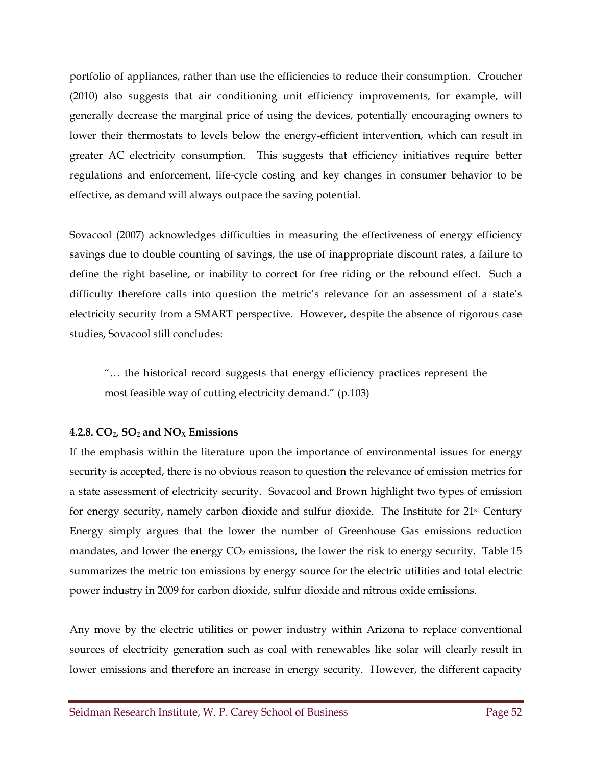portfolio of appliances, rather than use the efficiencies to reduce their consumption. Croucher (2010) also suggests that air conditioning unit efficiency improvements, for example, will generally decrease the marginal price of using the devices, potentially encouraging owners to lower their thermostats to levels below the energy-efficient intervention, which can result in greater AC electricity consumption. This suggests that efficiency initiatives require better regulations and enforcement, life-cycle costing and key changes in consumer behavior to be effective, as demand will always outpace the saving potential.

Sovacool (2007) acknowledges difficulties in measuring the effectiveness of energy efficiency savings due to double counting of savings, the use of inappropriate discount rates, a failure to define the right baseline, or inability to correct for free riding or the rebound effect. Such a difficulty therefore calls into question the metric's relevance for an assessment of a state's electricity security from a SMART perspective. However, despite the absence of rigorous case studies, Sovacool still concludes:

"… the historical record suggests that energy efficiency practices represent the most feasible way of cutting electricity demand." (p.103)

#### **4.2.8. CO2, SO2 and NOX Emissions**

If the emphasis within the literature upon the importance of environmental issues for energy security is accepted, there is no obvious reason to question the relevance of emission metrics for a state assessment of electricity security. Sovacool and Brown highlight two types of emission for energy security, namely carbon dioxide and sulfur dioxide. The Institute for 21st Century Energy simply argues that the lower the number of Greenhouse Gas emissions reduction mandates, and lower the energy  $CO<sub>2</sub>$  emissions, the lower the risk to energy security. Table 15 summarizes the metric ton emissions by energy source for the electric utilities and total electric power industry in 2009 for carbon dioxide, sulfur dioxide and nitrous oxide emissions.

Any move by the electric utilities or power industry within Arizona to replace conventional sources of electricity generation such as coal with renewables like solar will clearly result in lower emissions and therefore an increase in energy security. However, the different capacity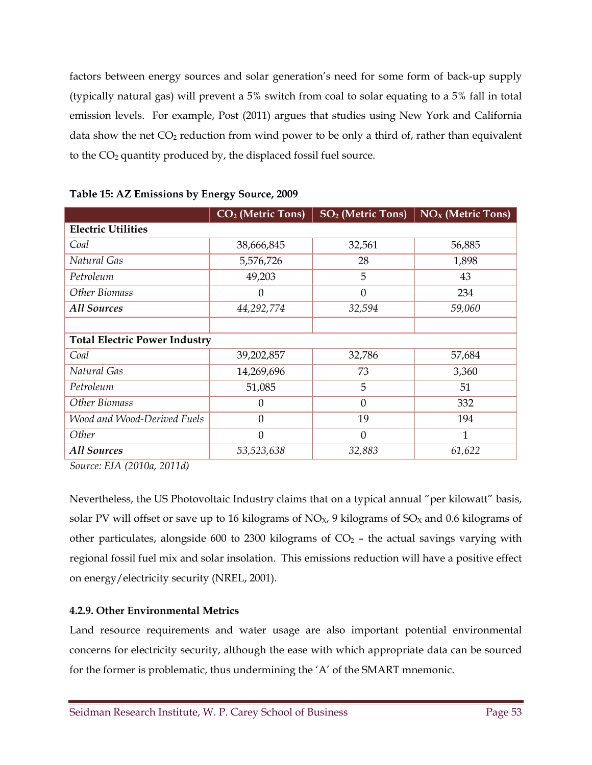factors between energy sources and solar generation's need for some form of back-up supply (typically natural gas) will prevent a 5% switch from coal to solar equating to a 5% fall in total emission levels. For example, Post (2011) argues that studies using New York and California data show the net  $CO<sub>2</sub>$  reduction from wind power to be only a third of, rather than equivalent to the  $CO<sub>2</sub>$  quantity produced by, the displaced fossil fuel source.

|                             | CO <sub>2</sub> (Metric Tons)        | <b>SO<sub>2</sub></b> (Metric Tons) | $NOX$ (Metric Tons) |  |  |  |
|-----------------------------|--------------------------------------|-------------------------------------|---------------------|--|--|--|
| <b>Electric Utilities</b>   |                                      |                                     |                     |  |  |  |
| Coal                        | 38,666,845                           | 32,561                              | 56,885              |  |  |  |
| Natural Gas                 | 5,576,726                            | 28                                  | 1,898               |  |  |  |
| Petroleum                   | 49,203                               | 5                                   | 43                  |  |  |  |
| Other Biomass               | $\boldsymbol{0}$                     | $\overline{0}$                      | 234                 |  |  |  |
| <b>All Sources</b>          | 44,292,774                           | 32,594                              | 59,060              |  |  |  |
|                             |                                      |                                     |                     |  |  |  |
|                             | <b>Total Electric Power Industry</b> |                                     |                     |  |  |  |
| Coal                        | 39,202,857                           | 32,786                              | 57,684              |  |  |  |
| Natural Gas                 | 14,269,696                           | 73                                  | 3,360               |  |  |  |
| Petroleum                   | 51,085                               | 5                                   | 51                  |  |  |  |
| Other Biomass               | $\boldsymbol{0}$                     | $\overline{0}$                      | 332                 |  |  |  |
| Wood and Wood-Derived Fuels | $\theta$                             | 19                                  | 194                 |  |  |  |
| Other                       | $\mathbf{0}$                         | $\mathbf{0}$                        | 1                   |  |  |  |
| <b>All Sources</b>          | 53,523,638                           | 32,883                              | 61,622              |  |  |  |

*Source: EIA (2010a, 2011d)* 

Nevertheless, the US Photovoltaic Industry claims that on a typical annual "per kilowatt" basis, solar PV will offset or save up to 16 kilograms of  $NO<sub>x</sub>$ , 9 kilograms of  $SO<sub>x</sub>$  and 0.6 kilograms of other particulates, alongside 600 to 2300 kilograms of  $CO<sub>2</sub>$  – the actual savings varying with regional fossil fuel mix and solar insolation. This emissions reduction will have a positive effect on energy/electricity security (NREL, 2001).

#### **4.2.9. Other Environmental Metrics**

Land resource requirements and water usage are also important potential environmental concerns for electricity security, although the ease with which appropriate data can be sourced for the former is problematic, thus undermining the 'A' of the SMART mnemonic.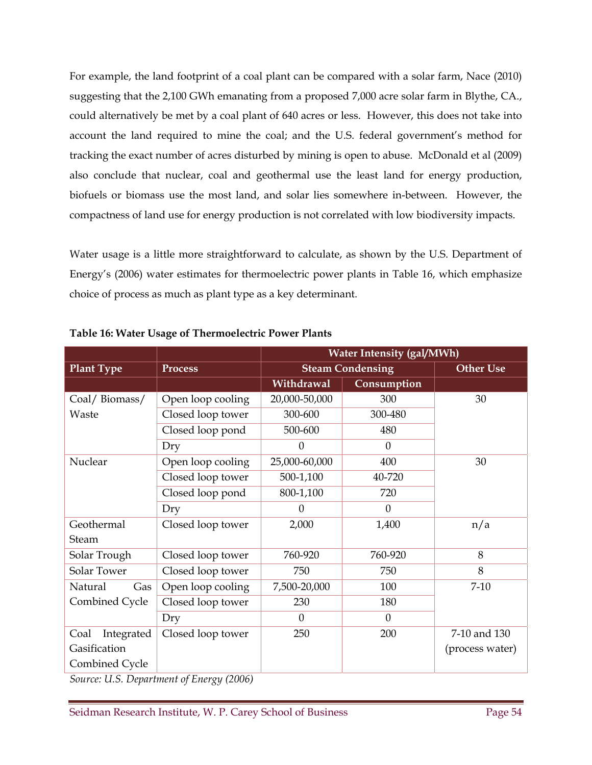For example, the land footprint of a coal plant can be compared with a solar farm, Nace (2010) suggesting that the 2,100 GWh emanating from a proposed 7,000 acre solar farm in Blythe, CA., could alternatively be met by a coal plant of 640 acres or less. However, this does not take into account the land required to mine the coal; and the U.S. federal government's method for tracking the exact number of acres disturbed by mining is open to abuse. McDonald et al (2009) also conclude that nuclear, coal and geothermal use the least land for energy production, biofuels or biomass use the most land, and solar lies somewhere in-between. However, the compactness of land use for energy production is not correlated with low biodiversity impacts.

Water usage is a little more straightforward to calculate, as shown by the U.S. Department of Energy's (2006) water estimates for thermoelectric power plants in Table 16, which emphasize choice of process as much as plant type as a key determinant.

|                    |                   | <b>Water Intensity (gal/MWh)</b> |              |                  |
|--------------------|-------------------|----------------------------------|--------------|------------------|
| <b>Plant Type</b>  | <b>Process</b>    | <b>Steam Condensing</b>          |              | <b>Other Use</b> |
|                    |                   | Withdrawal                       | Consumption  |                  |
| Coal/Biomass/      | Open loop cooling | 20,000-50,000                    | 300          | 30               |
| Waste              | Closed loop tower | 300-600                          | 300-480      |                  |
|                    | Closed loop pond  | 500-600                          | 480          |                  |
|                    | Dry               | $\theta$                         | $\theta$     |                  |
| Nuclear            | Open loop cooling | 25,000-60,000                    | 400          | 30               |
|                    | Closed loop tower | 500-1,100                        | 40-720       |                  |
|                    | Closed loop pond  | 800-1,100                        | 720          |                  |
|                    | Dry               | $\Omega$                         | $\Omega$     |                  |
| Geothermal         | Closed loop tower | 2,000                            | 1,400        | n/a              |
| <b>Steam</b>       |                   |                                  |              |                  |
| Solar Trough       | Closed loop tower | 760-920                          | 760-920      | 8                |
| Solar Tower        | Closed loop tower | 750                              | 750          | 8                |
| Natural<br>Gas     | Open loop cooling | 7,500-20,000                     | 100          | $7 - 10$         |
| Combined Cycle     | Closed loop tower | 230                              | 180          |                  |
|                    | Dry               | $\overline{0}$                   | $\mathbf{0}$ |                  |
| Integrated<br>Coal | Closed loop tower | 250                              | 200          | 7-10 and 130     |
| Gasification       |                   |                                  |              | (process water)  |
| Combined Cycle     |                   |                                  |              |                  |

**Table 16: Water Usage of Thermoelectric Power Plants** 

*Source: U.S. Department of Energy (2006)*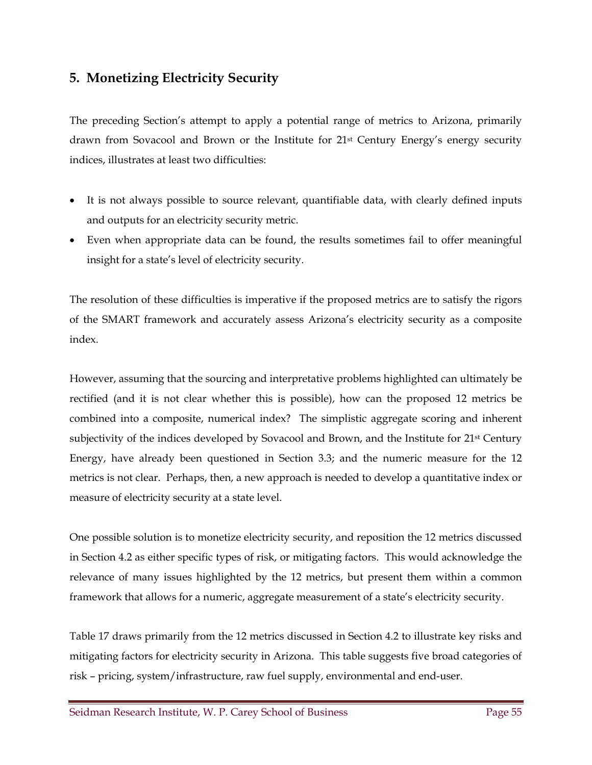## **5. Monetizing Electricity Security**

The preceding Section's attempt to apply a potential range of metrics to Arizona, primarily drawn from Sovacool and Brown or the Institute for 21st Century Energy's energy security indices, illustrates at least two difficulties:

- It is not always possible to source relevant, quantifiable data, with clearly defined inputs and outputs for an electricity security metric.
- Even when appropriate data can be found, the results sometimes fail to offer meaningful insight for a state's level of electricity security.

The resolution of these difficulties is imperative if the proposed metrics are to satisfy the rigors of the SMART framework and accurately assess Arizona's electricity security as a composite index.

However, assuming that the sourcing and interpretative problems highlighted can ultimately be rectified (and it is not clear whether this is possible), how can the proposed 12 metrics be combined into a composite, numerical index? The simplistic aggregate scoring and inherent subjectivity of the indices developed by Sovacool and Brown, and the Institute for 21<sup>st</sup> Century Energy, have already been questioned in Section 3.3; and the numeric measure for the 12 metrics is not clear. Perhaps, then, a new approach is needed to develop a quantitative index or measure of electricity security at a state level.

One possible solution is to monetize electricity security, and reposition the 12 metrics discussed in Section 4.2 as either specific types of risk, or mitigating factors. This would acknowledge the relevance of many issues highlighted by the 12 metrics, but present them within a common framework that allows for a numeric, aggregate measurement of a state's electricity security.

Table 17 draws primarily from the 12 metrics discussed in Section 4.2 to illustrate key risks and mitigating factors for electricity security in Arizona. This table suggests five broad categories of risk – pricing, system/infrastructure, raw fuel supply, environmental and end-user.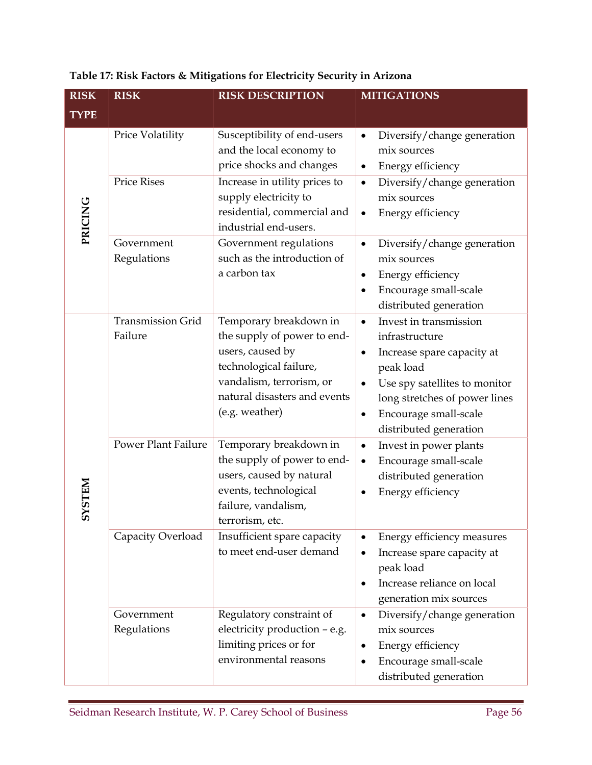| <b>RISK</b>   | <b>RISK</b>                         | <b>RISK DESCRIPTION</b>                                                                                                                                                           | <b>MITIGATIONS</b>                                                                                                                                                                                                                                   |  |
|---------------|-------------------------------------|-----------------------------------------------------------------------------------------------------------------------------------------------------------------------------------|------------------------------------------------------------------------------------------------------------------------------------------------------------------------------------------------------------------------------------------------------|--|
| <b>TYPE</b>   |                                     |                                                                                                                                                                                   |                                                                                                                                                                                                                                                      |  |
|               | Price Volatility                    | Susceptibility of end-users<br>and the local economy to<br>price shocks and changes                                                                                               | Diversify/change generation<br>$\bullet$<br>mix sources<br>Energy efficiency<br>$\bullet$                                                                                                                                                            |  |
| PRICING       | <b>Price Rises</b>                  | Increase in utility prices to<br>supply electricity to<br>residential, commercial and<br>industrial end-users.                                                                    | Diversify/change generation<br>$\bullet$<br>mix sources<br>Energy efficiency<br>$\bullet$                                                                                                                                                            |  |
|               | Government<br>Regulations           | Government regulations<br>such as the introduction of<br>a carbon tax                                                                                                             | Diversify/change generation<br>$\bullet$<br>mix sources<br>Energy efficiency<br>$\bullet$<br>Encourage small-scale<br>$\bullet$<br>distributed generation                                                                                            |  |
|               | <b>Transmission Grid</b><br>Failure | Temporary breakdown in<br>the supply of power to end-<br>users, caused by<br>technological failure,<br>vandalism, terrorism, or<br>natural disasters and events<br>(e.g. weather) | Invest in transmission<br>$\bullet$<br>infrastructure<br>Increase spare capacity at<br>٠<br>peak load<br>Use spy satellites to monitor<br>$\bullet$<br>long stretches of power lines<br>Encourage small-scale<br>$\bullet$<br>distributed generation |  |
| <b>NALSAS</b> | <b>Power Plant Failure</b>          | Temporary breakdown in<br>the supply of power to end-<br>users, caused by natural<br>events, technological<br>failure, vandalism,<br>terrorism, etc.                              | Invest in power plants<br>$\bullet$<br>Encourage small-scale<br>$\bullet$<br>distributed generation<br>Energy efficiency<br>٠                                                                                                                        |  |
|               | Capacity Overload                   | Insufficient spare capacity<br>to meet end-user demand                                                                                                                            | Energy efficiency measures<br>$\bullet$<br>Increase spare capacity at<br>$\bullet$<br>peak load<br>Increase reliance on local<br>$\bullet$<br>generation mix sources                                                                                 |  |
|               | Government<br>Regulations           | Regulatory constraint of<br>electricity production - e.g.<br>limiting prices or for<br>environmental reasons                                                                      | Diversify/change generation<br>$\bullet$<br>mix sources<br>Energy efficiency<br>$\bullet$<br>Encourage small-scale<br>٠<br>distributed generation                                                                                                    |  |

## **Table 17: Risk Factors & Mitigations for Electricity Security in Arizona**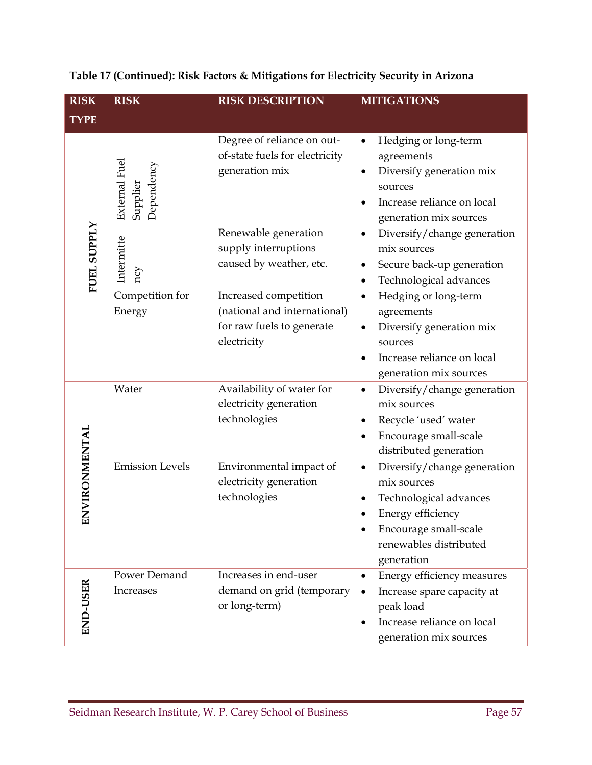| <b>RISK</b>     | <b>RISK</b>                             | <b>RISK DESCRIPTION</b>                                                                           | <b>MITIGATIONS</b>                                                                                                                                                                        |
|-----------------|-----------------------------------------|---------------------------------------------------------------------------------------------------|-------------------------------------------------------------------------------------------------------------------------------------------------------------------------------------------|
| <b>TYPE</b>     |                                         |                                                                                                   |                                                                                                                                                                                           |
|                 | External Fuel<br>Dependency<br>Supplier | Degree of reliance on out-<br>of-state fuels for electricity<br>generation mix                    | Hedging or long-term<br>٠<br>agreements<br>Diversify generation mix<br>٠<br>sources<br>Increase reliance on local<br>$\bullet$<br>generation mix sources                                  |
| FUEL SUPPLY     | Intermitte<br>ncy                       | Renewable generation<br>supply interruptions<br>caused by weather, etc.                           | Diversify/change generation<br>$\bullet$<br>mix sources<br>Secure back-up generation<br>$\bullet$<br>Technological advances<br>٠                                                          |
|                 | Competition for<br>Energy               | Increased competition<br>(national and international)<br>for raw fuels to generate<br>electricity | Hedging or long-term<br>$\bullet$<br>agreements<br>Diversify generation mix<br>$\bullet$<br>sources<br>Increase reliance on local<br>$\bullet$<br>generation mix sources                  |
|                 | Water                                   | Availability of water for<br>electricity generation<br>technologies                               | Diversify/change generation<br>$\bullet$<br>mix sources<br>Recycle 'used' water<br>$\bullet$<br>Encourage small-scale<br>٠<br>distributed generation                                      |
| ENVIRONMENTAL   | <b>Emission Levels</b>                  | Environmental impact of<br>electricity generation<br>technologies                                 | Diversify/change generation<br>$\bullet$<br>mix sources<br>Technological advances<br>$\bullet$<br>Energy efficiency<br>٠<br>Encourage small-scale<br>renewables distributed<br>generation |
| <b>END-USER</b> | Power Demand<br>Increases               | Increases in end-user<br>demand on grid (temporary<br>or long-term)                               | Energy efficiency measures<br>$\bullet$<br>Increase spare capacity at<br>$\bullet$<br>peak load<br>Increase reliance on local<br>٠<br>generation mix sources                              |

## **Table 17 (Continued): Risk Factors & Mitigations for Electricity Security in Arizona**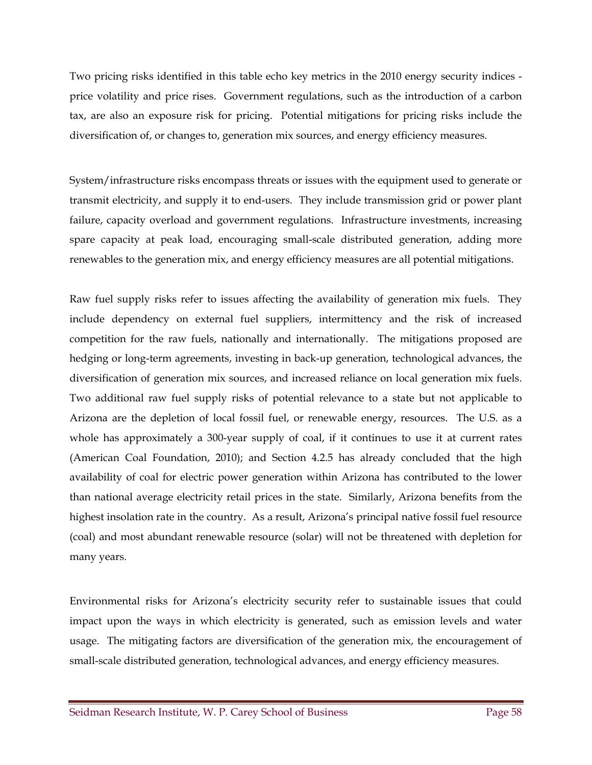Two pricing risks identified in this table echo key metrics in the 2010 energy security indices price volatility and price rises. Government regulations, such as the introduction of a carbon tax, are also an exposure risk for pricing. Potential mitigations for pricing risks include the diversification of, or changes to, generation mix sources, and energy efficiency measures.

System/infrastructure risks encompass threats or issues with the equipment used to generate or transmit electricity, and supply it to end-users. They include transmission grid or power plant failure, capacity overload and government regulations. Infrastructure investments, increasing spare capacity at peak load, encouraging small-scale distributed generation, adding more renewables to the generation mix, and energy efficiency measures are all potential mitigations.

Raw fuel supply risks refer to issues affecting the availability of generation mix fuels. They include dependency on external fuel suppliers, intermittency and the risk of increased competition for the raw fuels, nationally and internationally. The mitigations proposed are hedging or long-term agreements, investing in back-up generation, technological advances, the diversification of generation mix sources, and increased reliance on local generation mix fuels. Two additional raw fuel supply risks of potential relevance to a state but not applicable to Arizona are the depletion of local fossil fuel, or renewable energy, resources. The U.S. as a whole has approximately a 300-year supply of coal, if it continues to use it at current rates (American Coal Foundation, 2010); and Section 4.2.5 has already concluded that the high availability of coal for electric power generation within Arizona has contributed to the lower than national average electricity retail prices in the state. Similarly, Arizona benefits from the highest insolation rate in the country. As a result, Arizona's principal native fossil fuel resource (coal) and most abundant renewable resource (solar) will not be threatened with depletion for many years.

Environmental risks for Arizona's electricity security refer to sustainable issues that could impact upon the ways in which electricity is generated, such as emission levels and water usage. The mitigating factors are diversification of the generation mix, the encouragement of small-scale distributed generation, technological advances, and energy efficiency measures.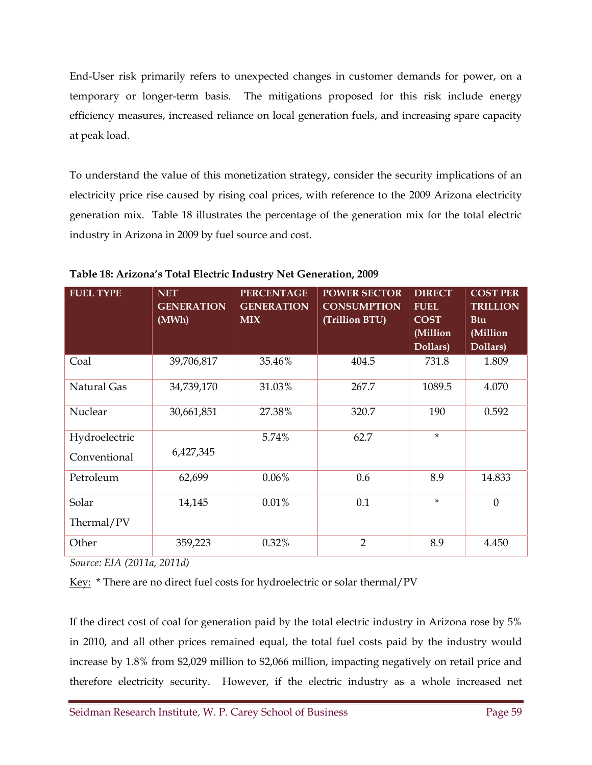End-User risk primarily refers to unexpected changes in customer demands for power, on a temporary or longer-term basis. The mitigations proposed for this risk include energy efficiency measures, increased reliance on local generation fuels, and increasing spare capacity at peak load.

To understand the value of this monetization strategy, consider the security implications of an electricity price rise caused by rising coal prices, with reference to the 2009 Arizona electricity generation mix. Table 18 illustrates the percentage of the generation mix for the total electric industry in Arizona in 2009 by fuel source and cost.

| <b>FUEL TYPE</b>              | <b>NET</b><br><b>GENERATION</b><br>(MWh) | <b>PERCENTAGE</b><br><b>GENERATION</b><br><b>MIX</b> | <b>POWER SECTOR</b><br><b>CONSUMPTION</b><br>(Trillion BTU) | <b>DIRECT</b><br><b>FUEL</b><br><b>COST</b><br>(Million<br>Dollars) | <b>COST PER</b><br><b>TRILLION</b><br><b>Btu</b><br>(Million<br>Dollars) |
|-------------------------------|------------------------------------------|------------------------------------------------------|-------------------------------------------------------------|---------------------------------------------------------------------|--------------------------------------------------------------------------|
| Coal                          | 39,706,817                               | 35.46%                                               | 404.5                                                       | 731.8                                                               | 1.809                                                                    |
| Natural Gas                   | 34,739,170                               | 31.03%                                               | 267.7                                                       | 1089.5                                                              | 4.070                                                                    |
| Nuclear                       | 30,661,851                               | 27.38%                                               | 320.7                                                       | 190                                                                 | 0.592                                                                    |
| Hydroelectric<br>Conventional | 6,427,345                                | 5.74%                                                | 62.7                                                        | $\star$                                                             |                                                                          |
| Petroleum                     | 62,699                                   | $0.06\%$                                             | 0.6                                                         | 8.9                                                                 | 14.833                                                                   |
| Solar<br>Thermal/PV           | 14,145                                   | 0.01%                                                | 0.1                                                         | $\star$                                                             | $\theta$                                                                 |
| Other                         | 359,223                                  | 0.32%                                                | $\overline{2}$                                              | 8.9                                                                 | 4.450                                                                    |

**Table 18: Arizona's Total Electric Industry Net Generation, 2009** 

*Source: EIA (2011a, 2011d)* 

Key: \* There are no direct fuel costs for hydroelectric or solar thermal/PV

If the direct cost of coal for generation paid by the total electric industry in Arizona rose by 5% in 2010, and all other prices remained equal, the total fuel costs paid by the industry would increase by 1.8% from \$2,029 million to \$2,066 million, impacting negatively on retail price and therefore electricity security. However, if the electric industry as a whole increased net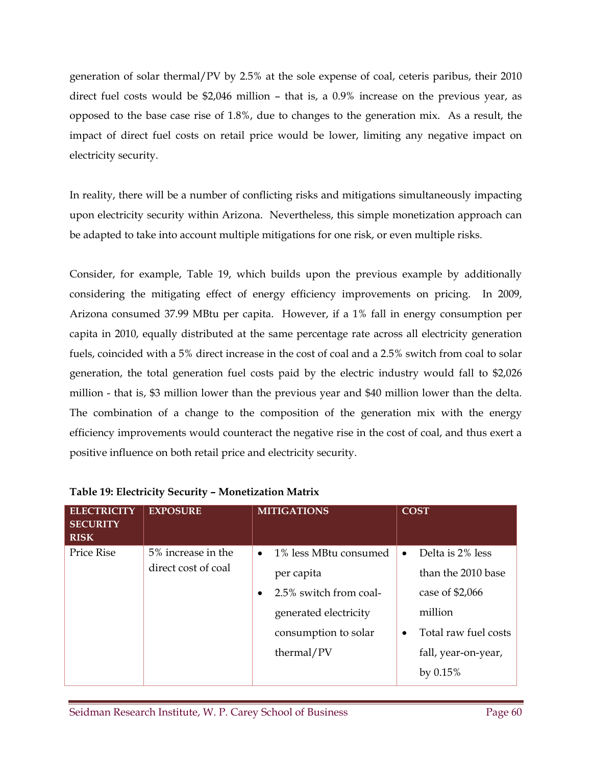generation of solar thermal/PV by 2.5% at the sole expense of coal, ceteris paribus, their 2010 direct fuel costs would be \$2,046 million – that is, a 0.9% increase on the previous year, as opposed to the base case rise of 1.8%, due to changes to the generation mix. As a result, the impact of direct fuel costs on retail price would be lower, limiting any negative impact on electricity security.

In reality, there will be a number of conflicting risks and mitigations simultaneously impacting upon electricity security within Arizona. Nevertheless, this simple monetization approach can be adapted to take into account multiple mitigations for one risk, or even multiple risks.

Consider, for example, Table 19, which builds upon the previous example by additionally considering the mitigating effect of energy efficiency improvements on pricing. In 2009, Arizona consumed 37.99 MBtu per capita. However, if a 1% fall in energy consumption per capita in 2010, equally distributed at the same percentage rate across all electricity generation fuels, coincided with a 5% direct increase in the cost of coal and a 2.5% switch from coal to solar generation, the total generation fuel costs paid by the electric industry would fall to \$2,026 million - that is, \$3 million lower than the previous year and \$40 million lower than the delta. The combination of a change to the composition of the generation mix with the energy efficiency improvements would counteract the negative rise in the cost of coal, and thus exert a positive influence on both retail price and electricity security.

| <b>ELECTRICITY</b><br><b>SECURITY</b><br><b>RISK</b> | <b>EXPOSURE</b>                           | <b>MITIGATIONS</b>                                                                                                                                     | <b>COST</b>                                                                                                                                                |
|------------------------------------------------------|-------------------------------------------|--------------------------------------------------------------------------------------------------------------------------------------------------------|------------------------------------------------------------------------------------------------------------------------------------------------------------|
| <b>Price Rise</b>                                    | 5% increase in the<br>direct cost of coal | 1% less MBtu consumed<br>$\bullet$<br>per capita<br>2.5% switch from coal-<br>$\bullet$<br>generated electricity<br>consumption to solar<br>thermal/PV | Delta is 2% less<br>$\bullet$<br>than the 2010 base<br>case of $$2,066$<br>million<br>Total raw fuel costs<br>$\bullet$<br>fall, year-on-year,<br>by 0.15% |

#### **Table 19: Electricity Security – Monetization Matrix**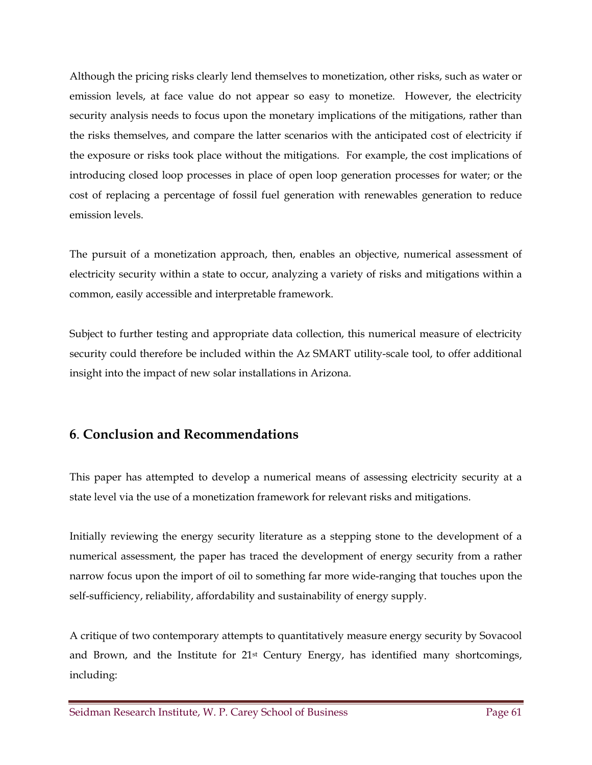Although the pricing risks clearly lend themselves to monetization, other risks, such as water or emission levels, at face value do not appear so easy to monetize. However, the electricity security analysis needs to focus upon the monetary implications of the mitigations, rather than the risks themselves, and compare the latter scenarios with the anticipated cost of electricity if the exposure or risks took place without the mitigations. For example, the cost implications of introducing closed loop processes in place of open loop generation processes for water; or the cost of replacing a percentage of fossil fuel generation with renewables generation to reduce emission levels.

The pursuit of a monetization approach, then, enables an objective, numerical assessment of electricity security within a state to occur, analyzing a variety of risks and mitigations within a common, easily accessible and interpretable framework.

Subject to further testing and appropriate data collection, this numerical measure of electricity security could therefore be included within the Az SMART utility-scale tool, to offer additional insight into the impact of new solar installations in Arizona.

## **6**. **Conclusion and Recommendations**

This paper has attempted to develop a numerical means of assessing electricity security at a state level via the use of a monetization framework for relevant risks and mitigations.

Initially reviewing the energy security literature as a stepping stone to the development of a numerical assessment, the paper has traced the development of energy security from a rather narrow focus upon the import of oil to something far more wide-ranging that touches upon the self-sufficiency, reliability, affordability and sustainability of energy supply.

A critique of two contemporary attempts to quantitatively measure energy security by Sovacool and Brown, and the Institute for 21st Century Energy, has identified many shortcomings, including: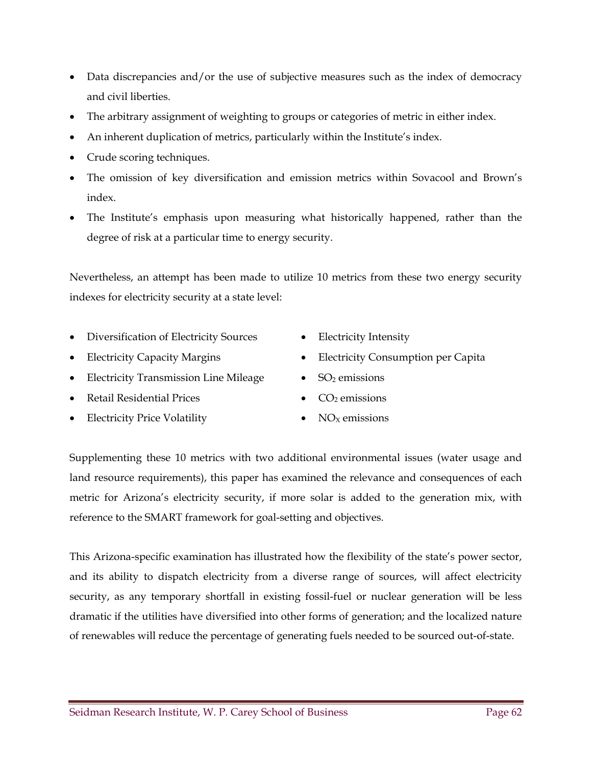- Data discrepancies and/or the use of subjective measures such as the index of democracy and civil liberties.
- The arbitrary assignment of weighting to groups or categories of metric in either index.
- An inherent duplication of metrics, particularly within the Institute's index.
- Crude scoring techniques.
- The omission of key diversification and emission metrics within Sovacool and Brown's index.
- The Institute's emphasis upon measuring what historically happened, rather than the degree of risk at a particular time to energy security.

Nevertheless, an attempt has been made to utilize 10 metrics from these two energy security indexes for electricity security at a state level:

- Diversification of Electricity Sources Electricity Intensity
- 
- Electricity Transmission Line Mileage  $\bullet$  SO<sub>2</sub> emissions
- Retail Residential Prices  $\bullet$   $CO<sub>2</sub>$  emissions
- Electricity Price Volatility  $\bullet$  NO<sub>X</sub> emissions
- 
- Electricity Capacity Margins Electricity Consumption per Capita
	-
	-
	-

Supplementing these 10 metrics with two additional environmental issues (water usage and land resource requirements), this paper has examined the relevance and consequences of each metric for Arizona's electricity security, if more solar is added to the generation mix, with reference to the SMART framework for goal-setting and objectives.

This Arizona-specific examination has illustrated how the flexibility of the state's power sector, and its ability to dispatch electricity from a diverse range of sources, will affect electricity security, as any temporary shortfall in existing fossil-fuel or nuclear generation will be less dramatic if the utilities have diversified into other forms of generation; and the localized nature of renewables will reduce the percentage of generating fuels needed to be sourced out-of-state.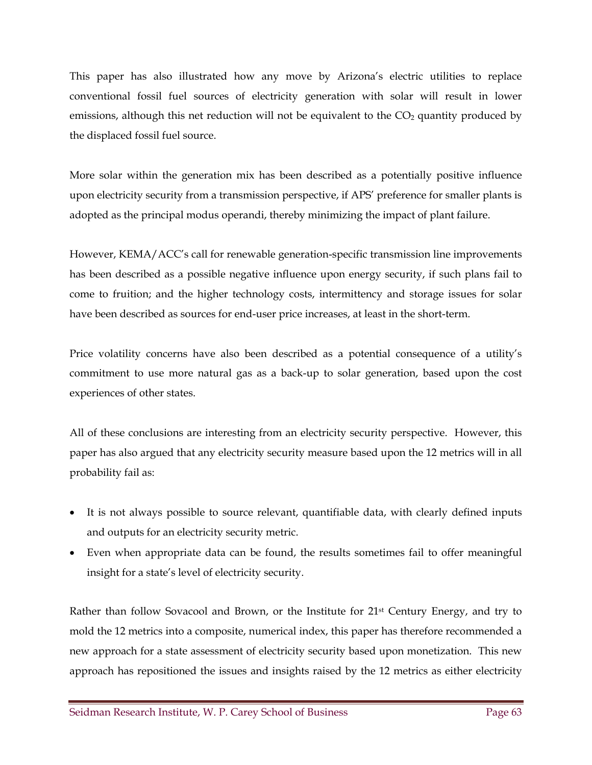This paper has also illustrated how any move by Arizona's electric utilities to replace conventional fossil fuel sources of electricity generation with solar will result in lower emissions, although this net reduction will not be equivalent to the  $CO<sub>2</sub>$  quantity produced by the displaced fossil fuel source.

More solar within the generation mix has been described as a potentially positive influence upon electricity security from a transmission perspective, if APS' preference for smaller plants is adopted as the principal modus operandi, thereby minimizing the impact of plant failure.

However, KEMA/ACC's call for renewable generation-specific transmission line improvements has been described as a possible negative influence upon energy security, if such plans fail to come to fruition; and the higher technology costs, intermittency and storage issues for solar have been described as sources for end-user price increases, at least in the short-term.

Price volatility concerns have also been described as a potential consequence of a utility's commitment to use more natural gas as a back-up to solar generation, based upon the cost experiences of other states.

All of these conclusions are interesting from an electricity security perspective. However, this paper has also argued that any electricity security measure based upon the 12 metrics will in all probability fail as:

- It is not always possible to source relevant, quantifiable data, with clearly defined inputs and outputs for an electricity security metric.
- Even when appropriate data can be found, the results sometimes fail to offer meaningful insight for a state's level of electricity security.

Rather than follow Sovacool and Brown, or the Institute for 21st Century Energy, and try to mold the 12 metrics into a composite, numerical index, this paper has therefore recommended a new approach for a state assessment of electricity security based upon monetization. This new approach has repositioned the issues and insights raised by the 12 metrics as either electricity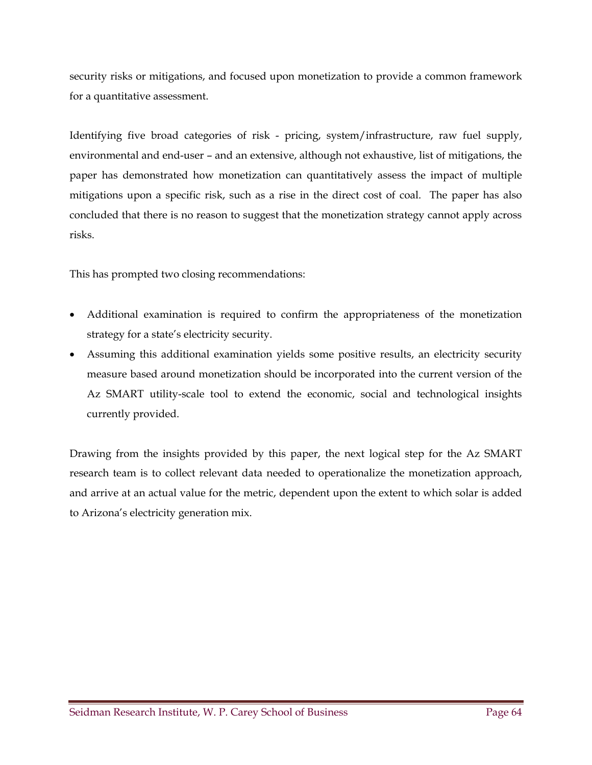security risks or mitigations, and focused upon monetization to provide a common framework for a quantitative assessment.

Identifying five broad categories of risk - pricing, system/infrastructure, raw fuel supply, environmental and end-user – and an extensive, although not exhaustive, list of mitigations, the paper has demonstrated how monetization can quantitatively assess the impact of multiple mitigations upon a specific risk, such as a rise in the direct cost of coal. The paper has also concluded that there is no reason to suggest that the monetization strategy cannot apply across risks.

This has prompted two closing recommendations:

- Additional examination is required to confirm the appropriateness of the monetization strategy for a state's electricity security.
- Assuming this additional examination yields some positive results, an electricity security measure based around monetization should be incorporated into the current version of the Az SMART utility-scale tool to extend the economic, social and technological insights currently provided.

Drawing from the insights provided by this paper, the next logical step for the Az SMART research team is to collect relevant data needed to operationalize the monetization approach, and arrive at an actual value for the metric, dependent upon the extent to which solar is added to Arizona's electricity generation mix.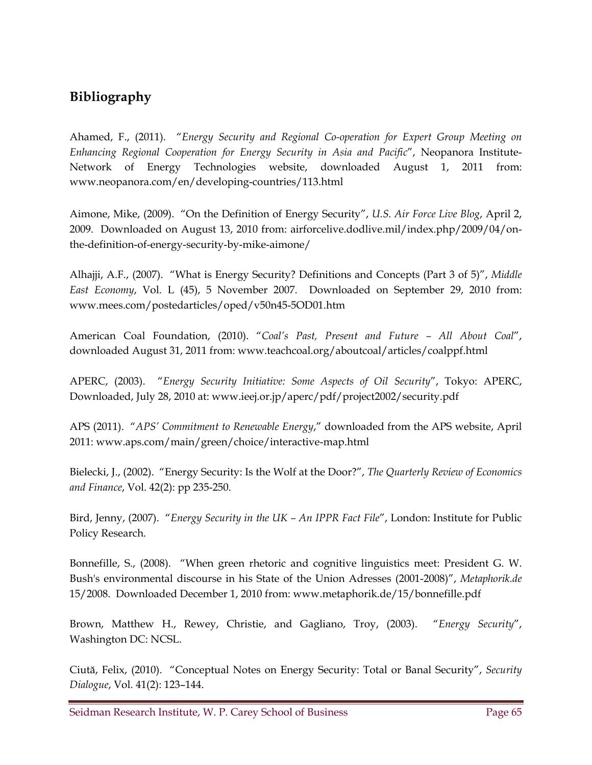## **Bibliography**

Ahamed, F., (2011). "*Energy Security and Regional Co-operation for Expert Group Meeting on Enhancing Regional Cooperation for Energy Security in Asia and Pacific*", Neopanora Institute-Network of Energy Technologies website, downloaded August 1, 2011 from: www.neopanora.com/en/developing-countries/113.html

Aimone, Mike, (2009). "On the Definition of Energy Security", *U.S. Air Force Live Blog*, April 2, 2009. Downloaded on August 13, 2010 from: airforcelive.dodlive.mil/index.php/2009/04/onthe-definition-of-energy-security-by-mike-aimone/

Alhajji, A.F., (2007). "What is Energy Security? Definitions and Concepts (Part 3 of 5)", *Middle East Economy*, Vol. L (45), 5 November 2007. Downloaded on September 29, 2010 from: www.mees.com/postedarticles/oped/v50n45-5OD01.htm

American Coal Foundation, (2010). "*Coal's Past, Present and Future – All About Coal*", downloaded August 31, 2011 from: www.teachcoal.org/aboutcoal/articles/coalppf.html

APERC, (2003). "*Energy Security Initiative: Some Aspects of Oil Security*", Tokyo: APERC, Downloaded, July 28, 2010 at: www.ieej.or.jp/aperc/pdf/project2002/security.pdf

APS (2011). "*APS' Commitment to Renewable Energy*," downloaded from the APS website, April 2011: www.aps.com/main/green/choice/interactive-map.html

Bielecki, J., (2002). "Energy Security: Is the Wolf at the Door?", *The Quarterly Review of Economics and Finance*, Vol. 42(2): pp 235-250.

Bird, Jenny, (2007). "*Energy Security in the UK – An IPPR Fact File*", London: Institute for Public Policy Research.

Bonnefille, S., (2008). "When green rhetoric and cognitive linguistics meet: President G. W. Bush's environmental discourse in his State of the Union Adresses (2001-2008)", *Metaphorik.de* 15/2008. Downloaded December 1, 2010 from: www.metaphorik.de/15/bonnefille.pdf

Brown, Matthew H., Rewey, Christie, and Gagliano, Troy, (2003). "*Energy Security*", Washington DC: NCSL.

Ciută, Felix, (2010). "Conceptual Notes on Energy Security: Total or Banal Security", *Security Dialogue*, Vol. 41(2): 123–144.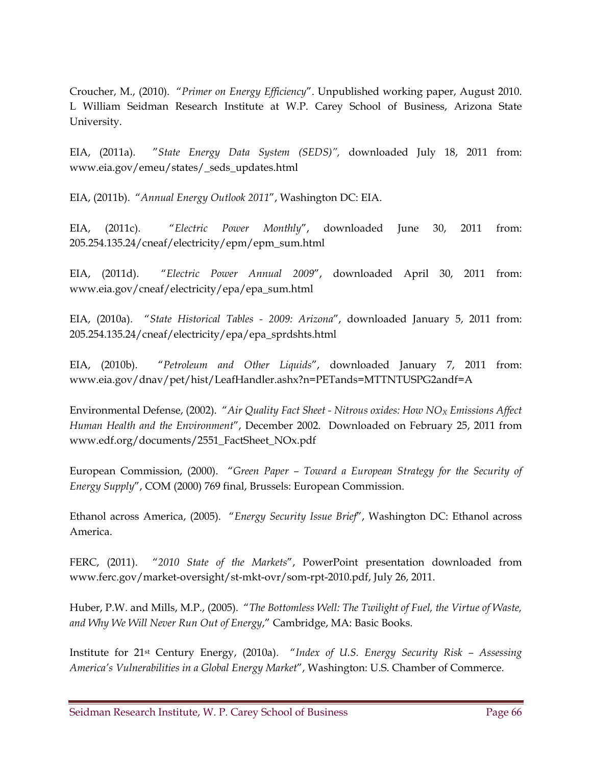Croucher, M., (2010). "*Primer on Energy Efficiency*". Unpublished working paper, August 2010. L William Seidman Research Institute at W.P. Carey School of Business, Arizona State University.

EIA, (2011a). "*State Energy Data System (SEDS)",* downloaded July 18, 2011 from: www.eia.gov/emeu/states/\_seds\_updates.html

EIA, (2011b). "*Annual Energy Outlook 2011*", Washington DC: EIA.

EIA, (2011c). "*Electric Power Monthly*", downloaded June 30, 2011 from: 205.254.135.24/cneaf/electricity/epm/epm\_sum.html

EIA, (2011d). "*Electric Power Annual 2009*", downloaded April 30, 2011 from: www.eia.gov/cneaf/electricity/epa/epa\_sum.html

EIA, (2010a). "*State Historical Tables - 2009: Arizona*", downloaded January 5, 2011 from: 205.254.135.24/cneaf/electricity/epa/epa\_sprdshts.html

EIA, (2010b). "*Petroleum and Other Liquids*", downloaded January 7, 2011 from: www.eia.gov/dnav/pet/hist/LeafHandler.ashx?n=PETands=MTTNTUSPG2andf=A

Environmental Defense, (2002). "Air Quality Fact Sheet - Nitrous oxides: How NO<sub>X</sub> Emissions Affect *Human Health and the Environment*", December 2002. Downloaded on February 25, 2011 from www.edf.org/documents/2551\_FactSheet\_NOx.pdf

European Commission, (2000). "*Green Paper – Toward a European Strategy for the Security of Energy Supply*", COM (2000) 769 final, Brussels: European Commission.

Ethanol across America, (2005). "*Energy Security Issue Brief*", Washington DC: Ethanol across America.

FERC, (2011). "*2010 State of the Markets*", PowerPoint presentation downloaded from www.ferc.gov/market-oversight/st-mkt-ovr/som-rpt-2010.pdf, July 26, 2011.

Huber, P.W. and Mills, M.P., (2005). "*The Bottomless Well: The Twilight of Fuel, the Virtue of Waste, and Why We Will Never Run Out of Energy*," Cambridge, MA: Basic Books.

Institute for 21st Century Energy, (2010a). "*Index of U.S. Energy Security Risk – Assessing America's Vulnerabilities in a Global Energy Market*", Washington: U.S. Chamber of Commerce.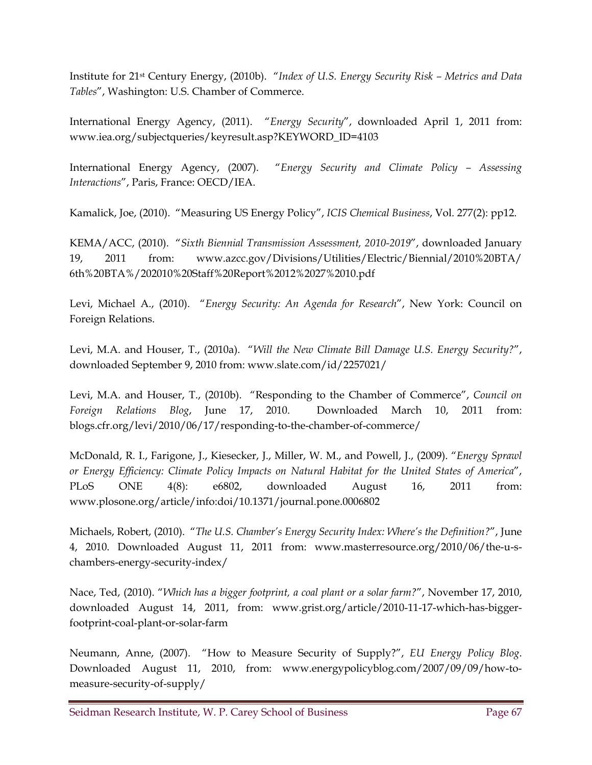Institute for 21st Century Energy, (2010b). "*Index of U.S. Energy Security Risk – Metrics and Data Tables*", Washington: U.S. Chamber of Commerce.

International Energy Agency, (2011). "*Energy Security*", downloaded April 1, 2011 from: www.iea.org/subjectqueries/keyresult.asp?KEYWORD\_ID=4103

International Energy Agency, (2007). "*Energy Security and Climate Policy – Assessing Interactions*", Paris, France: OECD/IEA.

Kamalick, Joe, (2010). "Measuring US Energy Policy", *ICIS Chemical Business*, Vol. 277(2): pp12.

KEMA/ACC, (2010). "*Sixth Biennial Transmission Assessment, 2010-2019*", downloaded January 19, 2011 from: www.azcc.gov/Divisions/Utilities/Electric/Biennial/2010%20BTA/ 6th%20BTA%/202010%20Staff%20Report%2012%2027%2010.pdf

Levi, Michael A., (2010). "*Energy Security: An Agenda for Research*", New York: Council on Foreign Relations.

Levi, M.A. and Houser, T., (2010a). "*Will the New Climate Bill Damage U.S. Energy Security?*", downloaded September 9, 2010 from: www.slate.com/id/2257021/

Levi, M.A. and Houser, T., (2010b). "Responding to the Chamber of Commerce", *Council on Foreign Relations Blog*, June 17, 2010. Downloaded March 10, 2011 from: blogs.cfr.org/levi/2010/06/17/responding-to-the-chamber-of-commerce/

McDonald, R. I., Farigone, J., Kiesecker, J., Miller, W. M., and Powell, J., (2009). "*Energy Sprawl or Energy Efficiency: Climate Policy Impacts on Natural Habitat for the United States of America*", PLoS ONE 4(8): e6802, downloaded August 16, 2011 from: www.plosone.org/article/info:doi/10.1371/journal.pone.0006802

Michaels, Robert, (2010). "*The U.S. Chamber's Energy Security Index: Where's the Definition?*", June 4, 2010. Downloaded August 11, 2011 from: www.masterresource.org/2010/06/the-u-schambers-energy-security-index/

Nace, Ted, (2010). "*Which has a bigger footprint, a coal plant or a solar farm?*", November 17, 2010, downloaded August 14, 2011, from: www.grist.org/article/2010-11-17-which-has-biggerfootprint-coal-plant-or-solar-farm

Neumann, Anne, (2007). "How to Measure Security of Supply?", *EU Energy Policy Blog*. Downloaded August 11, 2010, from: www.energypolicyblog.com/2007/09/09/how-tomeasure-security-of-supply/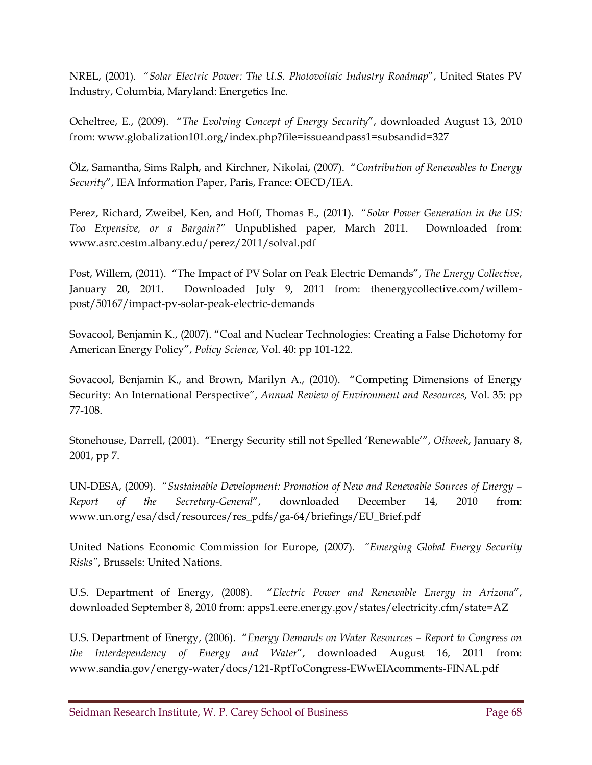NREL, (2001). "*Solar Electric Power: The U.S. Photovoltaic Industry Roadmap*", United States PV Industry, Columbia, Maryland: Energetics Inc.

Ocheltree, E., (2009). "*The Evolving Concept of Energy Security*", downloaded August 13, 2010 from: www.globalization101.org/index.php?file=issueandpass1=subsandid=327

Ölz, Samantha, Sims Ralph, and Kirchner, Nikolai, (2007). "*Contribution of Renewables to Energy Security*", IEA Information Paper, Paris, France: OECD/IEA.

Perez, Richard, Zweibel, Ken, and Hoff, Thomas E., (2011). "*Solar Power Generation in the US: Too Expensive, or a Bargain?*" Unpublished paper, March 2011. Downloaded from: www.asrc.cestm.albany.edu/perez/2011/solval.pdf

Post, Willem, (2011). "The Impact of PV Solar on Peak Electric Demands", *The Energy Collective*, January 20, 2011. Downloaded July 9, 2011 from: thenergycollective.com/willempost/50167/impact-pv-solar-peak-electric-demands

Sovacool, Benjamin K., (2007). "Coal and Nuclear Technologies: Creating a False Dichotomy for American Energy Policy", *Policy Science*, Vol. 40: pp 101-122.

Sovacool, Benjamin K., and Brown, Marilyn A., (2010). "Competing Dimensions of Energy Security: An International Perspective", *Annual Review of Environment and Resources*, Vol. 35: pp 77-108.

Stonehouse, Darrell, (2001). "Energy Security still not Spelled 'Renewable'", *Oilweek*, January 8, 2001, pp 7.

UN-DESA, (2009). "*Sustainable Development: Promotion of New and Renewable Sources of Energy – Report of the Secretary-General*", downloaded December 14, 2010 from: www.un.org/esa/dsd/resources/res\_pdfs/ga-64/briefings/EU\_Brief.pdf

United Nations Economic Commission for Europe, (2007). *"Emerging Global Energy Security Risks"*, Brussels: United Nations.

U.S. Department of Energy, (2008). "*Electric Power and Renewable Energy in Arizona*", downloaded September 8, 2010 from: apps1.eere.energy.gov/states/electricity.cfm/state=AZ

U.S. Department of Energy, (2006). "*Energy Demands on Water Resources – Report to Congress on the Interdependency of Energy and Water*", downloaded August 16, 2011 from: www.sandia.gov/energy-water/docs/121-RptToCongress-EWwEIAcomments-FINAL.pdf